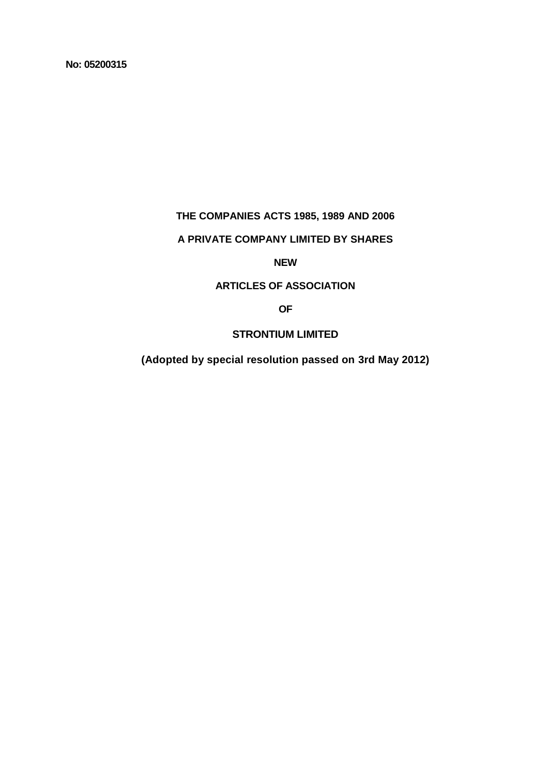**No: 05200315**

# **THE COMPANIES ACTS 1985, 1989 AND 2006**

# **A PRIVATE COMPANY LIMITED BY SHARES**

# **NEW**

# **ARTICLES OF ASSOCIATION**

# **OF**

# **STRONTIUM LIMITED**

**(Adopted by special resolution passed on 3rd May 2012)**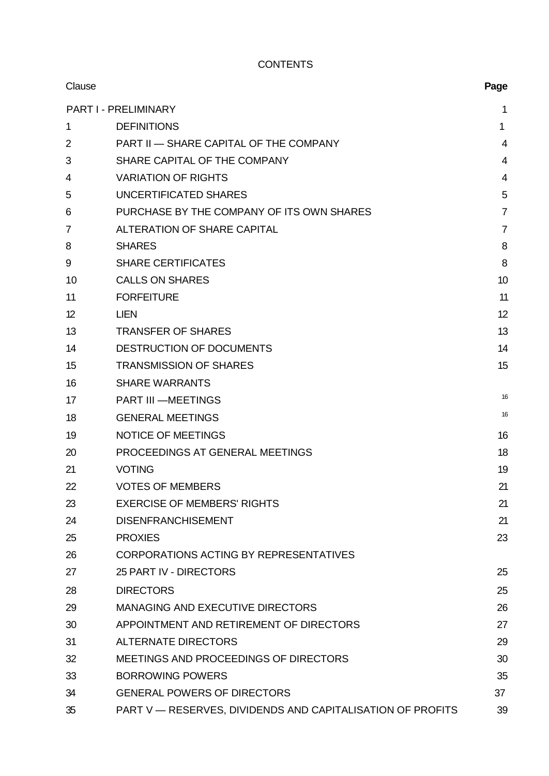# **CONTENTS**

| Clause         |                                                            | Page           |
|----------------|------------------------------------------------------------|----------------|
|                | <b>PART I - PRELIMINARY</b>                                | 1              |
| 1              | <b>DEFINITIONS</b>                                         | $\mathbf 1$    |
| $\overline{2}$ | <b>PART II - SHARE CAPITAL OF THE COMPANY</b>              | $\overline{4}$ |
| 3              | SHARE CAPITAL OF THE COMPANY                               | 4              |
| 4              | <b>VARIATION OF RIGHTS</b>                                 | $\overline{4}$ |
| 5              | UNCERTIFICATED SHARES                                      | 5              |
| 6              | PURCHASE BY THE COMPANY OF ITS OWN SHARES                  | $\overline{7}$ |
| $\overline{7}$ | ALTERATION OF SHARE CAPITAL                                | $\overline{7}$ |
| 8              | <b>SHARES</b>                                              | 8              |
| 9              | <b>SHARE CERTIFICATES</b>                                  | 8              |
| 10             | <b>CALLS ON SHARES</b>                                     | 10             |
| 11             | <b>FORFEITURE</b>                                          | 11             |
| 12             | <b>LIEN</b>                                                | 12             |
| 13             | <b>TRANSFER OF SHARES</b>                                  | 13             |
| 14             | DESTRUCTION OF DOCUMENTS                                   | 14             |
| 15             | <b>TRANSMISSION OF SHARES</b>                              | 15             |
| 16             | <b>SHARE WARRANTS</b>                                      |                |
| 17             | <b>PART III -MEETINGS</b>                                  | 16             |
| 18             | <b>GENERAL MEETINGS</b>                                    | 16             |
| 19             | <b>NOTICE OF MEETINGS</b>                                  | 16             |
| 20             | PROCEEDINGS AT GENERAL MEETINGS                            | 18             |
| 21             | <b>VOTING</b>                                              | 19             |
| 22             | <b>VOTES OF MEMBERS</b>                                    | 21             |
| 23             | <b>EXERCISE OF MEMBERS' RIGHTS</b>                         | 21             |
| 24             | <b>DISENFRANCHISEMENT</b>                                  | 21             |
| 25             | <b>PROXIES</b>                                             | 23             |
| 26             | <b>CORPORATIONS ACTING BY REPRESENTATIVES</b>              |                |
| 27             | 25 PART IV - DIRECTORS                                     | 25             |
| 28             | <b>DIRECTORS</b>                                           | 25             |
| 29             | MANAGING AND EXECUTIVE DIRECTORS                           | 26             |
| 30             | APPOINTMENT AND RETIREMENT OF DIRECTORS                    | 27             |
| 31             | <b>ALTERNATE DIRECTORS</b>                                 | 29             |
| 32             | MEETINGS AND PROCEEDINGS OF DIRECTORS                      | 30             |
| 33             | <b>BORROWING POWERS</b>                                    | 35             |
| 34             | <b>GENERAL POWERS OF DIRECTORS</b>                         | 37             |
| 35             | PART V - RESERVES, DIVIDENDS AND CAPITALISATION OF PROFITS | 39             |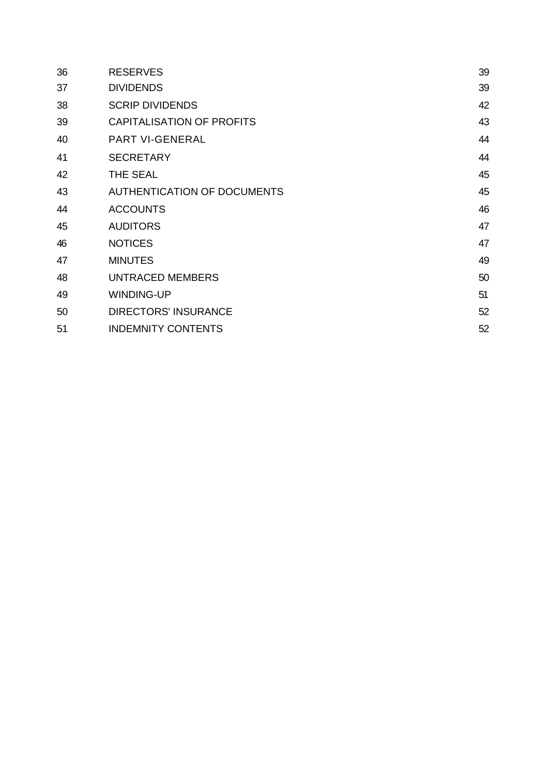| 36 | <b>RESERVES</b>                  | 39 |
|----|----------------------------------|----|
| 37 | <b>DIVIDENDS</b>                 | 39 |
| 38 | <b>SCRIP DIVIDENDS</b>           | 42 |
| 39 | <b>CAPITALISATION OF PROFITS</b> | 43 |
| 40 | <b>PART VI-GENERAL</b>           | 44 |
| 41 | <b>SECRETARY</b>                 | 44 |
| 42 | THE SEAL                         | 45 |
| 43 | AUTHENTICATION OF DOCUMENTS      | 45 |
| 44 | <b>ACCOUNTS</b>                  | 46 |
| 45 | <b>AUDITORS</b>                  | 47 |
| 46 | <b>NOTICES</b>                   | 47 |
| 47 | <b>MINUTES</b>                   | 49 |
| 48 | <b>UNTRACED MEMBERS</b>          | 50 |
| 49 | <b>WINDING-UP</b>                | 51 |
| 50 | <b>DIRECTORS' INSURANCE</b>      | 52 |
| 51 | <b>INDEMNITY CONTENTS</b>        | 52 |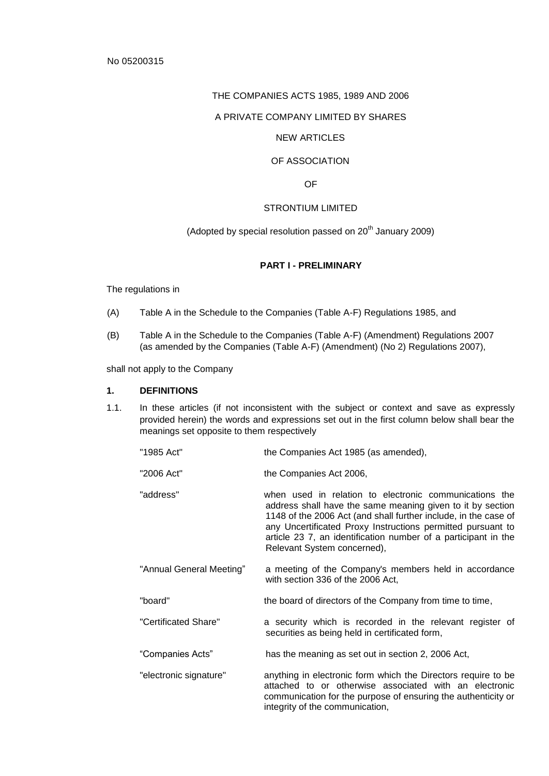### THE COMPANIES ACTS 1985, 1989 AND 2006

### A PRIVATE COMPANY LIMITED BY SHARES

# NEW ARTICLES

# OF ASSOCIATION

OF

### STRONTIUM LIMITED

(Adopted by special resolution passed on  $20<sup>th</sup>$  January 2009)

#### **PART I - PRELIMINARY**

The regulations in

- (A) Table A in the Schedule to the Companies (Table A-F) Regulations 1985, and
- (B) Table A in the Schedule to the Companies (Table A-F) (Amendment) Regulations 2007 (as amended by the Companies (Table A-F) (Amendment) (No 2) Regulations 2007),

shall not apply to the Company

#### **1. DEFINITIONS**

- 1.1. In these articles (if not inconsistent with the subject or context and save as expressly provided herein) the words and expressions set out in the first column below shall bear the meanings set opposite to them respectively
	- "1985 Act" the Companies Act 1985 (as amended),
	- "2006 Act" the Companies Act 2006,
	- "address" when used in relation to electronic communications the address shall have the same meaning given to it by section 1148 of the 2006 Act (and shall further include, in the case of any Uncertificated Proxy Instructions permitted pursuant to article 23 7, an identification number of a participant in the Relevant System concerned),
	- "Annual General Meeting" a meeting of the Company's members held in accordance with section 336 of the 2006 Act,
	- "board" the board of directors of the Company from time to time,
	- "Certificated Share" a security which is recorded in the relevant register of securities as being held in certificated form,
	- "Companies Acts" has the meaning as set out in section 2, 2006 Act,
	- "electronic signature" anything in electronic form which the Directors require to be attached to or otherwise associated with an electronic communication for the purpose of ensuring the authenticity or integrity of the communication,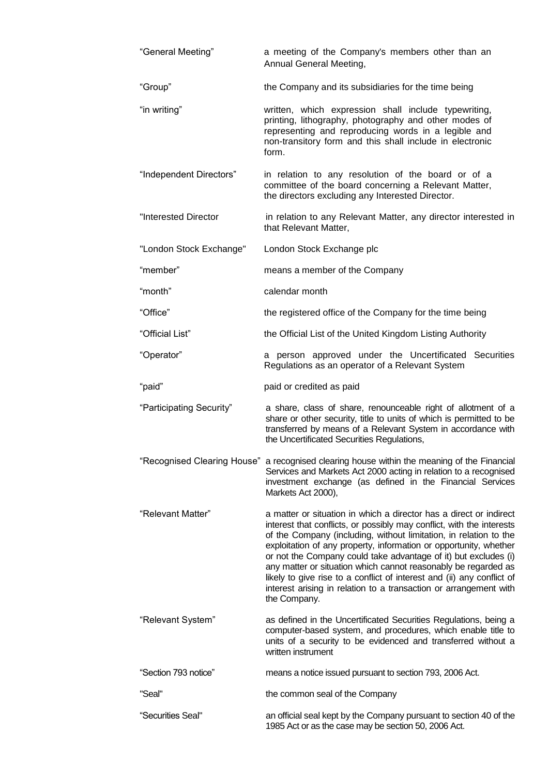| "General Meeting"           | a meeting of the Company's members other than an<br>Annual General Meeting,                                                                                                                                                                                                                                                                                                                                                                                                                                                                                                               |  |  |
|-----------------------------|-------------------------------------------------------------------------------------------------------------------------------------------------------------------------------------------------------------------------------------------------------------------------------------------------------------------------------------------------------------------------------------------------------------------------------------------------------------------------------------------------------------------------------------------------------------------------------------------|--|--|
| "Group"                     | the Company and its subsidiaries for the time being                                                                                                                                                                                                                                                                                                                                                                                                                                                                                                                                       |  |  |
| "in writing"                | written, which expression shall include typewriting,<br>printing, lithography, photography and other modes of<br>representing and reproducing words in a legible and<br>non-transitory form and this shall include in electronic<br>form.                                                                                                                                                                                                                                                                                                                                                 |  |  |
| "Independent Directors"     | in relation to any resolution of the board or of a<br>committee of the board concerning a Relevant Matter,<br>the directors excluding any Interested Director.                                                                                                                                                                                                                                                                                                                                                                                                                            |  |  |
| "Interested Director        | in relation to any Relevant Matter, any director interested in<br>that Relevant Matter,                                                                                                                                                                                                                                                                                                                                                                                                                                                                                                   |  |  |
| "London Stock Exchange"     | London Stock Exchange plc                                                                                                                                                                                                                                                                                                                                                                                                                                                                                                                                                                 |  |  |
| "member"                    | means a member of the Company                                                                                                                                                                                                                                                                                                                                                                                                                                                                                                                                                             |  |  |
| "month"                     | calendar month                                                                                                                                                                                                                                                                                                                                                                                                                                                                                                                                                                            |  |  |
| "Office"                    | the registered office of the Company for the time being                                                                                                                                                                                                                                                                                                                                                                                                                                                                                                                                   |  |  |
| "Official List"             | the Official List of the United Kingdom Listing Authority                                                                                                                                                                                                                                                                                                                                                                                                                                                                                                                                 |  |  |
| "Operator"                  | a person approved under the Uncertificated Securities<br>Regulations as an operator of a Relevant System                                                                                                                                                                                                                                                                                                                                                                                                                                                                                  |  |  |
| "paid"                      | paid or credited as paid                                                                                                                                                                                                                                                                                                                                                                                                                                                                                                                                                                  |  |  |
| "Participating Security"    | a share, class of share, renounceable right of allotment of a<br>share or other security, title to units of which is permitted to be<br>transferred by means of a Relevant System in accordance with<br>the Uncertificated Securities Regulations,                                                                                                                                                                                                                                                                                                                                        |  |  |
| "Recognised Clearing House" | a recognised clearing house within the meaning of the Financial<br>Services and Markets Act 2000 acting in relation to a recognised<br>investment exchange (as defined in the Financial Services<br>Markets Act 2000),                                                                                                                                                                                                                                                                                                                                                                    |  |  |
| "Relevant Matter"           | a matter or situation in which a director has a direct or indirect<br>interest that conflicts, or possibly may conflict, with the interests<br>of the Company (including, without limitation, in relation to the<br>exploitation of any property, information or opportunity, whether<br>or not the Company could take advantage of it) but excludes (i)<br>any matter or situation which cannot reasonably be regarded as<br>likely to give rise to a conflict of interest and (ii) any conflict of<br>interest arising in relation to a transaction or arrangement with<br>the Company. |  |  |
| "Relevant System"           | as defined in the Uncertificated Securities Regulations, being a<br>computer-based system, and procedures, which enable title to<br>units of a security to be evidenced and transferred without a<br>written instrument                                                                                                                                                                                                                                                                                                                                                                   |  |  |
| "Section 793 notice"        | means a notice issued pursuant to section 793, 2006 Act.                                                                                                                                                                                                                                                                                                                                                                                                                                                                                                                                  |  |  |
| "Seal"                      | the common seal of the Company                                                                                                                                                                                                                                                                                                                                                                                                                                                                                                                                                            |  |  |
| "Securities Seal"           | an official seal kept by the Company pursuant to section 40 of the<br>1985 Act or as the case may be section 50, 2006 Act.                                                                                                                                                                                                                                                                                                                                                                                                                                                                |  |  |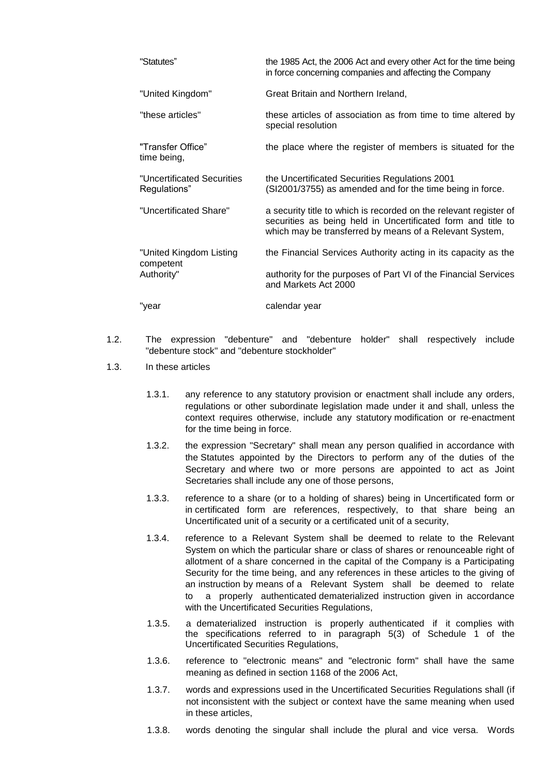| "Statutes"                                 | the 1985 Act, the 2006 Act and every other Act for the time being<br>in force concerning companies and affecting the Company                                                                 |
|--------------------------------------------|----------------------------------------------------------------------------------------------------------------------------------------------------------------------------------------------|
| "United Kingdom"                           | Great Britain and Northern Ireland,                                                                                                                                                          |
| "these articles"                           | these articles of association as from time to time altered by<br>special resolution                                                                                                          |
| "Transfer Office"<br>time being,           | the place where the register of members is situated for the                                                                                                                                  |
| "Uncertificated Securities<br>Regulations" | the Uncertificated Securities Regulations 2001<br>(SI2001/3755) as amended and for the time being in force.                                                                                  |
| "Uncertificated Share"                     | a security title to which is recorded on the relevant register of<br>securities as being held in Uncertificated form and title to<br>which may be transferred by means of a Relevant System, |
| "United Kingdom Listing                    | the Financial Services Authority acting in its capacity as the                                                                                                                               |
| competent<br>Authority"                    | authority for the purposes of Part VI of the Financial Services<br>and Markets Act 2000                                                                                                      |
| "year                                      | calendar year                                                                                                                                                                                |

- 1.2. The expression "debenture" and "debenture holder" shall respectively include "debenture stock" and "debenture stockholder"
- 1.3. In these articles
	- 1.3.1. any reference to any statutory provision or enactment shall include any orders, regulations or other subordinate legislation made under it and shall, unless the context requires otherwise, include any statutory modification or re-enactment for the time being in force.
	- 1.3.2. the expression "Secretary" shall mean any person qualified in accordance with the Statutes appointed by the Directors to perform any of the duties of the Secretary and where two or more persons are appointed to act as Joint Secretaries shall include any one of those persons,
	- 1.3.3. reference to a share (or to a holding of shares) being in Uncertificated form or in certificated form are references, respectively, to that share being an Uncertificated unit of a security or a certificated unit of a security,
	- 1.3.4. reference to a Relevant System shall be deemed to relate to the Relevant System on which the particular share or class of shares or renounceable right of allotment of a share concerned in the capital of the Company is a Participating Security for the time being, and any references in these articles to the giving of an instruction by means of a Relevant System shall be deemed to relate to a properly authenticated dematerialized instruction given in accordance with the Uncertificated Securities Regulations,
	- 1.3.5. a dematerialized instruction is properly authenticated if it complies with the specifications referred to in paragraph 5(3) of Schedule 1 of the Uncertificated Securities Regulations,
	- 1.3.6. reference to "electronic means" and "electronic form" shall have the same meaning as defined in section 1168 of the 2006 Act,
	- 1.3.7. words and expressions used in the Uncertificated Securities Regulations shall (if not inconsistent with the subject or context have the same meaning when used in these articles,
	- 1.3.8. words denoting the singular shall include the plural and vice versa. Words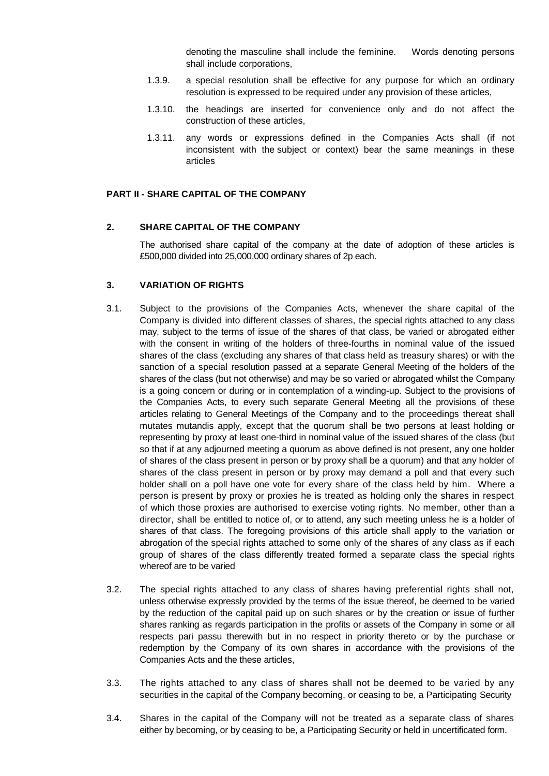denoting the masculine shall include the feminine. Words denoting persons shall include corporations,

- 1.3.9. a special resolution shall be effective for any purpose for which an ordinary resolution is expressed to be required under any provision of these articles,
- 1.3.10. the headings are inserted for convenience only and do not affect the construction of these articles,
- 1.3.11. any words or expressions defined in the Companies Acts shall (if not inconsistent with the subject or context) bear the same meanings in these articles

#### **PART II - SHARE CAPITAL OF THE COMPANY**

# **2. SHARE CAPITAL OF THE COMPANY**

The authorised share capital of the company at the date of adoption of these articles is £500,000 divided into 25,000,000 ordinary shares of 2p each.

#### **3. VARIATION OF RIGHTS**

- 3.1. Subject to the provisions of the Companies Acts, whenever the share capital of the Company is divided into different classes of shares, the special rights attached to any class may, subject to the terms of issue of the shares of that class, be varied or abrogated either with the consent in writing of the holders of three-fourths in nominal value of the issued shares of the class (excluding any shares of that class held as treasury shares) or with the sanction of a special resolution passed at a separate General Meeting of the holders of the shares of the class (but not otherwise) and may be so varied or abrogated whilst the Company is a going concern or during or in contemplation of a winding-up. Subject to the provisions of the Companies Acts, to every such separate General Meeting all the provisions of these articles relating to General Meetings of the Company and to the proceedings thereat shall mutates mutandis apply, except that the quorum shall be two persons at least holding or representing by proxy at least one-third in nominal value of the issued shares of the class (but so that if at any adjourned meeting a quorum as above defined is not present, any one holder of shares of the class present in person or by proxy shall be a quorum) and that any holder of shares of the class present in person or by proxy may demand a poll and that every such holder shall on a poll have one vote for every share of the class held by him. Where a person is present by proxy or proxies he is treated as holding only the shares in respect of which those proxies are authorised to exercise voting rights. No member, other than a director, shall be entitled to notice of, or to attend, any such meeting unless he is a holder of shares of that class. The foregoing provisions of this article shall apply to the variation or abrogation of the special rights attached to some only of the shares of any class as if each group of shares of the class differently treated formed a separate class the special rights whereof are to be varied
- 3.2. The special rights attached to any class of shares having preferential rights shall not, unless otherwise expressly provided by the terms of the issue thereof, be deemed to be varied by the reduction of the capital paid up on such shares or by the creation or issue of further shares ranking as regards participation in the profits or assets of the Company in some or all respects pari passu therewith but in no respect in priority thereto or by the purchase or redemption by the Company of its own shares in accordance with the provisions of the Companies Acts and the these articles,
- 3.3. The rights attached to any class of shares shall not be deemed to be varied by any securities in the capital of the Company becoming, or ceasing to be, a Participating Security
- 3.4. Shares in the capital of the Company will not be treated as a separate class of shares either by becoming, or by ceasing to be, a Participating Security or held in uncertificated form.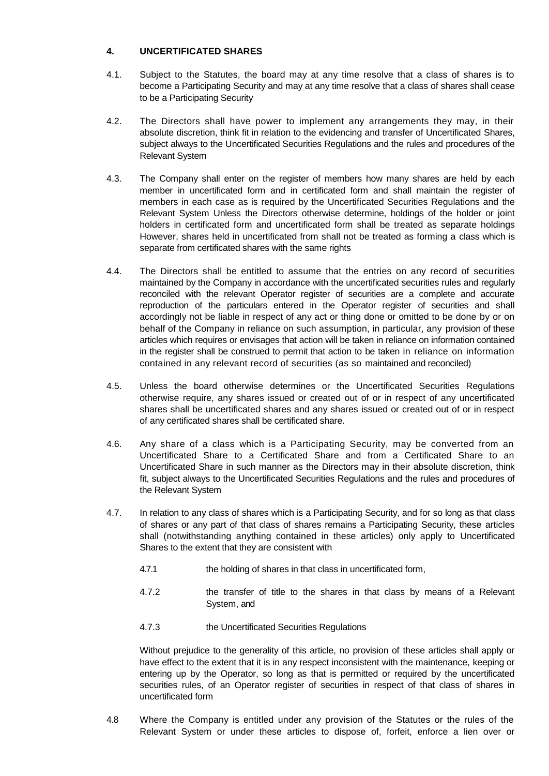# **4. UNCERTIFICATED SHARES**

- 4.1. Subject to the Statutes, the board may at any time resolve that a class of shares is to become a Participating Security and may at any time resolve that a class of shares shall cease to be a Participating Security
- 4.2. The Directors shall have power to implement any arrangements they may, in their absolute discretion, think fit in relation to the evidencing and transfer of Uncertificated Shares, subject always to the Uncertificated Securities Regulations and the rules and procedures of the Relevant System
- 4.3. The Company shall enter on the register of members how many shares are held by each member in uncertificated form and in certificated form and shall maintain the register of members in each case as is required by the Uncertificated Securities Regulations and the Relevant System Unless the Directors otherwise determine, holdings of the holder or joint holders in certificated form and uncertificated form shall be treated as separate holdings However, shares held in uncertificated from shall not be treated as forming a class which is separate from certificated shares with the same rights
- 4.4. The Directors shall be entitled to assume that the entries on any record of securities maintained by the Company in accordance with the uncertificated securities rules and regularly reconciled with the relevant Operator register of securities are a complete and accurate reproduction of the particulars entered in the Operator register of securities and shall accordingly not be liable in respect of any act or thing done or omitted to be done by or on behalf of the Company in reliance on such assumption, in particular, any provision of these articles which requires or envisages that action will be taken in reliance on information contained in the register shall be construed to permit that action to be taken in reliance on information contained in any relevant record of securities (as so maintained and reconciled)
- 4.5. Unless the board otherwise determines or the Uncertificated Securities Regulations otherwise require, any shares issued or created out of or in respect of any uncertificated shares shall be uncertificated shares and any shares issued or created out of or in respect of any certificated shares shall be certificated share.
- 4.6. Any share of a class which is a Participating Security, may be converted from an Uncertificated Share to a Certificated Share and from a Certificated Share to an Uncertificated Share in such manner as the Directors may in their absolute discretion, think fit, subject always to the Uncertificated Securities Regulations and the rules and procedures of the Relevant System
- 4.7. In relation to any class of shares which is a Participating Security, and for so long as that class of shares or any part of that class of shares remains a Participating Security, these articles shall (notwithstanding anything contained in these articles) only apply to Uncertificated Shares to the extent that they are consistent with
	- 4.7.1 the holding of shares in that class in uncertificated form,
	- 4.7.2 the transfer of title to the shares in that class by means of a Relevant System, and
	- 4.7.3 the Uncertificated Securities Regulations

Without prejudice to the generality of this article, no provision of these articles shall apply or have effect to the extent that it is in any respect inconsistent with the maintenance, keeping or entering up by the Operator, so long as that is permitted or required by the uncertificated securities rules, of an Operator register of securities in respect of that class of shares in uncertificated form

4.8 Where the Company is entitled under any provision of the Statutes or the rules of the Relevant System or under these articles to dispose of, forfeit, enforce a lien over or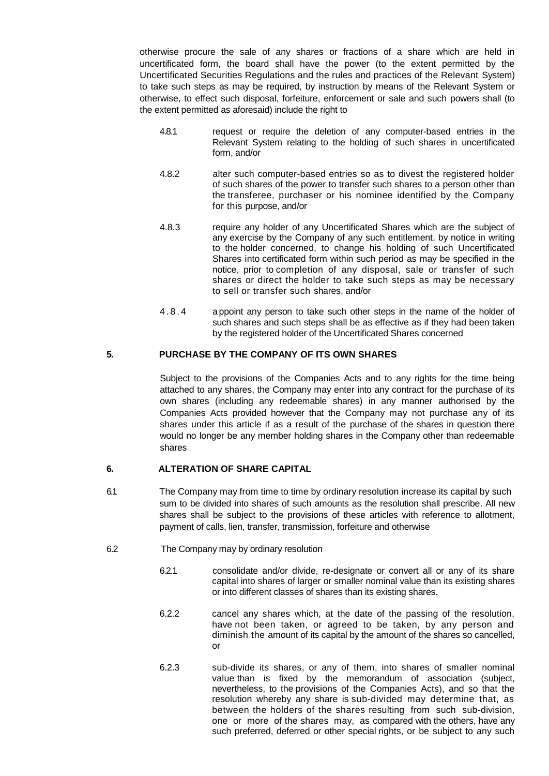otherwise procure the sale of any shares or fractions of a share which are held in uncertificated form, the board shall have the power (to the extent permitted by the Uncertificated Securities Regulations and the rules and practices of the Relevant System) to take such steps as may be required, by instruction by means of the Relevant System or otherwise, to effect such disposal, forfeiture, enforcement or sale and such powers shall (to the extent permitted as aforesaid) include the right to

- 4.8.1 request or require the deletion of any computer-based entries in the Relevant System relating to the holding of such shares in uncertificated form, and/or
- 4.8.2 alter such computer-based entries so as to divest the registered holder of such shares of the power to transfer such shares to a person other than the transferee, purchaser or his nominee identified by the Company for this purpose, and/or
- 4.8.3 require any holder of any Uncertificated Shares which are the subject of any exercise by the Company of any such entitlement, by notice in writing to the holder concerned, to change his holding of such Uncertificated Shares into certificated form within such period as may be specified in the notice, prior to completion of any disposal, sale or transfer of such shares or direct the holder to take such steps as may be necessary to sell or transfer such shares, and/or
- 4 . 8 . 4 a ppoint any person to take such other steps in the name of the holder of such shares and such steps shall be as effective as if they had been taken by the registered holder of the Uncertificated Shares concerned

# **5. PURCHASE BY THE COMPANY OF ITS OWN SHARES**

Subject to the provisions of the Companies Acts and to any rights for the time being attached to any shares, the Company may enter into any contract for the purchase of its own shares (including any redeemable shares) in any manner authorised by the Companies Acts provided however that the Company may not purchase any of its shares under this article if as a result of the purchase of the shares in question there would no longer be any member holding shares in the Company other than redeemable shares

# **6. ALTERATION OF SHARE CAPITAL**

- 6.1 The Company may from time to time by ordinary resolution increase its capital by such sum to be divided into shares of such amounts as the resolution shall prescribe. All new shares shall be subject to the provisions of these articles with reference to allotment, payment of calls, lien, transfer, transmission, forfeiture and otherwise
- 6.2 The Company may by ordinary resolution
	- 6.2.1 consolidate and/or divide, re-designate or convert all or any of its share capital into shares of larger or smaller nominal value than its existing shares or into different classes of shares than its existing shares.
	- 6.2.2 cancel any shares which, at the date of the passing of the resolution, have not been taken, or agreed to be taken, by any person and diminish the amount of its capital by the amount of the shares so cancelled, or
	- 6.2.3 sub-divide its shares, or any of them, into shares of smaller nominal value than is fixed by the memorandum of association (subject, nevertheless, to the provisions of the Companies Acts), and so that the resolution whereby any share is sub-divided may determine that, as between the holders of the shares resulting from such sub-division, one or more of the shares may, as compared with the others, have any such preferred, deferred or other special rights, or be subject to any such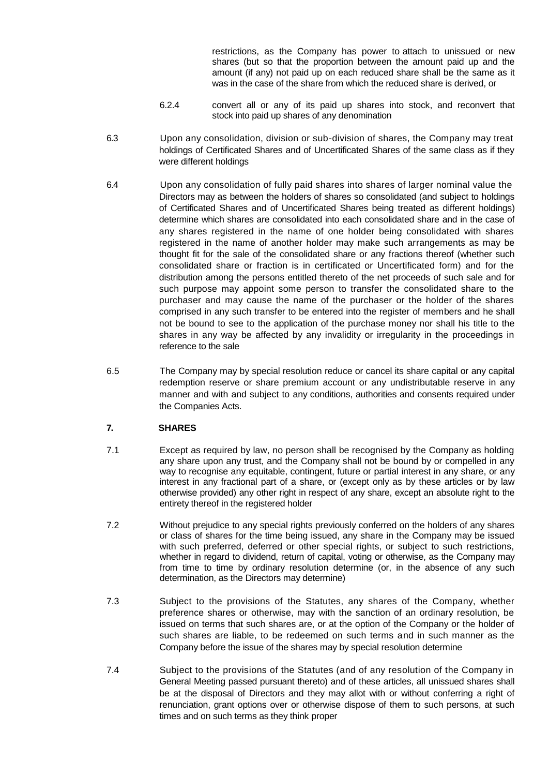restrictions, as the Company has power to attach to unissued or new shares (but so that the proportion between the amount paid up and the amount (if any) not paid up on each reduced share shall be the same as it was in the case of the share from which the reduced share is derived, or

- 6.2.4 convert all or any of its paid up shares into stock, and reconvert that stock into paid up shares of any denomination
- 6.3 Upon any consolidation, division or sub-division of shares, the Company may treat holdings of Certificated Shares and of Uncertificated Shares of the same class as if they were different holdings
- 6.4 Upon any consolidation of fully paid shares into shares of larger nominal value the Directors may as between the holders of shares so consolidated (and subject to holdings of Certificated Shares and of Uncertificated Shares being treated as different holdings) determine which shares are consolidated into each consolidated share and in the case of any shares registered in the name of one holder being consolidated with shares registered in the name of another holder may make such arrangements as may be thought fit for the sale of the consolidated share or any fractions thereof (whether such consolidated share or fraction is in certificated or Uncertificated form) and for the distribution among the persons entitled thereto of the net proceeds of such sale and for such purpose may appoint some person to transfer the consolidated share to the purchaser and may cause the name of the purchaser or the holder of the shares comprised in any such transfer to be entered into the register of members and he shall not be bound to see to the application of the purchase money nor shall his title to the shares in any way be affected by any invalidity or irregularity in the proceedings in reference to the sale
- 6.5 The Company may by special resolution reduce or cancel its share capital or any capital redemption reserve or share premium account or any undistributable reserve in any manner and with and subject to any conditions, authorities and consents required under the Companies Acts.

# **7. SHARES**

- 7.1 Except as required by law, no person shall be recognised by the Company as holding any share upon any trust, and the Company shall not be bound by or compelled in any way to recognise any equitable, contingent, future or partial interest in any share, or any interest in any fractional part of a share, or (except only as by these articles or by law otherwise provided) any other right in respect of any share, except an absolute right to the entirety thereof in the registered holder
- 7.2 Without prejudice to any special rights previously conferred on the holders of any shares or class of shares for the time being issued, any share in the Company may be issued with such preferred, deferred or other special rights, or subject to such restrictions, whether in regard to dividend, return of capital, voting or otherwise, as the Company may from time to time by ordinary resolution determine (or, in the absence of any such determination, as the Directors may determine)
- 7.3 Subject to the provisions of the Statutes, any shares of the Company, whether preference shares or otherwise, may with the sanction of an ordinary resolution, be issued on terms that such shares are, or at the option of the Company or the holder of such shares are liable, to be redeemed on such terms and in such manner as the Company before the issue of the shares may by special resolution determine
- 7.4 Subject to the provisions of the Statutes (and of any resolution of the Company in General Meeting passed pursuant thereto) and of these articles, all unissued shares shall be at the disposal of Directors and they may allot with or without conferring a right of renunciation, grant options over or otherwise dispose of them to such persons, at such times and on such terms as they think proper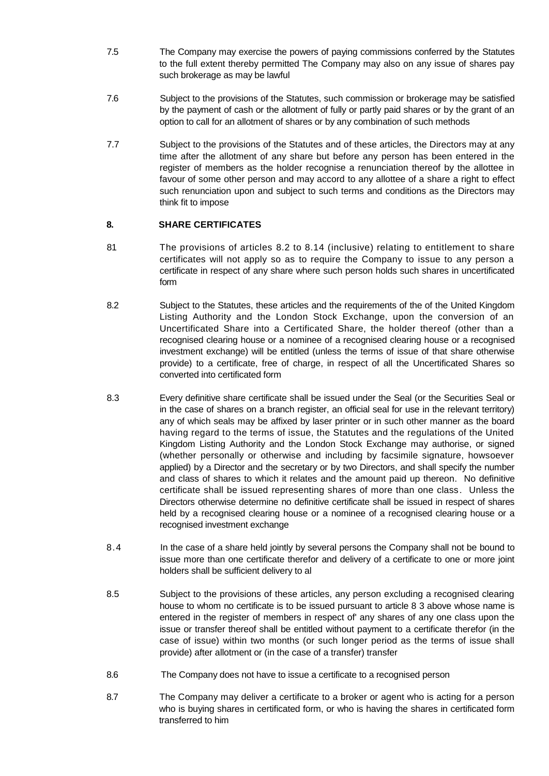- 7.5 The Company may exercise the powers of paying commissions conferred by the Statutes to the full extent thereby permitted The Company may also on any issue of shares pay such brokerage as may be lawful
- 7.6 Subject to the provisions of the Statutes, such commission or brokerage may be satisfied by the payment of cash or the allotment of fully or partly paid shares or by the grant of an option to call for an allotment of shares or by any combination of such methods
- 7.7 Subject to the provisions of the Statutes and of these articles, the Directors may at any time after the allotment of any share but before any person has been entered in the register of members as the holder recognise a renunciation thereof by the allottee in favour of some other person and may accord to any allottee of a share a right to effect such renunciation upon and subject to such terms and conditions as the Directors may think fit to impose

# **8. SHARE CERTIFICATES**

- 81 The provisions of articles 8.2 to 8.14 (inclusive) relating to entitlement to share certificates will not apply so as to require the Company to issue to any person a certificate in respect of any share where such person holds such shares in uncertificated form
- 8.2 Subject to the Statutes, these articles and the requirements of the of the United Kingdom Listing Authority and the London Stock Exchange, upon the conversion of an Uncertificated Share into a Certificated Share, the holder thereof (other than a recognised clearing house or a nominee of a recognised clearing house or a recognised investment exchange) will be entitled (unless the terms of issue of that share otherwise provide) to a certificate, free of charge, in respect of all the Uncertificated Shares so converted into certificated form
- 8.3 Every definitive share certificate shall be issued under the Seal (or the Securities Seal or in the case of shares on a branch register, an official seal for use in the relevant territory) any of which seals may be affixed by laser printer or in such other manner as the board having regard to the terms of issue, the Statutes and the regulations of the United Kingdom Listing Authority and the London Stock Exchange may authorise, or signed (whether personally or otherwise and including by facsimile signature, howsoever applied) by a Director and the secretary or by two Directors, and shall specify the number and class of shares to which it relates and the amount paid up thereon. No definitive certificate shall be issued representing shares of more than one class. Unless the Directors otherwise determine no definitive certificate shall be issued in respect of shares held by a recognised clearing house or a nominee of a recognised clearing house or a recognised investment exchange
- 8.4 In the case of a share held jointly by several persons the Company shall not be bound to issue more than one certificate therefor and delivery of a certificate to one or more joint holders shall be sufficient delivery to al
- 8.5 Subject to the provisions of these articles, any person excluding a recognised clearing house to whom no certificate is to be issued pursuant to article 8 3 above whose name is entered in the register of members in respect of' any shares of any one class upon the issue or transfer thereof shall be entitled without payment to a certificate therefor (in the case of issue) within two months (or such longer period as the terms of issue shall provide) after allotment or (in the case of a transfer) transfer
- 8.6 The Company does not have to issue a certificate to a recognised person
- 8.7 The Company may deliver a certificate to a broker or agent who is acting for a person who is buying shares in certificated form, or who is having the shares in certificated form transferred to him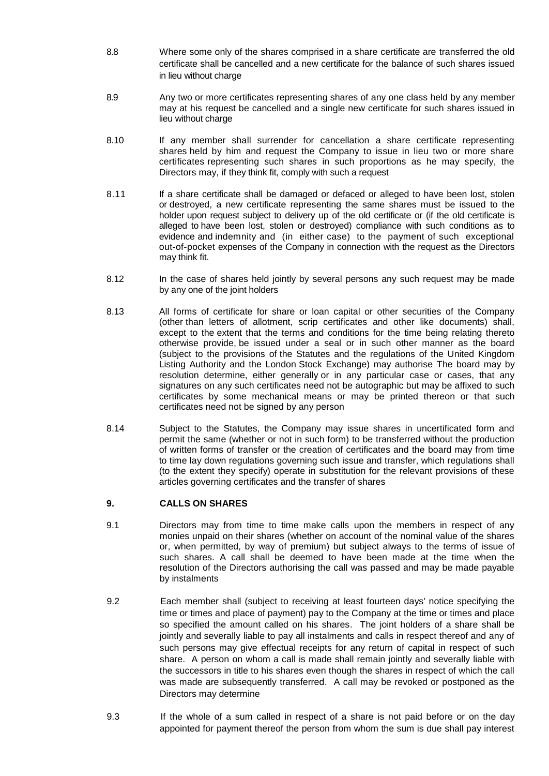- 8.8 Where some only of the shares comprised in a share certificate are transferred the old certificate shall be cancelled and a new certificate for the balance of such shares issued in lieu without charge
- 8.9 Any two or more certificates representing shares of any one class held by any member may at his request be cancelled and a single new certificate for such shares issued in lieu without charge
- 8.10 If any member shall surrender for cancellation a share certificate representing shares held by him and request the Company to issue in lieu two or more share certificates representing such shares in such proportions as he may specify, the Directors may, if they think fit, comply with such a request
- 8.11 If a share certificate shall be damaged or defaced or alleged to have been lost, stolen or destroyed, a new certificate representing the same shares must be issued to the holder upon request subject to delivery up of the old certificate or (if the old certificate is alleged to have been lost, stolen or destroyed) compliance with such conditions as to evidence and indemnity and (in either case) to the payment of such exceptional out-of-pocket expenses of the Company in connection with the request as the Directors may think fit.
- 8.12 In the case of shares held jointly by several persons any such request may be made by any one of the joint holders
- 8.13 All forms of certificate for share or loan capital or other securities of the Company (other than letters of allotment, scrip certificates and other like documents) shall, except to the extent that the terms and conditions for the time being relating thereto otherwise provide, be issued under a seal or in such other manner as the board (subject to the provisions of the Statutes and the regulations of the United Kingdom Listing Authority and the London Stock Exchange) may authorise The board may by resolution determine, either generally or in any particular case or cases, that any signatures on any such certificates need not be autographic but may be affixed to such certificates by some mechanical means or may be printed thereon or that such certificates need not be signed by any person
- 8.14 Subject to the Statutes, the Company may issue shares in uncertificated form and permit the same (whether or not in such form) to be transferred without the production of written forms of transfer or the creation of certificates and the board may from time to time lay down regulations governing such issue and transfer, which regulations shall (to the extent they specify) operate in substitution for the relevant provisions of these articles governing certificates and the transfer of shares

# **9. CALLS ON SHARES**

- 9.1 Directors may from time to time make calls upon the members in respect of any monies unpaid on their shares (whether on account of the nominal value of the shares or, when permitted, by way of premium) but subject always to the terms of issue of such shares. A call shall be deemed to have been made at the time when the resolution of the Directors authorising the call was passed and may be made payable by instalments
- 9.2 Each member shall (subject to receiving at least fourteen days' notice specifying the time or times and place of payment) pay to the Company at the time or times and place so specified the amount called on his shares. The joint holders of a share shall be jointly and severally liable to pay all instalments and calls in respect thereof and any of such persons may give effectual receipts for any return of capital in respect of such share. A person on whom a call is made shall remain jointly and severally liable with the successors in title to his shares even though the shares in respect of which the call was made are subsequently transferred. A call may be revoked or postponed as the Directors may determine
- 9.3 If the whole of a sum called in respect of a share is not paid before or on the day appointed for payment thereof the person from whom the sum is due shall pay interest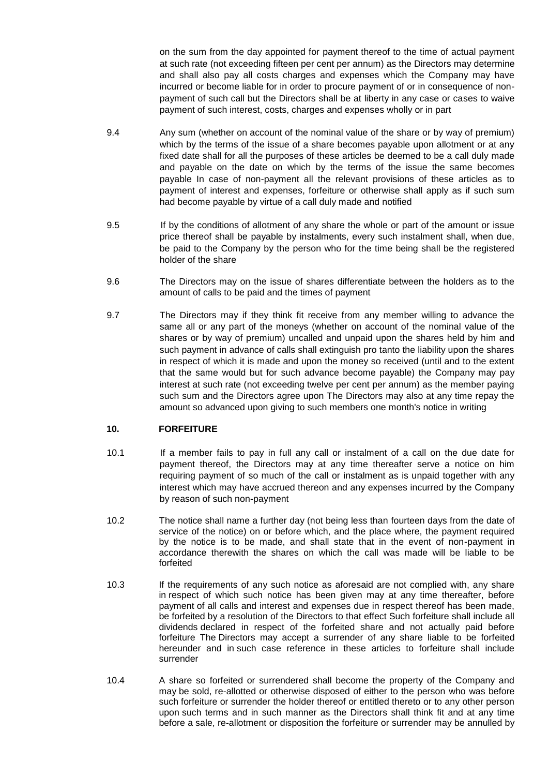on the sum from the day appointed for payment thereof to the time of actual payment at such rate (not exceeding fifteen per cent per annum) as the Directors may determine and shall also pay all costs charges and expenses which the Company may have incurred or become liable for in order to procure payment of or in consequence of nonpayment of such call but the Directors shall be at liberty in any case or cases to waive payment of such interest, costs, charges and expenses wholly or in part

- 9.4 Any sum (whether on account of the nominal value of the share or by way of premium) which by the terms of the issue of a share becomes payable upon allotment or at any fixed date shall for all the purposes of these articles be deemed to be a call duly made and payable on the date on which by the terms of the issue the same becomes payable In case of non-payment all the relevant provisions of these articles as to payment of interest and expenses, forfeiture or otherwise shall apply as if such sum had become payable by virtue of a call duly made and notified
- 9.5 If by the conditions of allotment of any share the whole or part of the amount or issue price thereof shall be payable by instalments, every such instalment shall, when due, be paid to the Company by the person who for the time being shall be the registered holder of the share
- 9.6 The Directors may on the issue of shares differentiate between the holders as to the amount of calls to be paid and the times of payment
- 9.7 The Directors may if they think fit receive from any member willing to advance the same all or any part of the moneys (whether on account of the nominal value of the shares or by way of premium) uncalled and unpaid upon the shares held by him and such payment in advance of calls shall extinguish pro tanto the liability upon the shares in respect of which it is made and upon the money so received (until and to the extent that the same would but for such advance become payable) the Company may pay interest at such rate (not exceeding twelve per cent per annum) as the member paying such sum and the Directors agree upon The Directors may also at any time repay the amount so advanced upon giving to such members one month's notice in writing

### **10. FORFEITURE**

- 10.1 If a member fails to pay in full any call or instalment of a call on the due date for payment thereof, the Directors may at any time thereafter serve a notice on him requiring payment of so much of the call or instalment as is unpaid together with any interest which may have accrued thereon and any expenses incurred by the Company by reason of such non-payment
- 10.2 The notice shall name a further day (not being less than fourteen days from the date of service of the notice) on or before which, and the place where, the payment required by the notice is to be made, and shall state that in the event of non-payment in accordance therewith the shares on which the call was made will be liable to be forfeited
- 10.3 If the requirements of any such notice as aforesaid are not complied with, any share in respect of which such notice has been given may at any time thereafter, before payment of all calls and interest and expenses due in respect thereof has been made, be forfeited by a resolution of the Directors to that effect Such forfeiture shall include all dividends declared in respect of the forfeited share and not actually paid before forfeiture The Directors may accept a surrender of any share liable to be forfeited hereunder and in such case reference in these articles to forfeiture shall include surrender
- 10.4 A share so forfeited or surrendered shall become the property of the Company and may be sold, re-allotted or otherwise disposed of either to the person who was before such forfeiture or surrender the holder thereof or entitled thereto or to any other person upon such terms and in such manner as the Directors shall think fit and at any time before a sale, re-allotment or disposition the forfeiture or surrender may be annulled by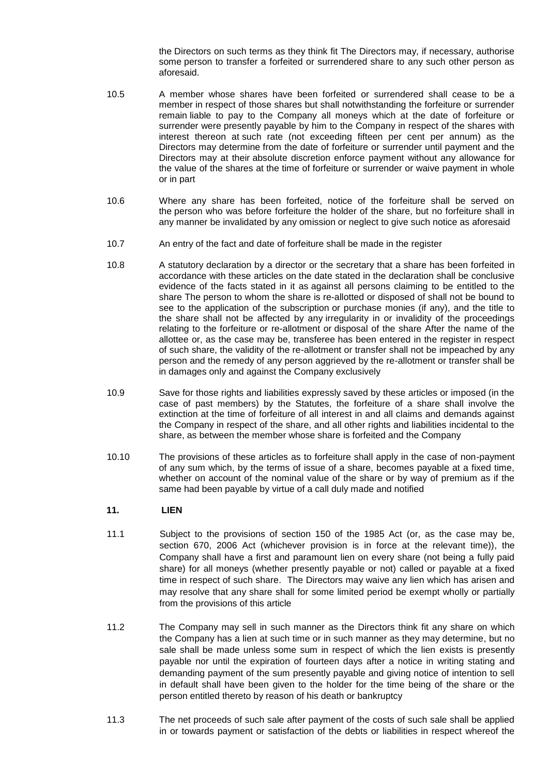the Directors on such terms as they think fit The Directors may, if necessary, authorise some person to transfer a forfeited or surrendered share to any such other person as aforesaid.

- 10.5 A member whose shares have been forfeited or surrendered shall cease to be a member in respect of those shares but shall notwithstanding the forfeiture or surrender remain liable to pay to the Company all moneys which at the date of forfeiture or surrender were presently payable by him to the Company in respect of the shares with interest thereon at such rate (not exceeding fifteen per cent per annum) as the Directors may determine from the date of forfeiture or surrender until payment and the Directors may at their absolute discretion enforce payment without any allowance for the value of the shares at the time of forfeiture or surrender or waive payment in whole or in part
- 10.6 Where any share has been forfeited, notice of the forfeiture shall be served on the person who was before forfeiture the holder of the share, but no forfeiture shall in any manner be invalidated by any omission or neglect to give such notice as aforesaid
- 10.7 An entry of the fact and date of forfeiture shall be made in the register
- 10.8 A statutory declaration by a director or the secretary that a share has been forfeited in accordance with these articles on the date stated in the declaration shall be conclusive evidence of the facts stated in it as against all persons claiming to be entitled to the share The person to whom the share is re-allotted or disposed of shall not be bound to see to the application of the subscription or purchase monies (if any), and the title to the share shall not be affected by any irregularity in or invalidity of the proceedings relating to the forfeiture or re-allotment or disposal of the share After the name of the allottee or, as the case may be, transferee has been entered in the register in respect of such share, the validity of the re-allotment or transfer shall not be impeached by any person and the remedy of any person aggrieved by the re-allotment or transfer shall be in damages only and against the Company exclusively
- 10.9 Save for those rights and liabilities expressly saved by these articles or imposed (in the case of past members) by the Statutes, the forfeiture of a share shall involve the extinction at the time of forfeiture of all interest in and all claims and demands against the Company in respect of the share, and all other rights and liabilities incidental to the share, as between the member whose share is forfeited and the Company
- 10.10 The provisions of these articles as to forfeiture shall apply in the case of non-payment of any sum which, by the terms of issue of a share, becomes payable at a fixed time, whether on account of the nominal value of the share or by way of premium as if the same had been payable by virtue of a call duly made and notified

# **11. LIEN**

- 11.1 Subject to the provisions of section 150 of the 1985 Act (or, as the case may be, section 670, 2006 Act (whichever provision is in force at the relevant time)), the Company shall have a first and paramount lien on every share (not being a fully paid share) for all moneys (whether presently payable or not) called or payable at a fixed time in respect of such share. The Directors may waive any lien which has arisen and may resolve that any share shall for some limited period be exempt wholly or partially from the provisions of this article
- 11.2 The Company may sell in such manner as the Directors think fit any share on which the Company has a lien at such time or in such manner as they may determine, but no sale shall be made unless some sum in respect of which the lien exists is presently payable nor until the expiration of fourteen days after a notice in writing stating and demanding payment of the sum presently payable and giving notice of intention to sell in default shall have been given to the holder for the time being of the share or the person entitled thereto by reason of his death or bankruptcy
- 11.3 The net proceeds of such sale after payment of the costs of such sale shall be applied in or towards payment or satisfaction of the debts or liabilities in respect whereof the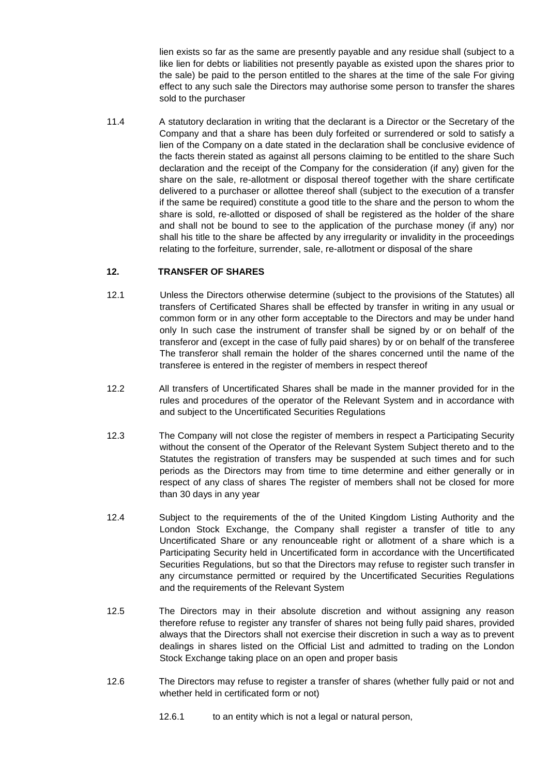lien exists so far as the same are presently payable and any residue shall (subject to a like lien for debts or liabilities not presently payable as existed upon the shares prior to the sale) be paid to the person entitled to the shares at the time of the sale For giving effect to any such sale the Directors may authorise some person to transfer the shares sold to the purchaser

11.4 A statutory declaration in writing that the declarant is a Director or the Secretary of the Company and that a share has been duly forfeited or surrendered or sold to satisfy a lien of the Company on a date stated in the declaration shall be conclusive evidence of the facts therein stated as against all persons claiming to be entitled to the share Such declaration and the receipt of the Company for the consideration (if any) given for the share on the sale, re-allotment or disposal thereof together with the share certificate delivered to a purchaser or allottee thereof shall (subject to the execution of a transfer if the same be required) constitute a good title to the share and the person to whom the share is sold, re-allotted or disposed of shall be registered as the holder of the share and shall not be bound to see to the application of the purchase money (if any) nor shall his title to the share be affected by any irregularity or invalidity in the proceedings relating to the forfeiture, surrender, sale, re-allotment or disposal of the share

# **12. TRANSFER OF SHARES**

- 12.1 Unless the Directors otherwise determine (subject to the provisions of the Statutes) all transfers of Certificated Shares shall be effected by transfer in writing in any usual or common form or in any other form acceptable to the Directors and may be under hand only In such case the instrument of transfer shall be signed by or on behalf of the transferor and (except in the case of fully paid shares) by or on behalf of the transferee The transferor shall remain the holder of the shares concerned until the name of the transferee is entered in the register of members in respect thereof
- 12.2 All transfers of Uncertificated Shares shall be made in the manner provided for in the rules and procedures of the operator of the Relevant System and in accordance with and subject to the Uncertificated Securities Regulations
- 12.3 The Company will not close the register of members in respect a Participating Security without the consent of the Operator of the Relevant System Subject thereto and to the Statutes the registration of transfers may be suspended at such times and for such periods as the Directors may from time to time determine and either generally or in respect of any class of shares The register of members shall not be closed for more than 30 days in any year
- 12.4 Subject to the requirements of the of the United Kingdom Listing Authority and the London Stock Exchange, the Company shall register a transfer of title to any Uncertificated Share or any renounceable right or allotment of a share which is a Participating Security held in Uncertificated form in accordance with the Uncertificated Securities Regulations, but so that the Directors may refuse to register such transfer in any circumstance permitted or required by the Uncertificated Securities Regulations and the requirements of the Relevant System
- 12.5 The Directors may in their absolute discretion and without assigning any reason therefore refuse to register any transfer of shares not being fully paid shares, provided always that the Directors shall not exercise their discretion in such a way as to prevent dealings in shares listed on the Official List and admitted to trading on the London Stock Exchange taking place on an open and proper basis
- 12.6 The Directors may refuse to register a transfer of shares (whether fully paid or not and whether held in certificated form or not)
	- 12.6.1 to an entity which is not a legal or natural person,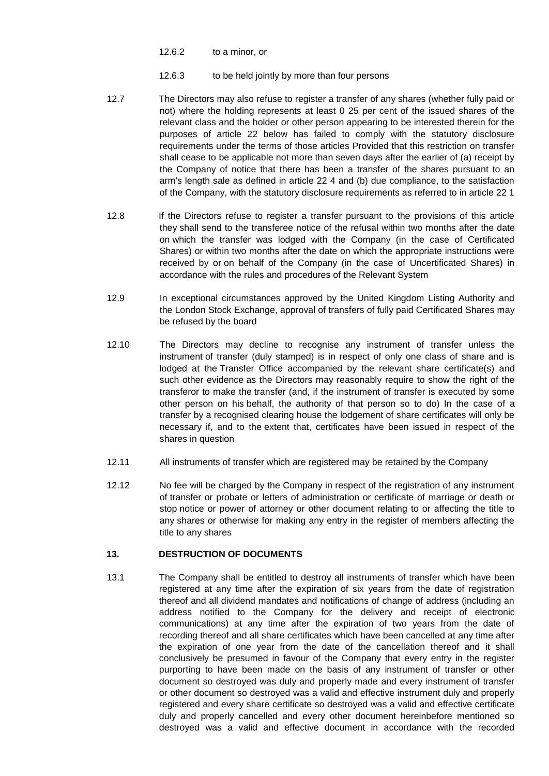- 12.6.2 to a minor, or
- 12.6.3 to be held jointly by more than four persons
- 12.7 The Directors may also refuse to register a transfer of any shares (whether fully paid or not) where the holding represents at least 0 25 per cent of the issued shares of the relevant class and the holder or other person appearing to be interested therein for the purposes of article 22 below has failed to comply with the statutory disclosure requirements under the terms of those articles Provided that this restriction on transfer shall cease to be applicable not more than seven days after the earlier of (a) receipt by the Company of notice that there has been a transfer of the shares pursuant to an arm's length sale as defined in article 22 4 and (b) due compliance, to the satisfaction of the Company, with the statutory disclosure requirements as referred to in article 22 1
- 12.8 If the Directors refuse to register a transfer pursuant to the provisions of this article they shall send to the transferee notice of the refusal within two months after the date on which the transfer was lodged with the Company (in the case of Certificated Shares) or within two months after the date on which the appropriate instructions were received by or on behalf of the Company (in the case of Uncertificated Shares) in accordance with the rules and procedures of the Relevant System
- 12.9 In exceptional circumstances approved by the United Kingdom Listing Authority and the London Stock Exchange, approval of transfers of fully paid Certificated Shares may be refused by the board
- 12.10 The Directors may decline to recognise any instrument of transfer unless the instrument of transfer (duly stamped) is in respect of only one class of share and is lodged at the Transfer Office accompanied by the relevant share certificate(s) and such other evidence as the Directors may reasonably require to show the right of the transferor to make the transfer (and, if the instrument of transfer is executed by some other person on his behalf, the authority of that person so to do) In the case of a transfer by a recognised clearing house the lodgement of share certificates will only be necessary if, and to the extent that, certificates have been issued in respect of the shares in question
- 12.11 All instruments of transfer which are registered may be retained by the Company
- 12.12 No fee will be charged by the Company in respect of the registration of any instrument of transfer or probate or letters of administration or certificate of marriage or death or stop notice or power of attorney or other document relating to or affecting the title to any shares or otherwise for making any entry in the register of members affecting the title to any shares

# **13. DESTRUCTION OF DOCUMENTS**

13.1 The Company shall be entitled to destroy all instruments of transfer which have been registered at any time after the expiration of six years from the date of registration thereof and all dividend mandates and notifications of change of address (including an address notified to the Company for the delivery and receipt of electronic communications) at any time after the expiration of two years from the date of recording thereof and all share certificates which have been cancelled at any time after the expiration of one year from the date of the cancellation thereof and it shall conclusively be presumed in favour of the Company that every entry in the register purporting to have been made on the basis of any instrument of transfer or other document so destroyed was duly and properly made and every instrument of transfer or other document so destroyed was a valid and effective instrument duly and properly registered and every share certificate so destroyed was a valid and effective certificate duly and properly cancelled and every other document hereinbefore mentioned so destroyed was a valid and effective document in accordance with the recorded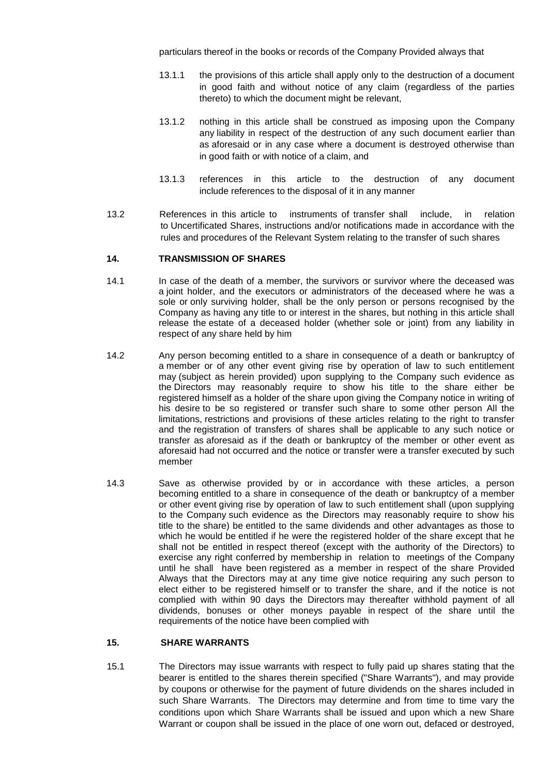particulars thereof in the books or records of the Company Provided always that

- 13.1.1 the provisions of this article shall apply only to the destruction of a document in good faith and without notice of any claim (regardless of the parties thereto) to which the document might be relevant,
- 13.1.2 nothing in this article shall be construed as imposing upon the Company any liability in respect of the destruction of any such document earlier than as aforesaid or in any case where a document is destroyed otherwise than in good faith or with notice of a claim, and
- 13.1.3 references in this article to the destruction of any document include references to the disposal of it in any manner
- 13.2 References in this article to instruments of transfer shall include, in relation to Uncertificated Shares, instructions and/or notifications made in accordance with the rules and procedures of the Relevant System relating to the transfer of such shares

### **14. TRANSMISSION OF SHARES**

- 14.1 In case of the death of a member, the survivors or survivor where the deceased was a joint holder, and the executors or administrators of the deceased where he was a sole or only surviving holder, shall be the only person or persons recognised by the Company as having any title to or interest in the shares, but nothing in this article shall release the estate of a deceased holder (whether sole or joint) from any liability in respect of any share held by him
- 14.2 Any person becoming entitled to a share in consequence of a death or bankruptcy of a member or of any other event giving rise by operation of law to such entitlement may (subject as herein provided) upon supplying to the Company such evidence as the Directors may reasonably require to show his title to the share either be registered himself as a holder of the share upon giving the Company notice in writing of his desire to be so registered or transfer such share to some other person All the limitations, restrictions and provisions of these articles relating to the right to transfer and the registration of transfers of shares shall be applicable to any such notice or transfer as aforesaid as if the death or bankruptcy of the member or other event as aforesaid had not occurred and the notice or transfer were a transfer executed by such member
- 14.3 Save as otherwise provided by or in accordance with these articles, a person becoming entitled to a share in consequence of the death or bankruptcy of a member or other event giving rise by operation of law to such entitlement shall (upon supplying to the Company such evidence as the Directors may reasonably require to show his title to the share) be entitled to the same dividends and other advantages as those to which he would be entitled if he were the registered holder of the share except that he shall not be entitled in respect thereof (except with the authority of the Directors) to exercise any right conferred by membership in relation to meetings of the Company until he shall have been registered as a member in respect of the share Provided Always that the Directors may at any time give notice requiring any such person to elect either to be registered himself or to transfer the share, and if the notice is not complied with within 90 days the Directors may thereafter withhold payment of all dividends, bonuses or other moneys payable in respect of the share until the requirements of the notice have been complied with

### **15. SHARE WARRANTS**

15.1 The Directors may issue warrants with respect to fully paid up shares stating that the bearer is entitled to the shares therein specified ("Share Warrants"), and may provide by coupons or otherwise for the payment of future dividends on the shares included in such Share Warrants. The Directors may determine and from time to time vary the conditions upon which Share Warrants shall be issued and upon which a new Share Warrant or coupon shall be issued in the place of one worn out, defaced or destroyed,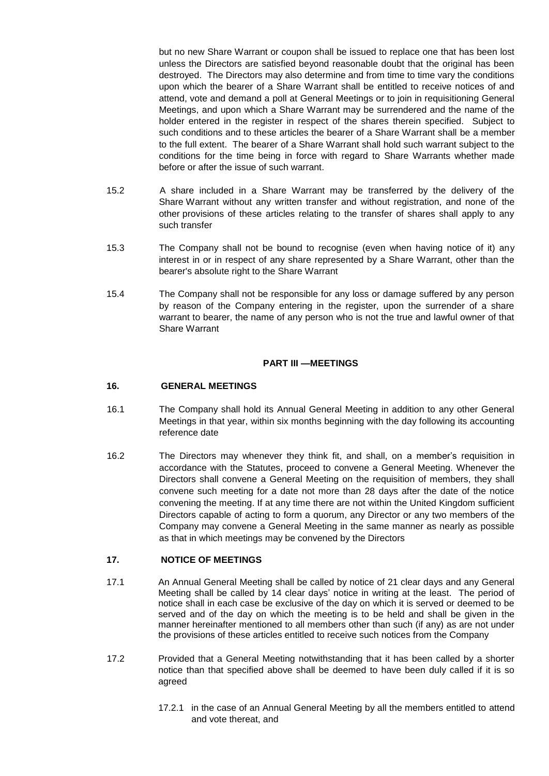but no new Share Warrant or coupon shall be issued to replace one that has been lost unless the Directors are satisfied beyond reasonable doubt that the original has been destroyed. The Directors may also determine and from time to time vary the conditions upon which the bearer of a Share Warrant shall be entitled to receive notices of and attend, vote and demand a poll at General Meetings or to join in requisitioning General Meetings, and upon which a Share Warrant may be surrendered and the name of the holder entered in the register in respect of the shares therein specified. Subject to such conditions and to these articles the bearer of a Share Warrant shall be a member to the full extent. The bearer of a Share Warrant shall hold such warrant subject to the conditions for the time being in force with regard to Share Warrants whether made before or after the issue of such warrant.

- 15.2 A share included in a Share Warrant may be transferred by the delivery of the Share Warrant without any written transfer and without registration, and none of the other provisions of these articles relating to the transfer of shares shall apply to any such transfer
- 15.3 The Company shall not be bound to recognise (even when having notice of it) any interest in or in respect of any share represented by a Share Warrant, other than the bearer's absolute right to the Share Warrant
- 15.4 The Company shall not be responsible for any loss or damage suffered by any person by reason of the Company entering in the register, upon the surrender of a share warrant to bearer, the name of any person who is not the true and lawful owner of that Share Warrant

# **PART III —MEETINGS**

# **16. GENERAL MEETINGS**

- 16.1 The Company shall hold its Annual General Meeting in addition to any other General Meetings in that year, within six months beginning with the day following its accounting reference date
- 16.2 The Directors may whenever they think fit, and shall, on a member's requisition in accordance with the Statutes, proceed to convene a General Meeting. Whenever the Directors shall convene a General Meeting on the requisition of members, they shall convene such meeting for a date not more than 28 days after the date of the notice convening the meeting. If at any time there are not within the United Kingdom sufficient Directors capable of acting to form a quorum, any Director or any two members of the Company may convene a General Meeting in the same manner as nearly as possible as that in which meetings may be convened by the Directors

# **17. NOTICE OF MEETINGS**

- 17.1 An Annual General Meeting shall be called by notice of 21 clear days and any General Meeting shall be called by 14 clear days' notice in writing at the least. The period of notice shall in each case be exclusive of the day on which it is served or deemed to be served and of the day on which the meeting is to be held and shall be given in the manner hereinafter mentioned to all members other than such (if any) as are not under the provisions of these articles entitled to receive such notices from the Company
- 17.2 Provided that a General Meeting notwithstanding that it has been called by a shorter notice than that specified above shall be deemed to have been duly called if it is so agreed
	- 17.2.1 in the case of an Annual General Meeting by all the members entitled to attend and vote thereat, and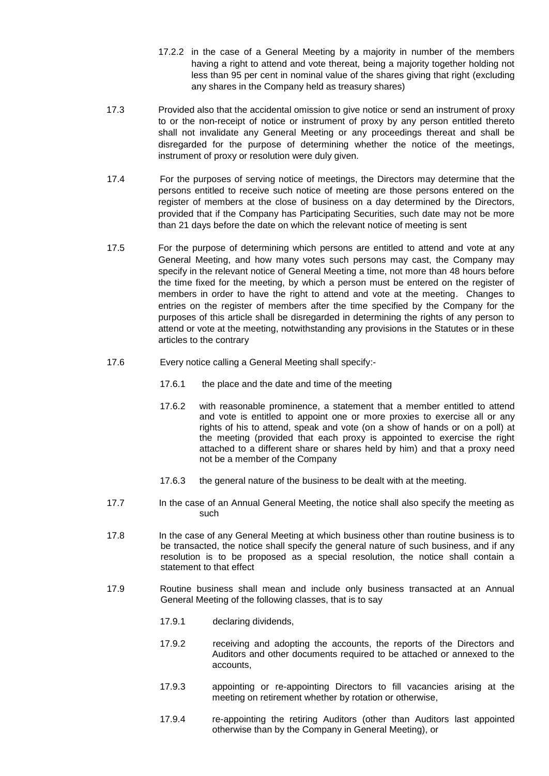- 17.2.2 in the case of a General Meeting by a majority in number of the members having a right to attend and vote thereat, being a majority together holding not less than 95 per cent in nominal value of the shares giving that right (excluding any shares in the Company held as treasury shares)
- 17.3 Provided also that the accidental omission to give notice or send an instrument of proxy to or the non-receipt of notice or instrument of proxy by any person entitled thereto shall not invalidate any General Meeting or any proceedings thereat and shall be disregarded for the purpose of determining whether the notice of the meetings, instrument of proxy or resolution were duly given.
- 17.4 For the purposes of serving notice of meetings, the Directors may determine that the persons entitled to receive such notice of meeting are those persons entered on the register of members at the close of business on a day determined by the Directors, provided that if the Company has Participating Securities, such date may not be more than 21 days before the date on which the relevant notice of meeting is sent
- 17.5 For the purpose of determining which persons are entitled to attend and vote at any General Meeting, and how many votes such persons may cast, the Company may specify in the relevant notice of General Meeting a time, not more than 48 hours before the time fixed for the meeting, by which a person must be entered on the register of members in order to have the right to attend and vote at the meeting. Changes to entries on the register of members after the time specified by the Company for the purposes of this article shall be disregarded in determining the rights of any person to attend or vote at the meeting, notwithstanding any provisions in the Statutes or in these articles to the contrary
- 17.6 Every notice calling a General Meeting shall specify:-
	- 17.6.1 the place and the date and time of the meeting
	- 17.6.2 with reasonable prominence, a statement that a member entitled to attend and vote is entitled to appoint one or more proxies to exercise all or any rights of his to attend, speak and vote (on a show of hands or on a poll) at the meeting (provided that each proxy is appointed to exercise the right attached to a different share or shares held by him) and that a proxy need not be a member of the Company
	- 17.6.3 the general nature of the business to be dealt with at the meeting.
- 17.7 In the case of an Annual General Meeting, the notice shall also specify the meeting as such
- 17.8 In the case of any General Meeting at which business other than routine business is to be transacted, the notice shall specify the general nature of such business, and if any resolution is to be proposed as a special resolution, the notice shall contain a statement to that effect
- 17.9 Routine business shall mean and include only business transacted at an Annual General Meeting of the following classes, that is to say
	- 17.9.1 declaring dividends,
	- 17.9.2 receiving and adopting the accounts, the reports of the Directors and Auditors and other documents required to be attached or annexed to the accounts,
	- 17.9.3 appointing or re-appointing Directors to fill vacancies arising at the meeting on retirement whether by rotation or otherwise,
	- 17.9.4 re-appointing the retiring Auditors (other than Auditors last appointed otherwise than by the Company in General Meeting), or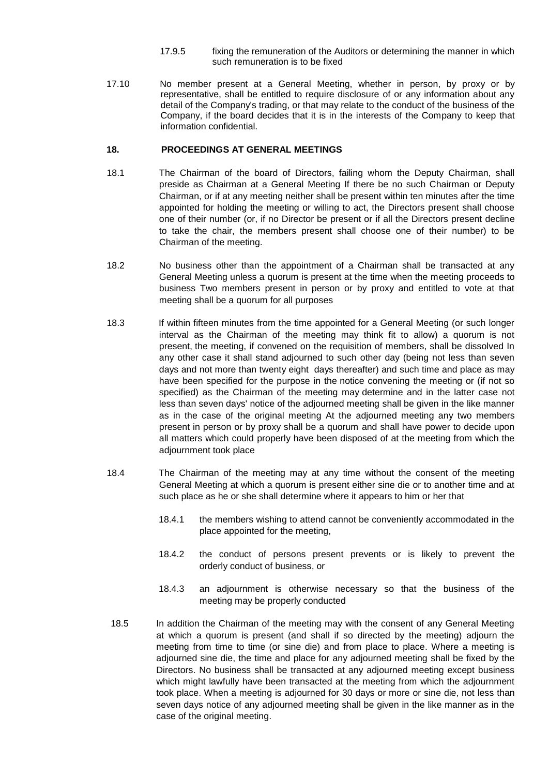- 17.9.5 fixing the remuneration of the Auditors or determining the manner in which such remuneration is to be fixed
- 17.10 No member present at a General Meeting, whether in person, by proxy or by representative, shall be entitled to require disclosure of or any information about any detail of the Company's trading, or that may relate to the conduct of the business of the Company, if the board decides that it is in the interests of the Company to keep that information confidential.

### **18. PROCEEDINGS AT GENERAL MEETINGS**

- 18.1 The Chairman of the board of Directors, failing whom the Deputy Chairman, shall preside as Chairman at a General Meeting If there be no such Chairman or Deputy Chairman, or if at any meeting neither shall be present within ten minutes after the time appointed for holding the meeting or willing to act, the Directors present shall choose one of their number (or, if no Director be present or if all the Directors present decline to take the chair, the members present shall choose one of their number) to be Chairman of the meeting.
- 18.2 No business other than the appointment of a Chairman shall be transacted at any General Meeting unless a quorum is present at the time when the meeting proceeds to business Two members present in person or by proxy and entitled to vote at that meeting shall be a quorum for all purposes
- 18.3 If within fifteen minutes from the time appointed for a General Meeting (or such longer interval as the Chairman of the meeting may think fit to allow) a quorum is not present, the meeting, if convened on the requisition of members, shall be dissolved In any other case it shall stand adjourned to such other day (being not less than seven days and not more than twenty eight days thereafter) and such time and place as may have been specified for the purpose in the notice convening the meeting or (if not so specified) as the Chairman of the meeting may determine and in the latter case not less than seven days' notice of the adjourned meeting shall be given in the like manner as in the case of the original meeting At the adjourned meeting any two members present in person or by proxy shall be a quorum and shall have power to decide upon all matters which could properly have been disposed of at the meeting from which the adjournment took place
- 18.4 The Chairman of the meeting may at any time without the consent of the meeting General Meeting at which a quorum is present either sine die or to another time and at such place as he or she shall determine where it appears to him or her that
	- 18.4.1 the members wishing to attend cannot be conveniently accommodated in the place appointed for the meeting,
	- 18.4.2 the conduct of persons present prevents or is likely to prevent the orderly conduct of business, or
	- 18.4.3 an adjournment is otherwise necessary so that the business of the meeting may be properly conducted
- 18.5 In addition the Chairman of the meeting may with the consent of any General Meeting at which a quorum is present (and shall if so directed by the meeting) adjourn the meeting from time to time (or sine die) and from place to place. Where a meeting is adjourned sine die, the time and place for any adjourned meeting shall be fixed by the Directors. No business shall be transacted at any adjourned meeting except business which might lawfully have been transacted at the meeting from which the adjournment took place. When a meeting is adjourned for 30 days or more or sine die, not less than seven days notice of any adjourned meeting shall be given in the like manner as in the case of the original meeting.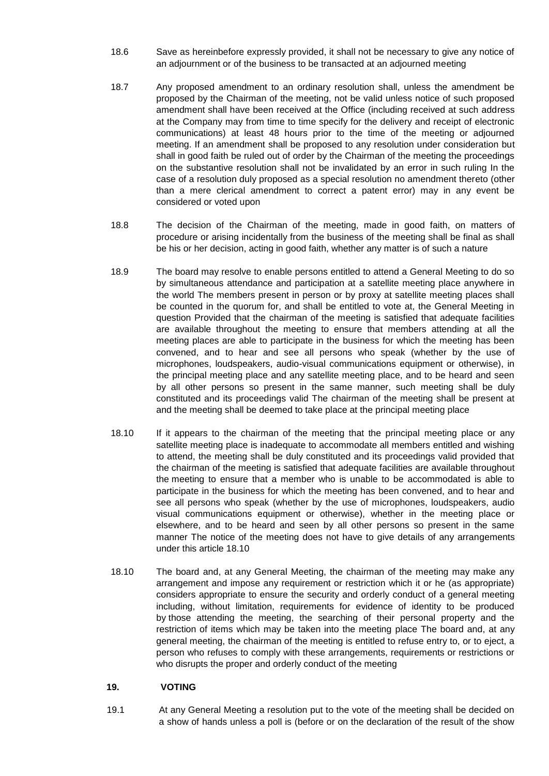- 18.6 Save as hereinbefore expressly provided, it shall not be necessary to give any notice of an adjournment or of the business to be transacted at an adjourned meeting
- 18.7 Any proposed amendment to an ordinary resolution shall, unless the amendment be proposed by the Chairman of the meeting, not be valid unless notice of such proposed amendment shall have been received at the Office (including received at such address at the Company may from time to time specify for the delivery and receipt of electronic communications) at least 48 hours prior to the time of the meeting or adjourned meeting. If an amendment shall be proposed to any resolution under consideration but shall in good faith be ruled out of order by the Chairman of the meeting the proceedings on the substantive resolution shall not be invalidated by an error in such ruling In the case of a resolution duly proposed as a special resolution no amendment thereto (other than a mere clerical amendment to correct a patent error) may in any event be considered or voted upon
- 18.8 The decision of the Chairman of the meeting, made in good faith, on matters of procedure or arising incidentally from the business of the meeting shall be final as shall be his or her decision, acting in good faith, whether any matter is of such a nature
- 18.9 The board may resolve to enable persons entitled to attend a General Meeting to do so by simultaneous attendance and participation at a satellite meeting place anywhere in the world The members present in person or by proxy at satellite meeting places shall be counted in the quorum for, and shall be entitled to vote at, the General Meeting in question Provided that the chairman of the meeting is satisfied that adequate facilities are available throughout the meeting to ensure that members attending at all the meeting places are able to participate in the business for which the meeting has been convened, and to hear and see all persons who speak (whether by the use of microphones, loudspeakers, audio-visual communications equipment or otherwise), in the principal meeting place and any satellite meeting place, and to be heard and seen by all other persons so present in the same manner, such meeting shall be duly constituted and its proceedings valid The chairman of the meeting shall be present at and the meeting shall be deemed to take place at the principal meeting place
- 18.10 If it appears to the chairman of the meeting that the principal meeting place or any satellite meeting place is inadequate to accommodate all members entitled and wishing to attend, the meeting shall be duly constituted and its proceedings valid provided that the chairman of the meeting is satisfied that adequate facilities are available throughout the meeting to ensure that a member who is unable to be accommodated is able to participate in the business for which the meeting has been convened, and to hear and see all persons who speak (whether by the use of microphones, loudspeakers, audio visual communications equipment or otherwise), whether in the meeting place or elsewhere, and to be heard and seen by all other persons so present in the same manner The notice of the meeting does not have to give details of any arrangements under this article 18.10
- 18.10 The board and, at any General Meeting, the chairman of the meeting may make any arrangement and impose any requirement or restriction which it or he (as appropriate) considers appropriate to ensure the security and orderly conduct of a general meeting including, without limitation, requirements for evidence of identity to be produced by those attending the meeting, the searching of their personal property and the restriction of items which may be taken into the meeting place The board and, at any general meeting, the chairman of the meeting is entitled to refuse entry to, or to eject, a person who refuses to comply with these arrangements, requirements or restrictions or who disrupts the proper and orderly conduct of the meeting

# **19. VOTING**

19.1 At any General Meeting a resolution put to the vote of the meeting shall be decided on a show of hands unless a poll is (before or on the declaration of the result of the show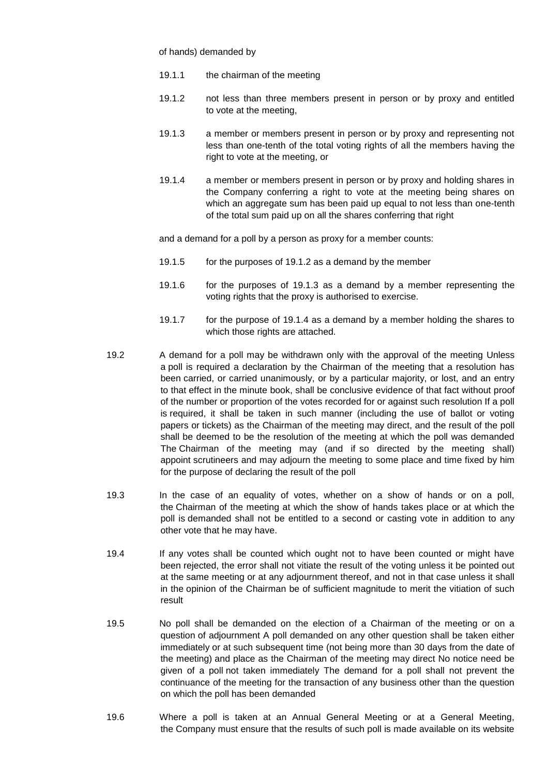of hands) demanded by

- 19.1.1 the chairman of the meeting
- 19.1.2 not less than three members present in person or by proxy and entitled to vote at the meeting,
- 19.1.3 a member or members present in person or by proxy and representing not less than one-tenth of the total voting rights of all the members having the right to vote at the meeting, or
- 19.1.4 a member or members present in person or by proxy and holding shares in the Company conferring a right to vote at the meeting being shares on which an aggregate sum has been paid up equal to not less than one-tenth of the total sum paid up on all the shares conferring that right

and a demand for a poll by a person as proxy for a member counts:

- 19.1.5 for the purposes of 19.1.2 as a demand by the member
- 19.1.6 for the purposes of 19.1.3 as a demand by a member representing the voting rights that the proxy is authorised to exercise.
- 19.1.7 for the purpose of 19.1.4 as a demand by a member holding the shares to which those rights are attached.
- 19.2 A demand for a poll may be withdrawn only with the approval of the meeting Unless a poll is required a declaration by the Chairman of the meeting that a resolution has been carried, or carried unanimously, or by a particular majority, or lost, and an entry to that effect in the minute book, shall be conclusive evidence of that fact without proof of the number or proportion of the votes recorded for or against such resolution If a poll is required, it shall be taken in such manner (including the use of ballot or voting papers or tickets) as the Chairman of the meeting may direct, and the result of the poll shall be deemed to be the resolution of the meeting at which the poll was demanded The Chairman of the meeting may (and if so directed by the meeting shall) appoint scrutineers and may adjourn the meeting to some place and time fixed by him for the purpose of declaring the result of the poll
- 19.3 In the case of an equality of votes, whether on a show of hands or on a poll, the Chairman of the meeting at which the show of hands takes place or at which the poll is demanded shall not be entitled to a second or casting vote in addition to any other vote that he may have.
- 19.4 If any votes shall be counted which ought not to have been counted or might have been rejected, the error shall not vitiate the result of the voting unless it be pointed out at the same meeting or at any adjournment thereof, and not in that case unless it shall in the opinion of the Chairman be of sufficient magnitude to merit the vitiation of such result
- 19.5 No poll shall be demanded on the election of a Chairman of the meeting or on a question of adjournment A poll demanded on any other question shall be taken either immediately or at such subsequent time (not being more than 30 days from the date of the meeting) and place as the Chairman of the meeting may direct No notice need be given of a poll not taken immediately The demand for a poll shall not prevent the continuance of the meeting for the transaction of any business other than the question on which the poll has been demanded
- 19.6 Where a poll is taken at an Annual General Meeting or at a General Meeting, the Company must ensure that the results of such poll is made available on its website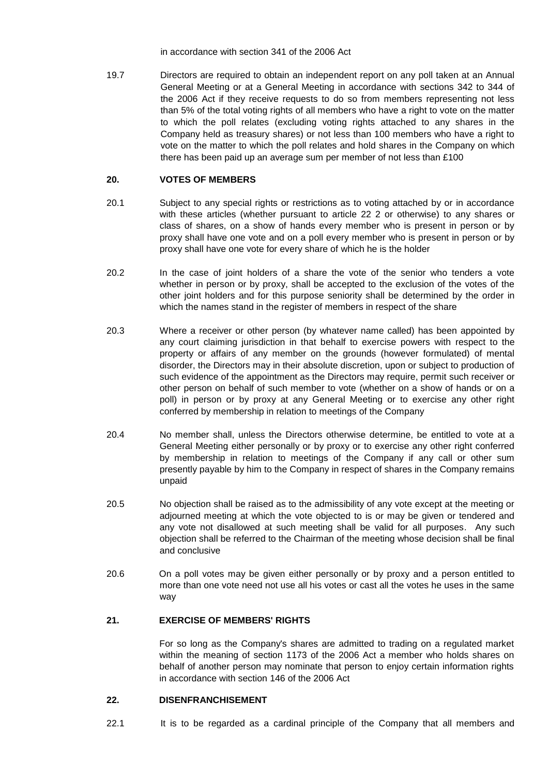in accordance with section 341 of the 2006 Act

19.7 Directors are required to obtain an independent report on any poll taken at an Annual General Meeting or at a General Meeting in accordance with sections 342 to 344 of the 2006 Act if they receive requests to do so from members representing not less than 5% of the total voting rights of all members who have a right to vote on the matter to which the poll relates (excluding voting rights attached to any shares in the Company held as treasury shares) or not less than 100 members who have a right to vote on the matter to which the poll relates and hold shares in the Company on which there has been paid up an average sum per member of not less than £100

### **20. VOTES OF MEMBERS**

- 20.1 Subject to any special rights or restrictions as to voting attached by or in accordance with these articles (whether pursuant to article 22 2 or otherwise) to any shares or class of shares, on a show of hands every member who is present in person or by proxy shall have one vote and on a poll every member who is present in person or by proxy shall have one vote for every share of which he is the holder
- 20.2 In the case of joint holders of a share the vote of the senior who tenders a vote whether in person or by proxy, shall be accepted to the exclusion of the votes of the other joint holders and for this purpose seniority shall be determined by the order in which the names stand in the register of members in respect of the share
- 20.3 Where a receiver or other person (by whatever name called) has been appointed by any court claiming jurisdiction in that behalf to exercise powers with respect to the property or affairs of any member on the grounds (however formulated) of mental disorder, the Directors may in their absolute discretion, upon or subject to production of such evidence of the appointment as the Directors may require, permit such receiver or other person on behalf of such member to vote (whether on a show of hands or on a poll) in person or by proxy at any General Meeting or to exercise any other right conferred by membership in relation to meetings of the Company
- 20.4 No member shall, unless the Directors otherwise determine, be entitled to vote at a General Meeting either personally or by proxy or to exercise any other right conferred by membership in relation to meetings of the Company if any call or other sum presently payable by him to the Company in respect of shares in the Company remains unpaid
- 20.5 No objection shall be raised as to the admissibility of any vote except at the meeting or adjourned meeting at which the vote objected to is or may be given or tendered and any vote not disallowed at such meeting shall be valid for all purposes. Any such objection shall be referred to the Chairman of the meeting whose decision shall be final and conclusive
- 20.6 On a poll votes may be given either personally or by proxy and a person entitled to more than one vote need not use all his votes or cast all the votes he uses in the same way

# **21. EXERCISE OF MEMBERS' RIGHTS**

For so long as the Company's shares are admitted to trading on a regulated market within the meaning of section 1173 of the 2006 Act a member who holds shares on behalf of another person may nominate that person to enjoy certain information rights in accordance with section 146 of the 2006 Act

### **22. DISENFRANCHISEMENT**

22.1 It is to be regarded as a cardinal principle of the Company that all members and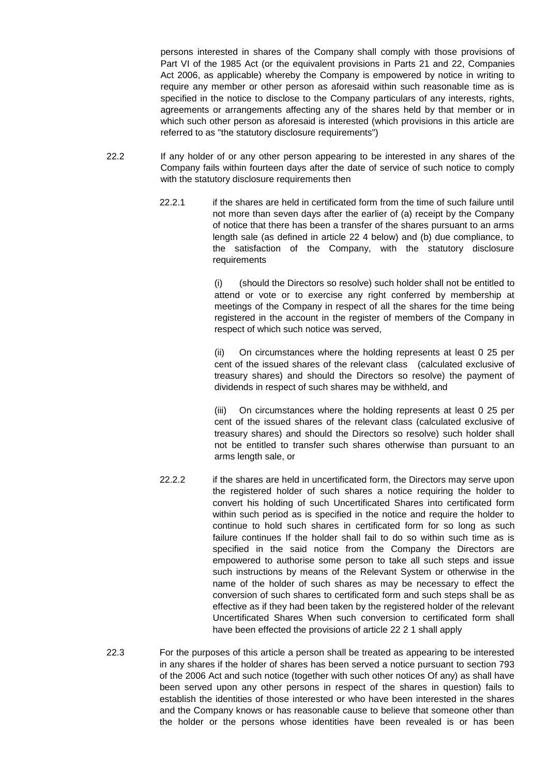persons interested in shares of the Company shall comply with those provisions of Part VI of the 1985 Act (or the equivalent provisions in Parts 21 and 22, Companies Act 2006, as applicable) whereby the Company is empowered by notice in writing to require any member or other person as aforesaid within such reasonable time as is specified in the notice to disclose to the Company particulars of any interests, rights, agreements or arrangements affecting any of the shares held by that member or in which such other person as aforesaid is interested (which provisions in this article are referred to as "the statutory disclosure requirements")

- 22.2 If any holder of or any other person appearing to be interested in any shares of the Company fails within fourteen days after the date of service of such notice to comply with the statutory disclosure requirements then
	- 22.2.1 if the shares are held in certificated form from the time of such failure until not more than seven days after the earlier of (a) receipt by the Company of notice that there has been a transfer of the shares pursuant to an arms length sale (as defined in article 22 4 below) and (b) due compliance, to the satisfaction of the Company, with the statutory disclosure requirements

(i) (should the Directors so resolve) such holder shall not be entitled to attend or vote or to exercise any right conferred by membership at meetings of the Company in respect of all the shares for the time being registered in the account in the register of members of the Company in respect of which such notice was served,

(ii) On circumstances where the holding represents at least 0 25 per cent of the issued shares of the relevant class (calculated exclusive of treasury shares) and should the Directors so resolve) the payment of dividends in respect of such shares may be withheld, and

(iii) On circumstances where the holding represents at least 0 25 per cent of the issued shares of the relevant class (calculated exclusive of treasury shares) and should the Directors so resolve) such holder shall not be entitled to transfer such shares otherwise than pursuant to an arms length sale, or

- 22.2.2 if the shares are held in uncertificated form, the Directors may serve upon the registered holder of such shares a notice requiring the holder to convert his holding of such Uncertificated Shares into certificated form within such period as is specified in the notice and require the holder to continue to hold such shares in certificated form for so long as such failure continues If the holder shall fail to do so within such time as is specified in the said notice from the Company the Directors are empowered to authorise some person to take all such steps and issue such instructions by means of the Relevant System or otherwise in the name of the holder of such shares as may be necessary to effect the conversion of such shares to certificated form and such steps shall be as effective as if they had been taken by the registered holder of the relevant Uncertificated Shares When such conversion to certificated form shall have been effected the provisions of article 22 2 1 shall apply
- 22.3 For the purposes of this article a person shall be treated as appearing to be interested in any shares if the holder of shares has been served a notice pursuant to section 793 of the 2006 Act and such notice (together with such other notices Of any) as shall have been served upon any other persons in respect of the shares in question) fails to establish the identities of those interested or who have been interested in the shares and the Company knows or has reasonable cause to believe that someone other than the holder or the persons whose identities have been revealed is or has been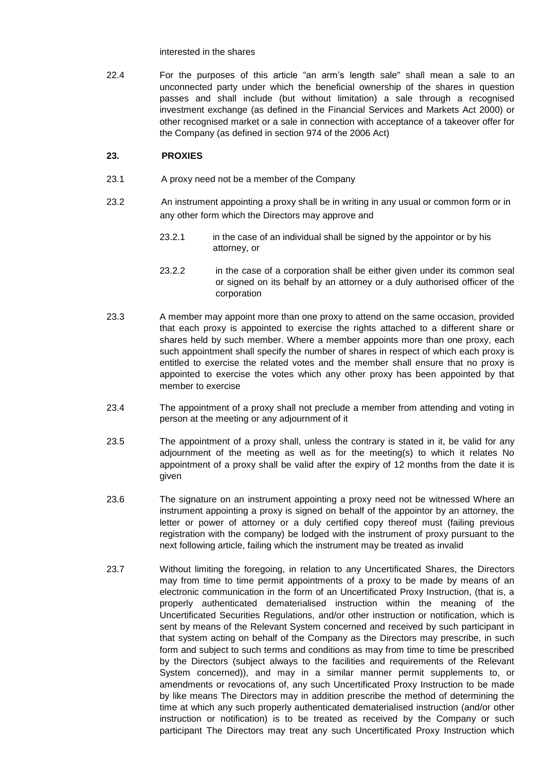interested in the shares

22.4 For the purposes of this article "an arm's length sale" shall mean a sale to an unconnected party under which the beneficial ownership of the shares in question passes and shall include (but without limitation) a sale through a recognised investment exchange (as defined in the Financial Services and Markets Act 2000) or other recognised market or a sale in connection with acceptance of a takeover offer for the Company (as defined in section 974 of the 2006 Act)

### **23. PROXIES**

- 23.1 A proxy need not be a member of the Company
- 23.2 An instrument appointing a proxy shall be in writing in any usual or common form or in any other form which the Directors may approve and
	- 23.2.1 in the case of an individual shall be signed by the appointor or by his attorney, or
	- 23.2.2 in the case of a corporation shall be either given under its common seal or signed on its behalf by an attorney or a duly authorised officer of the corporation
- 23.3 A member may appoint more than one proxy to attend on the same occasion, provided that each proxy is appointed to exercise the rights attached to a different share or shares held by such member. Where a member appoints more than one proxy, each such appointment shall specify the number of shares in respect of which each proxy is entitled to exercise the related votes and the member shall ensure that no proxy is appointed to exercise the votes which any other proxy has been appointed by that member to exercise
- 23.4 The appointment of a proxy shall not preclude a member from attending and voting in person at the meeting or any adjournment of it
- 23.5 The appointment of a proxy shall, unless the contrary is stated in it, be valid for any adjournment of the meeting as well as for the meeting(s) to which it relates No appointment of a proxy shall be valid after the expiry of 12 months from the date it is given
- 23.6 The signature on an instrument appointing a proxy need not be witnessed Where an instrument appointing a proxy is signed on behalf of the appointor by an attorney, the letter or power of attorney or a duly certified copy thereof must (failing previous registration with the company) be lodged with the instrument of proxy pursuant to the next following article, failing which the instrument may be treated as invalid
- 23.7 Without limiting the foregoing, in relation to any Uncertificated Shares, the Directors may from time to time permit appointments of a proxy to be made by means of an electronic communication in the form of an Uncertificated Proxy Instruction, (that is, a properly authenticated dematerialised instruction within the meaning of the Uncertificated Securities Regulations, and/or other instruction or notification, which is sent by means of the Relevant System concerned and received by such participant in that system acting on behalf of the Company as the Directors may prescribe, in such form and subject to such terms and conditions as may from time to time be prescribed by the Directors (subject always to the facilities and requirements of the Relevant System concerned)), and may in a similar manner permit supplements to, or amendments or revocations of, any such Uncertificated Proxy Instruction to be made by like means The Directors may in addition prescribe the method of determining the time at which any such properly authenticated dematerialised instruction (and/or other instruction or notification) is to be treated as received by the Company or such participant The Directors may treat any such Uncertificated Proxy Instruction which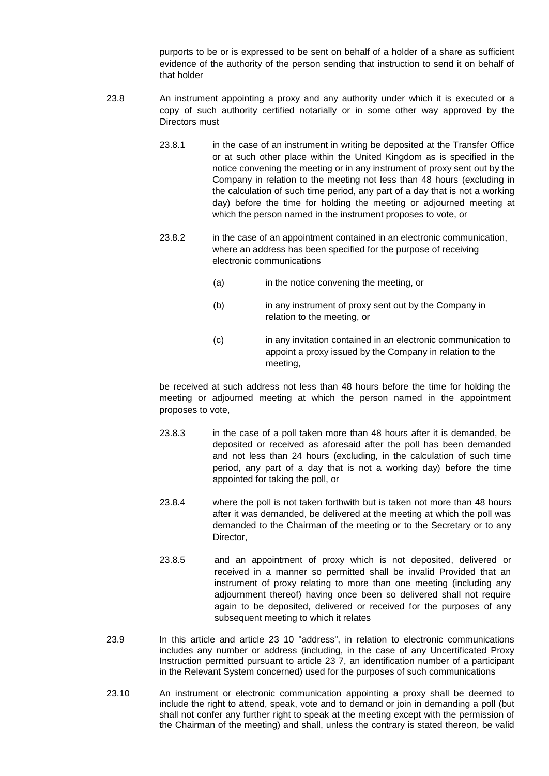purports to be or is expressed to be sent on behalf of a holder of a share as sufficient evidence of the authority of the person sending that instruction to send it on behalf of that holder

- 23.8 An instrument appointing a proxy and any authority under which it is executed or a copy of such authority certified notarially or in some other way approved by the Directors must
	- 23.8.1 in the case of an instrument in writing be deposited at the Transfer Office or at such other place within the United Kingdom as is specified in the notice convening the meeting or in any instrument of proxy sent out by the Company in relation to the meeting not less than 48 hours (excluding in the calculation of such time period, any part of a day that is not a working day) before the time for holding the meeting or adjourned meeting at which the person named in the instrument proposes to vote, or
	- 23.8.2 in the case of an appointment contained in an electronic communication, where an address has been specified for the purpose of receiving electronic communications
		- (a) in the notice convening the meeting, or
		- (b) in any instrument of proxy sent out by the Company in relation to the meeting, or
		- (c) in any invitation contained in an electronic communication to appoint a proxy issued by the Company in relation to the meeting,

be received at such address not less than 48 hours before the time for holding the meeting or adjourned meeting at which the person named in the appointment proposes to vote,

- 23.8.3 in the case of a poll taken more than 48 hours after it is demanded, be deposited or received as aforesaid after the poll has been demanded and not less than 24 hours (excluding, in the calculation of such time period, any part of a day that is not a working day) before the time appointed for taking the poll, or
- 23.8.4 where the poll is not taken forthwith but is taken not more than 48 hours after it was demanded, be delivered at the meeting at which the poll was demanded to the Chairman of the meeting or to the Secretary or to any Director,
- 23.8.5 and an appointment of proxy which is not deposited, delivered or received in a manner so permitted shall be invalid Provided that an instrument of proxy relating to more than one meeting (including any adjournment thereof) having once been so delivered shall not require again to be deposited, delivered or received for the purposes of any subsequent meeting to which it relates
- 23.9 In this article and article 23 10 "address", in relation to electronic communications includes any number or address (including, in the case of any Uncertificated Proxy Instruction permitted pursuant to article 23 7, an identification number of a participant in the Relevant System concerned) used for the purposes of such communications
- 23.10 An instrument or electronic communication appointing a proxy shall be deemed to include the right to attend, speak, vote and to demand or join in demanding a poll (but shall not confer any further right to speak at the meeting except with the permission of the Chairman of the meeting) and shall, unless the contrary is stated thereon, be valid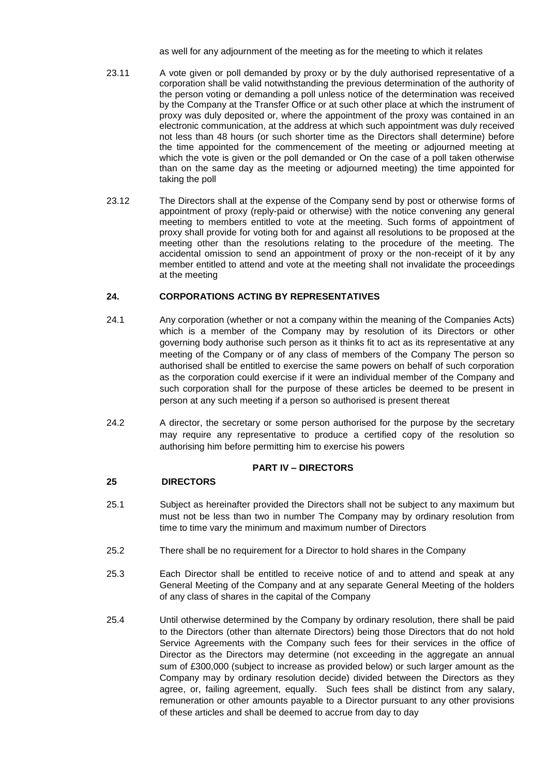as well for any adjournment of the meeting as for the meeting to which it relates

- 23.11 A vote given or poll demanded by proxy or by the duly authorised representative of a corporation shall be valid notwithstanding the previous determination of the authority of the person voting or demanding a poll unless notice of the determination was received by the Company at the Transfer Office or at such other place at which the instrument of proxy was duly deposited or, where the appointment of the proxy was contained in an electronic communication, at the address at which such appointment was duly received not less than 48 hours (or such shorter time as the Directors shall determine) before the time appointed for the commencement of the meeting or adjourned meeting at which the vote is given or the poll demanded or On the case of a poll taken otherwise than on the same day as the meeting or adjourned meeting) the time appointed for taking the poll
- 23.12 The Directors shall at the expense of the Company send by post or otherwise forms of appointment of proxy (reply-paid or otherwise) with the notice convening any general meeting to members entitled to vote at the meeting. Such forms of appointment of proxy shall provide for voting both for and against all resolutions to be proposed at the meeting other than the resolutions relating to the procedure of the meeting. The accidental omission to send an appointment of proxy or the non-receipt of it by any member entitled to attend and vote at the meeting shall not invalidate the proceedings at the meeting

# **24. CORPORATIONS ACTING BY REPRESENTATIVES**

- 24.1 Any corporation (whether or not a company within the meaning of the Companies Acts) which is a member of the Company may by resolution of its Directors or other governing body authorise such person as it thinks fit to act as its representative at any meeting of the Company or of any class of members of the Company The person so authorised shall be entitled to exercise the same powers on behalf of such corporation as the corporation could exercise if it were an individual member of the Company and such corporation shall for the purpose of these articles be deemed to be present in person at any such meeting if a person so authorised is present thereat
- 24.2 A director, the secretary or some person authorised for the purpose by the secretary may require any representative to produce a certified copy of the resolution so authorising him before permitting him to exercise his powers

# **PART IV – DIRECTORS**

# **25 DIRECTORS**

- 25.1 Subject as hereinafter provided the Directors shall not be subject to any maximum but must not be less than two in number The Company may by ordinary resolution from time to time vary the minimum and maximum number of Directors
- 25.2 There shall be no requirement for a Director to hold shares in the Company
- 25.3 Each Director shall be entitled to receive notice of and to attend and speak at any General Meeting of the Company and at any separate General Meeting of the holders of any class of shares in the capital of the Company
- 25.4 Until otherwise determined by the Company by ordinary resolution, there shall be paid to the Directors (other than alternate Directors) being those Directors that do not hold Service Agreements with the Company such fees for their services in the office of Director as the Directors may determine (not exceeding in the aggregate an annual sum of £300,000 (subject to increase as provided below) or such larger amount as the Company may by ordinary resolution decide) divided between the Directors as they agree, or, failing agreement, equally. Such fees shall be distinct from any salary, remuneration or other amounts payable to a Director pursuant to any other provisions of these articles and shall be deemed to accrue from day to day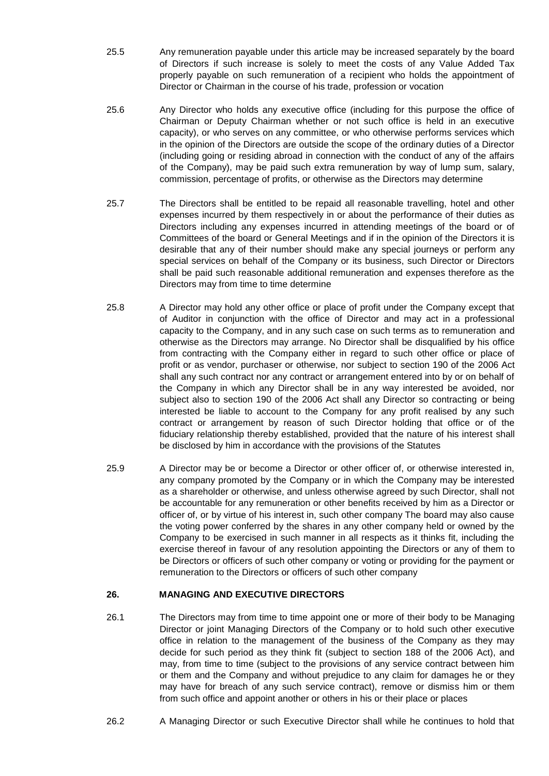- 25.5 Any remuneration payable under this article may be increased separately by the board of Directors if such increase is solely to meet the costs of any Value Added Tax properly payable on such remuneration of a recipient who holds the appointment of Director or Chairman in the course of his trade, profession or vocation
- 25.6 Any Director who holds any executive office (including for this purpose the office of Chairman or Deputy Chairman whether or not such office is held in an executive capacity), or who serves on any committee, or who otherwise performs services which in the opinion of the Directors are outside the scope of the ordinary duties of a Director (including going or residing abroad in connection with the conduct of any of the affairs of the Company), may be paid such extra remuneration by way of lump sum, salary, commission, percentage of profits, or otherwise as the Directors may determine
- 25.7 The Directors shall be entitled to be repaid all reasonable travelling, hotel and other expenses incurred by them respectively in or about the performance of their duties as Directors including any expenses incurred in attending meetings of the board or of Committees of the board or General Meetings and if in the opinion of the Directors it is desirable that any of their number should make any special journeys or perform any special services on behalf of the Company or its business, such Director or Directors shall be paid such reasonable additional remuneration and expenses therefore as the Directors may from time to time determine
- 25.8 A Director may hold any other office or place of profit under the Company except that of Auditor in conjunction with the office of Director and may act in a professional capacity to the Company, and in any such case on such terms as to remuneration and otherwise as the Directors may arrange. No Director shall be disqualified by his office from contracting with the Company either in regard to such other office or place of profit or as vendor, purchaser or otherwise, nor subject to section 190 of the 2006 Act shall any such contract nor any contract or arrangement entered into by or on behalf of the Company in which any Director shall be in any way interested be avoided, nor subject also to section 190 of the 2006 Act shall any Director so contracting or being interested be liable to account to the Company for any profit realised by any such contract or arrangement by reason of such Director holding that office or of the fiduciary relationship thereby established, provided that the nature of his interest shall be disclosed by him in accordance with the provisions of the Statutes
- 25.9 A Director may be or become a Director or other officer of, or otherwise interested in, any company promoted by the Company or in which the Company may be interested as a shareholder or otherwise, and unless otherwise agreed by such Director, shall not be accountable for any remuneration or other benefits received by him as a Director or officer of, or by virtue of his interest in, such other company The board may also cause the voting power conferred by the shares in any other company held or owned by the Company to be exercised in such manner in all respects as it thinks fit, including the exercise thereof in favour of any resolution appointing the Directors or any of them to be Directors or officers of such other company or voting or providing for the payment or remuneration to the Directors or officers of such other company

# **26. MANAGING AND EXECUTIVE DIRECTORS**

- 26.1 The Directors may from time to time appoint one or more of their body to be Managing Director or joint Managing Directors of the Company or to hold such other executive office in relation to the management of the business of the Company as they may decide for such period as they think fit (subject to section 188 of the 2006 Act), and may, from time to time (subject to the provisions of any service contract between him or them and the Company and without prejudice to any claim for damages he or they may have for breach of any such service contract), remove or dismiss him or them from such office and appoint another or others in his or their place or places
- 26.2 A Managing Director or such Executive Director shall while he continues to hold that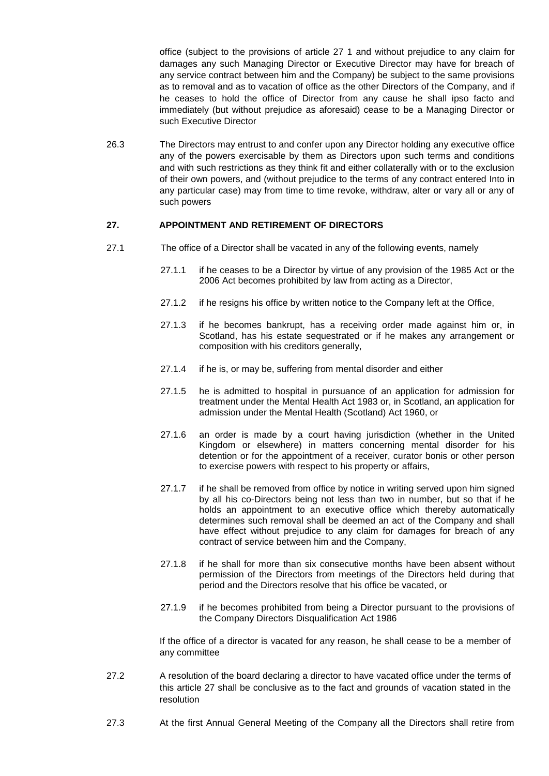office (subject to the provisions of article 27 1 and without prejudice to any claim for damages any such Managing Director or Executive Director may have for breach of any service contract between him and the Company) be subject to the same provisions as to removal and as to vacation of office as the other Directors of the Company, and if he ceases to hold the office of Director from any cause he shall ipso facto and immediately (but without prejudice as aforesaid) cease to be a Managing Director or such Executive Director

26.3 The Directors may entrust to and confer upon any Director holding any executive office any of the powers exercisable by them as Directors upon such terms and conditions and with such restrictions as they think fit and either collaterally with or to the exclusion of their own powers, and (without prejudice to the terms of any contract entered Into in any particular case) may from time to time revoke, withdraw, alter or vary all or any of such powers

### **27. APPOINTMENT AND RETIREMENT OF DIRECTORS**

- 27.1 The office of a Director shall be vacated in any of the following events, namely
	- 27.1.1 if he ceases to be a Director by virtue of any provision of the 1985 Act or the 2006 Act becomes prohibited by law from acting as a Director,
	- 27.1.2 if he resigns his office by written notice to the Company left at the Office,
	- 27.1.3 if he becomes bankrupt, has a receiving order made against him or, in Scotland, has his estate sequestrated or if he makes any arrangement or composition with his creditors generally,
	- 27.1.4 if he is, or may be, suffering from mental disorder and either
	- 27.1.5 he is admitted to hospital in pursuance of an application for admission for treatment under the Mental Health Act 1983 or, in Scotland, an application for admission under the Mental Health (Scotland) Act 1960, or
	- 27.1.6 an order is made by a court having jurisdiction (whether in the United Kingdom or elsewhere) in matters concerning mental disorder for his detention or for the appointment of a receiver, curator bonis or other person to exercise powers with respect to his property or affairs,
	- 27.1.7 if he shall be removed from office by notice in writing served upon him signed by all his co-Directors being not less than two in number, but so that if he holds an appointment to an executive office which thereby automatically determines such removal shall be deemed an act of the Company and shall have effect without prejudice to any claim for damages for breach of any contract of service between him and the Company,
	- 27.1.8 if he shall for more than six consecutive months have been absent without permission of the Directors from meetings of the Directors held during that period and the Directors resolve that his office be vacated, or
	- 27.1.9 if he becomes prohibited from being a Director pursuant to the provisions of the Company Directors Disqualification Act 1986

If the office of a director is vacated for any reason, he shall cease to be a member of any committee

- 27.2 A resolution of the board declaring a director to have vacated office under the terms of this article 27 shall be conclusive as to the fact and grounds of vacation stated in the resolution
- 27.3 At the first Annual General Meeting of the Company all the Directors shall retire from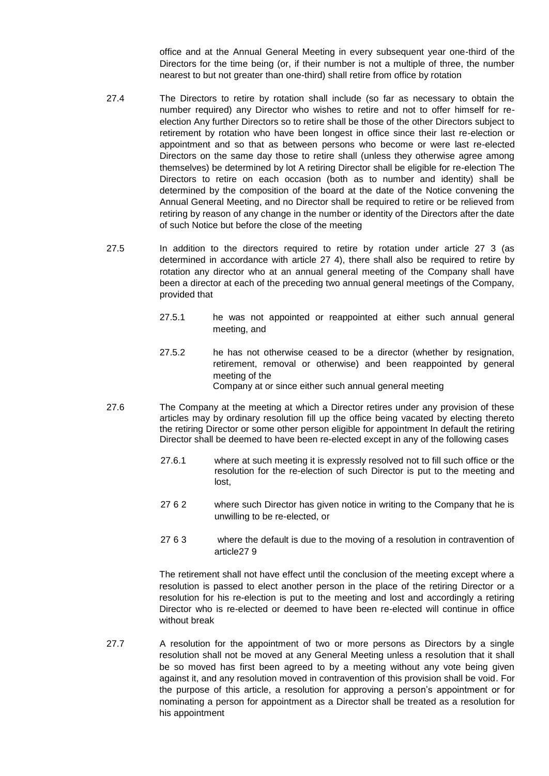office and at the Annual General Meeting in every subsequent year one-third of the Directors for the time being (or, if their number is not a multiple of three, the number nearest to but not greater than one-third) shall retire from office by rotation

- 27.4 The Directors to retire by rotation shall include (so far as necessary to obtain the number required) any Director who wishes to retire and not to offer himself for reelection Any further Directors so to retire shall be those of the other Directors subject to retirement by rotation who have been longest in office since their last re-election or appointment and so that as between persons who become or were last re-elected Directors on the same day those to retire shall (unless they otherwise agree among themselves) be determined by lot A retiring Director shall be eligible for re-election The Directors to retire on each occasion (both as to number and identity) shall be determined by the composition of the board at the date of the Notice convening the Annual General Meeting, and no Director shall be required to retire or be relieved from retiring by reason of any change in the number or identity of the Directors after the date of such Notice but before the close of the meeting
- 27.5 In addition to the directors required to retire by rotation under article 27 3 (as determined in accordance with article 27 4), there shall also be required to retire by rotation any director who at an annual general meeting of the Company shall have been a director at each of the preceding two annual general meetings of the Company, provided that
	- 27.5.1 he was not appointed or reappointed at either such annual general meeting, and
	- 27.5.2 he has not otherwise ceased to be a director (whether by resignation, retirement, removal or otherwise) and been reappointed by general meeting of the Company at or since either such annual general meeting
- 27.6 The Company at the meeting at which a Director retires under any provision of these articles may by ordinary resolution fill up the office being vacated by electing thereto the retiring Director or some other person eligible for appointment In default the retiring Director shall be deemed to have been re-elected except in any of the following cases
	- 27.6.1 where at such meeting it is expressly resolved not to fill such office or the resolution for the re-election of such Director is put to the meeting and lost,
	- 27 6 2 where such Director has given notice in writing to the Company that he is unwilling to be re-elected, or
	- 27 6 3 where the default is due to the moving of a resolution in contravention of article27 9

The retirement shall not have effect until the conclusion of the meeting except where a resolution is passed to elect another person in the place of the retiring Director or a resolution for his re-election is put to the meeting and lost and accordingly a retiring Director who is re-elected or deemed to have been re-elected will continue in office without break

27.7 A resolution for the appointment of two or more persons as Directors by a single resolution shall not be moved at any General Meeting unless a resolution that it shall be so moved has first been agreed to by a meeting without any vote being given against it, and any resolution moved in contravention of this provision shall be void. For the purpose of this article, a resolution for approving a person's appointment or for nominating a person for appointment as a Director shall be treated as a resolution for his appointment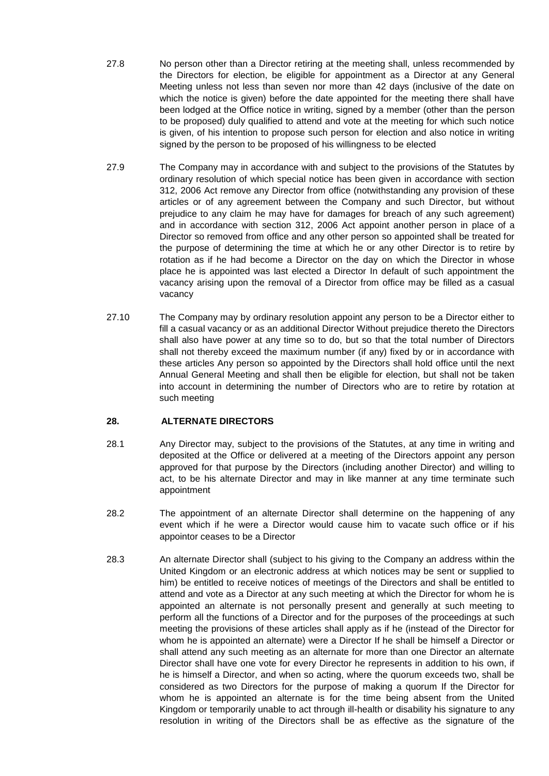- 27.8 No person other than a Director retiring at the meeting shall, unless recommended by the Directors for election, be eligible for appointment as a Director at any General Meeting unless not less than seven nor more than 42 days (inclusive of the date on which the notice is given) before the date appointed for the meeting there shall have been lodged at the Office notice in writing, signed by a member (other than the person to be proposed) duly qualified to attend and vote at the meeting for which such notice is given, of his intention to propose such person for election and also notice in writing signed by the person to be proposed of his willingness to be elected
- 27.9 The Company may in accordance with and subject to the provisions of the Statutes by ordinary resolution of which special notice has been given in accordance with section 312, 2006 Act remove any Director from office (notwithstanding any provision of these articles or of any agreement between the Company and such Director, but without prejudice to any claim he may have for damages for breach of any such agreement) and in accordance with section 312, 2006 Act appoint another person in place of a Director so removed from office and any other person so appointed shall be treated for the purpose of determining the time at which he or any other Director is to retire by rotation as if he had become a Director on the day on which the Director in whose place he is appointed was last elected a Director In default of such appointment the vacancy arising upon the removal of a Director from office may be filled as a casual vacancy
- 27.10 The Company may by ordinary resolution appoint any person to be a Director either to fill a casual vacancy or as an additional Director Without prejudice thereto the Directors shall also have power at any time so to do, but so that the total number of Directors shall not thereby exceed the maximum number (if any) fixed by or in accordance with these articles Any person so appointed by the Directors shall hold office until the next Annual General Meeting and shall then be eligible for election, but shall not be taken into account in determining the number of Directors who are to retire by rotation at such meeting

# **28. ALTERNATE DIRECTORS**

- 28.1 Any Director may, subject to the provisions of the Statutes, at any time in writing and deposited at the Office or delivered at a meeting of the Directors appoint any person approved for that purpose by the Directors (including another Director) and willing to act, to be his alternate Director and may in like manner at any time terminate such appointment
- 28.2 The appointment of an alternate Director shall determine on the happening of any event which if he were a Director would cause him to vacate such office or if his appointor ceases to be a Director
- 28.3 An alternate Director shall (subject to his giving to the Company an address within the United Kingdom or an electronic address at which notices may be sent or supplied to him) be entitled to receive notices of meetings of the Directors and shall be entitled to attend and vote as a Director at any such meeting at which the Director for whom he is appointed an alternate is not personally present and generally at such meeting to perform all the functions of a Director and for the purposes of the proceedings at such meeting the provisions of these articles shall apply as if he (instead of the Director for whom he is appointed an alternate) were a Director If he shall be himself a Director or shall attend any such meeting as an alternate for more than one Director an alternate Director shall have one vote for every Director he represents in addition to his own, if he is himself a Director, and when so acting, where the quorum exceeds two, shall be considered as two Directors for the purpose of making a quorum If the Director for whom he is appointed an alternate is for the time being absent from the United Kingdom or temporarily unable to act through ill-health or disability his signature to any resolution in writing of the Directors shall be as effective as the signature of the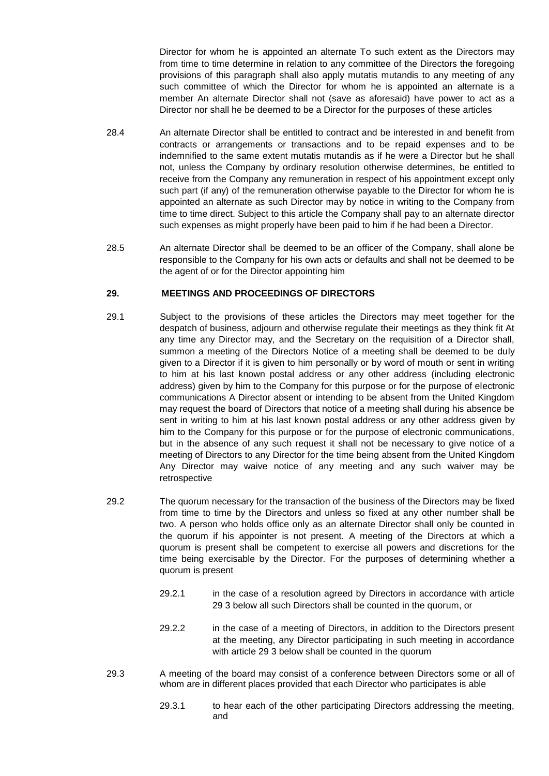Director for whom he is appointed an alternate To such extent as the Directors may from time to time determine in relation to any committee of the Directors the foregoing provisions of this paragraph shall also apply mutatis mutandis to any meeting of any such committee of which the Director for whom he is appointed an alternate is a member An alternate Director shall not (save as aforesaid) have power to act as a Director nor shall he be deemed to be a Director for the purposes of these articles

- 28.4 An alternate Director shall be entitled to contract and be interested in and benefit from contracts or arrangements or transactions and to be repaid expenses and to be indemnified to the same extent mutatis mutandis as if he were a Director but he shall not, unless the Company by ordinary resolution otherwise determines, be entitled to receive from the Company any remuneration in respect of his appointment except only such part (if any) of the remuneration otherwise payable to the Director for whom he is appointed an alternate as such Director may by notice in writing to the Company from time to time direct. Subject to this article the Company shall pay to an alternate director such expenses as might properly have been paid to him if he had been a Director.
- 28.5 An alternate Director shall be deemed to be an officer of the Company, shall alone be responsible to the Company for his own acts or defaults and shall not be deemed to be the agent of or for the Director appointing him

### **29. MEETINGS AND PROCEEDINGS OF DIRECTORS**

- 29.1 Subject to the provisions of these articles the Directors may meet together for the despatch of business, adjourn and otherwise regulate their meetings as they think fit At any time any Director may, and the Secretary on the requisition of a Director shall, summon a meeting of the Directors Notice of a meeting shall be deemed to be duly given to a Director if it is given to him personally or by word of mouth or sent in writing to him at his last known postal address or any other address (including electronic address) given by him to the Company for this purpose or for the purpose of electronic communications A Director absent or intending to be absent from the United Kingdom may request the board of Directors that notice of a meeting shall during his absence be sent in writing to him at his last known postal address or any other address given by him to the Company for this purpose or for the purpose of electronic communications, but in the absence of any such request it shall not be necessary to give notice of a meeting of Directors to any Director for the time being absent from the United Kingdom Any Director may waive notice of any meeting and any such waiver may be retrospective
- 29.2 The quorum necessary for the transaction of the business of the Directors may be fixed from time to time by the Directors and unless so fixed at any other number shall be two. A person who holds office only as an alternate Director shall only be counted in the quorum if his appointer is not present. A meeting of the Directors at which a quorum is present shall be competent to exercise all powers and discretions for the time being exercisable by the Director. For the purposes of determining whether a quorum is present
	- 29.2.1 in the case of a resolution agreed by Directors in accordance with article 29 3 below all such Directors shall be counted in the quorum, or
	- 29.2.2 in the case of a meeting of Directors, in addition to the Directors present at the meeting, any Director participating in such meeting in accordance with article 29 3 below shall be counted in the quorum
- 29.3 A meeting of the board may consist of a conference between Directors some or all of whom are in different places provided that each Director who participates is able
	- 29.3.1 to hear each of the other participating Directors addressing the meeting, and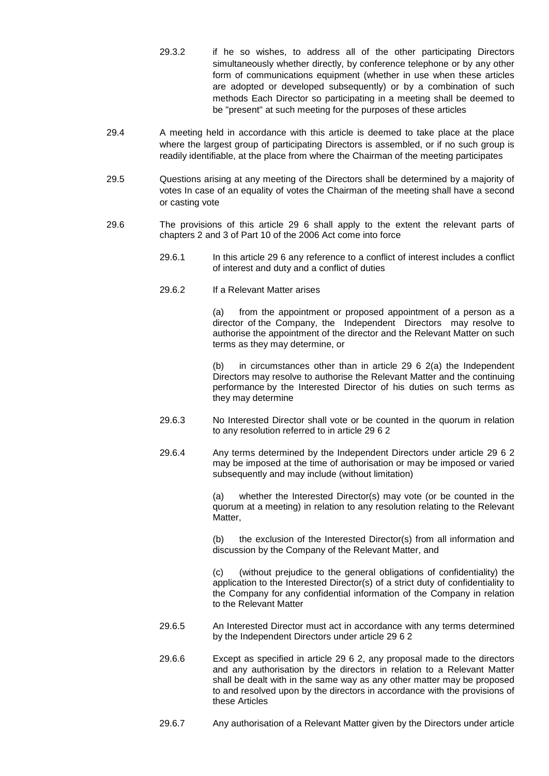- 29.3.2 if he so wishes, to address all of the other participating Directors simultaneously whether directly, by conference telephone or by any other form of communications equipment (whether in use when these articles are adopted or developed subsequently) or by a combination of such methods Each Director so participating in a meeting shall be deemed to be "present" at such meeting for the purposes of these articles
- 29.4 A meeting held in accordance with this article is deemed to take place at the place where the largest group of participating Directors is assembled, or if no such group is readily identifiable, at the place from where the Chairman of the meeting participates
- 29.5 Questions arising at any meeting of the Directors shall be determined by a majority of votes In case of an equality of votes the Chairman of the meeting shall have a second or casting vote
- 29.6 The provisions of this article 29 6 shall apply to the extent the relevant parts of chapters 2 and 3 of Part 10 of the 2006 Act come into force
	- 29.6.1 In this article 29 6 any reference to a conflict of interest includes a conflict of interest and duty and a conflict of duties
	- 29.6.2 If a Relevant Matter arises

(a) from the appointment or proposed appointment of a person as a director of the Company, the Independent Directors may resolve to authorise the appointment of the director and the Relevant Matter on such terms as they may determine, or

(b) in circumstances other than in article 29 6 2(a) the Independent Directors may resolve to authorise the Relevant Matter and the continuing performance by the Interested Director of his duties on such terms as they may determine

- 29.6.3 No Interested Director shall vote or be counted in the quorum in relation to any resolution referred to in article 29 6 2
- 29.6.4 Any terms determined by the Independent Directors under article 29 6 2 may be imposed at the time of authorisation or may be imposed or varied subsequently and may include (without limitation)

(a) whether the Interested Director(s) may vote (or be counted in the quorum at a meeting) in relation to any resolution relating to the Relevant Matter,

(b) the exclusion of the Interested Director(s) from all information and discussion by the Company of the Relevant Matter, and

(c) (without prejudice to the general obligations of confidentiality) the application to the Interested Director(s) of a strict duty of confidentiality to the Company for any confidential information of the Company in relation to the Relevant Matter

- 29.6.5 An Interested Director must act in accordance with any terms determined by the Independent Directors under article 29 6 2
- 29.6.6 Except as specified in article 29 6 2, any proposal made to the directors and any authorisation by the directors in relation to a Relevant Matter shall be dealt with in the same way as any other matter may be proposed to and resolved upon by the directors in accordance with the provisions of these Articles
- 29.6.7 Any authorisation of a Relevant Matter given by the Directors under article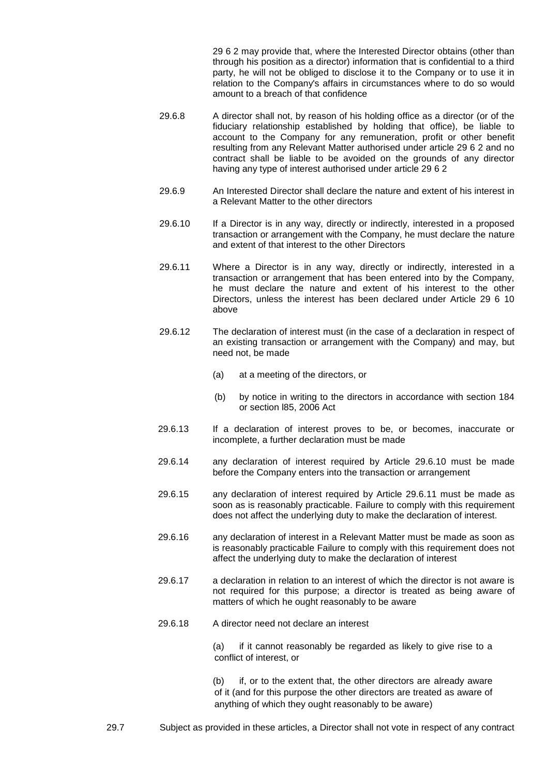29 6 2 may provide that, where the Interested Director obtains (other than through his position as a director) information that is confidential to a third party, he will not be obliged to disclose it to the Company or to use it in relation to the Company's affairs in circumstances where to do so would amount to a breach of that confidence

- 29.6.8 A director shall not, by reason of his holding office as a director (or of the fiduciary relationship established by holding that office), be liable to account to the Company for any remuneration, profit or other benefit resulting from any Relevant Matter authorised under article 29 6 2 and no contract shall be liable to be avoided on the grounds of any director having any type of interest authorised under article 29 6 2
- 29.6.9 An Interested Director shall declare the nature and extent of his interest in a Relevant Matter to the other directors
- 29.6.10 If a Director is in any way, directly or indirectly, interested in a proposed transaction or arrangement with the Company, he must declare the nature and extent of that interest to the other Directors
- 29.6.11 Where a Director is in any way, directly or indirectly, interested in a transaction or arrangement that has been entered into by the Company, he must declare the nature and extent of his interest to the other Directors, unless the interest has been declared under Article 29 6 10 above
- 29.6.12 The declaration of interest must (in the case of a declaration in respect of an existing transaction or arrangement with the Company) and may, but need not, be made
	- (a) at a meeting of the directors, or
	- (b) by notice in writing to the directors in accordance with section 184 or section l85, 2006 Act
- 29.6.13 If a declaration of interest proves to be, or becomes, inaccurate or incomplete, a further declaration must be made
- 29.6.14 any declaration of interest required by Article 29.6.10 must be made before the Company enters into the transaction or arrangement
- 29.6.15 any declaration of interest required by Article 29.6.11 must be made as soon as is reasonably practicable. Failure to comply with this requirement does not affect the underlying duty to make the declaration of interest.
- 29.6.16 any declaration of interest in a Relevant Matter must be made as soon as is reasonably practicable Failure to comply with this requirement does not affect the underlying duty to make the declaration of interest
- 29.6.17 a declaration in relation to an interest of which the director is not aware is not required for this purpose; a director is treated as being aware of matters of which he ought reasonably to be aware
- 29.6.18 A director need not declare an interest

(a) if it cannot reasonably be regarded as likely to give rise to a conflict of interest, or

(b) if, or to the extent that, the other directors are already aware of it (and for this purpose the other directors are treated as aware of anything of which they ought reasonably to be aware)

29.7 Subject as provided in these articles, a Director shall not vote in respect of any contract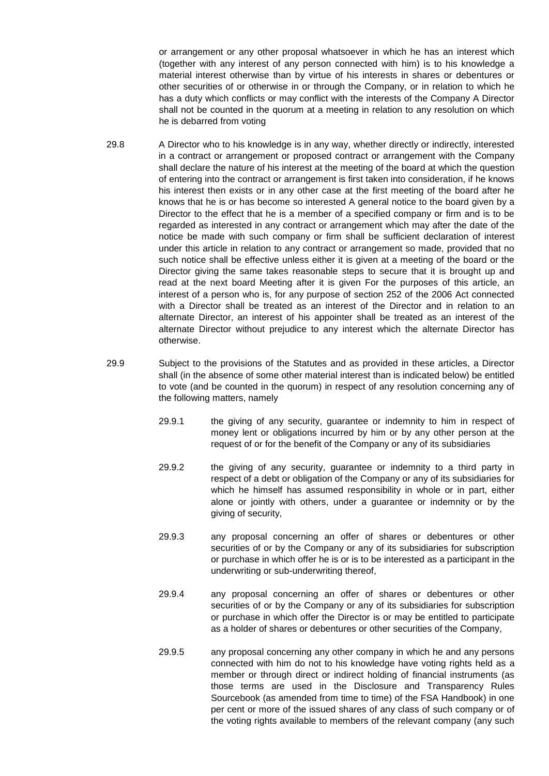or arrangement or any other proposal whatsoever in which he has an interest which (together with any interest of any person connected with him) is to his knowledge a material interest otherwise than by virtue of his interests in shares or debentures or other securities of or otherwise in or through the Company, or in relation to which he has a duty which conflicts or may conflict with the interests of the Company A Director shall not be counted in the quorum at a meeting in relation to any resolution on which he is debarred from voting

- 29.8 A Director who to his knowledge is in any way, whether directly or indirectly, interested in a contract or arrangement or proposed contract or arrangement with the Company shall declare the nature of his interest at the meeting of the board at which the question of entering into the contract or arrangement is first taken into consideration, if he knows his interest then exists or in any other case at the first meeting of the board after he knows that he is or has become so interested A general notice to the board given by a Director to the effect that he is a member of a specified company or firm and is to be regarded as interested in any contract or arrangement which may after the date of the notice be made with such company or firm shall be sufficient declaration of interest under this article in relation to any contract or arrangement so made, provided that no such notice shall be effective unless either it is given at a meeting of the board or the Director giving the same takes reasonable steps to secure that it is brought up and read at the next board Meeting after it is given For the purposes of this article, an interest of a person who is, for any purpose of section 252 of the 2006 Act connected with a Director shall be treated as an interest of the Director and in relation to an alternate Director, an interest of his appointer shall be treated as an interest of the alternate Director without prejudice to any interest which the alternate Director has otherwise.
- 29.9 Subject to the provisions of the Statutes and as provided in these articles, a Director shall (in the absence of some other material interest than is indicated below) be entitled to vote (and be counted in the quorum) in respect of any resolution concerning any of the following matters, namely
	- 29.9.1 the giving of any security, guarantee or indemnity to him in respect of money lent or obligations incurred by him or by any other person at the request of or for the benefit of the Company or any of its subsidiaries
	- 29.9.2 the giving of any security, guarantee or indemnity to a third party in respect of a debt or obligation of the Company or any of its subsidiaries for which he himself has assumed responsibility in whole or in part, either alone or jointly with others, under a guarantee or indemnity or by the giving of security,
	- 29.9.3 any proposal concerning an offer of shares or debentures or other securities of or by the Company or any of its subsidiaries for subscription or purchase in which offer he is or is to be interested as a participant in the underwriting or sub-underwriting thereof,
	- 29.9.4 any proposal concerning an offer of shares or debentures or other securities of or by the Company or any of its subsidiaries for subscription or purchase in which offer the Director is or may be entitled to participate as a holder of shares or debentures or other securities of the Company,
	- 29.9.5 any proposal concerning any other company in which he and any persons connected with him do not to his knowledge have voting rights held as a member or through direct or indirect holding of financial instruments (as those terms are used in the Disclosure and Transparency Rules Sourcebook (as amended from time to time) of the FSA Handbook) in one per cent or more of the issued shares of any class of such company or of the voting rights available to members of the relevant company (any such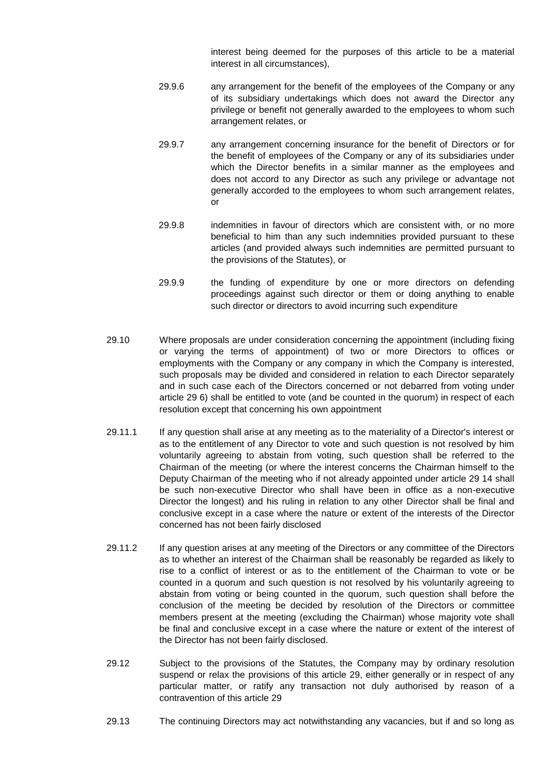interest being deemed for the purposes of this article to be a material interest in all circumstances),

- 29.9.6 any arrangement for the benefit of the employees of the Company or any of its subsidiary undertakings which does not award the Director any privilege or benefit not generally awarded to the employees to whom such arrangement relates, or
- 29.9.7 any arrangement concerning insurance for the benefit of Directors or for the benefit of employees of the Company or any of its subsidiaries under which the Director benefits in a similar manner as the employees and does not accord to any Director as such any privilege or advantage not generally accorded to the employees to whom such arrangement relates, or
- 29.9.8 indemnities in favour of directors which are consistent with, or no more beneficial to him than any such indemnities provided pursuant to these articles (and provided always such indemnities are permitted pursuant to the provisions of the Statutes), or
- 29.9.9 the funding of expenditure by one or more directors on defending proceedings against such director or them or doing anything to enable such director or directors to avoid incurring such expenditure
- 29.10 Where proposals are under consideration concerning the appointment (including fixing or varying the terms of appointment) of two or more Directors to offices or employments with the Company or any company in which the Company is interested, such proposals may be divided and considered in relation to each Director separately and in such case each of the Directors concerned or not debarred from voting under article 29 6) shall be entitled to vote (and be counted in the quorum) in respect of each resolution except that concerning his own appointment
- 29.11.1 If any question shall arise at any meeting as to the materiality of a Director's interest or as to the entitlement of any Director to vote and such question is not resolved by him voluntarily agreeing to abstain from voting, such question shall be referred to the Chairman of the meeting (or where the interest concerns the Chairman himself to the Deputy Chairman of the meeting who if not already appointed under article 29 14 shall be such non-executive Director who shall have been in office as a non-executive Director the longest) and his ruling in relation to any other Director shall be final and conclusive except in a case where the nature or extent of the interests of the Director concerned has not been fairly disclosed
- 29.11.2 If any question arises at any meeting of the Directors or any committee of the Directors as to whether an interest of the Chairman shall be reasonably be regarded as likely to rise to a conflict of interest or as to the entitlement of the Chairman to vote or be counted in a quorum and such question is not resolved by his voluntarily agreeing to abstain from voting or being counted in the quorum, such question shall before the conclusion of the meeting be decided by resolution of the Directors or committee members present at the meeting (excluding the Chairman) whose majority vote shall be final and conclusive except in a case where the nature or extent of the interest of the Director has not been fairly disclosed.
- 29.12 Subject to the provisions of the Statutes, the Company may by ordinary resolution suspend or relax the provisions of this article 29, either generally or in respect of any particular matter, or ratify any transaction not duly authorised by reason of a contravention of this article 29
- 29.13 The continuing Directors may act notwithstanding any vacancies, but if and so long as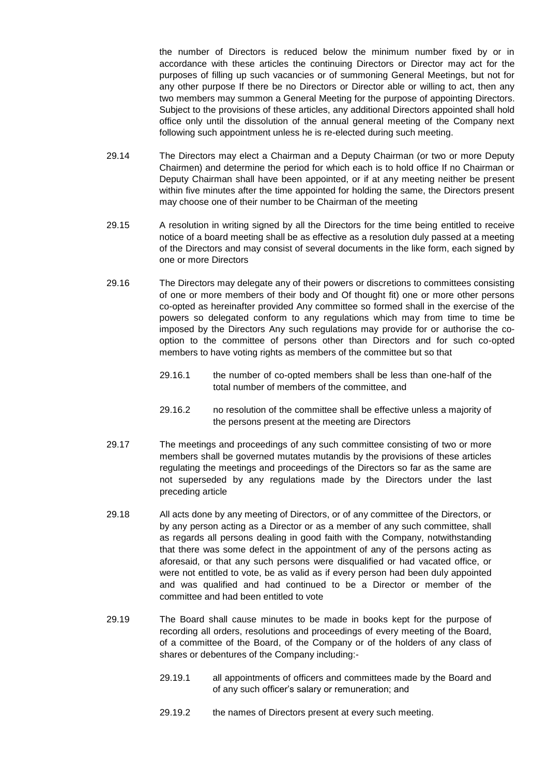the number of Directors is reduced below the minimum number fixed by or in accordance with these articles the continuing Directors or Director may act for the purposes of filling up such vacancies or of summoning General Meetings, but not for any other purpose If there be no Directors or Director able or willing to act, then any two members may summon a General Meeting for the purpose of appointing Directors. Subject to the provisions of these articles, any additional Directors appointed shall hold office only until the dissolution of the annual general meeting of the Company next following such appointment unless he is re-elected during such meeting.

- 29.14 The Directors may elect a Chairman and a Deputy Chairman (or two or more Deputy Chairmen) and determine the period for which each is to hold office If no Chairman or Deputy Chairman shall have been appointed, or if at any meeting neither be present within five minutes after the time appointed for holding the same, the Directors present may choose one of their number to be Chairman of the meeting
- 29.15 A resolution in writing signed by all the Directors for the time being entitled to receive notice of a board meeting shall be as effective as a resolution duly passed at a meeting of the Directors and may consist of several documents in the like form, each signed by one or more Directors
- 29.16 The Directors may delegate any of their powers or discretions to committees consisting of one or more members of their body and Of thought fit) one or more other persons co-opted as hereinafter provided Any committee so formed shall in the exercise of the powers so delegated conform to any regulations which may from time to time be imposed by the Directors Any such regulations may provide for or authorise the cooption to the committee of persons other than Directors and for such co-opted members to have voting rights as members of the committee but so that
	- 29.16.1 the number of co-opted members shall be less than one-half of the total number of members of the committee, and
	- 29.16.2 no resolution of the committee shall be effective unless a majority of the persons present at the meeting are Directors
- 29.17 The meetings and proceedings of any such committee consisting of two or more members shall be governed mutates mutandis by the provisions of these articles regulating the meetings and proceedings of the Directors so far as the same are not superseded by any regulations made by the Directors under the last preceding article
- 29.18 All acts done by any meeting of Directors, or of any committee of the Directors, or by any person acting as a Director or as a member of any such committee, shall as regards all persons dealing in good faith with the Company, notwithstanding that there was some defect in the appointment of any of the persons acting as aforesaid, or that any such persons were disqualified or had vacated office, or were not entitled to vote, be as valid as if every person had been duly appointed and was qualified and had continued to be a Director or member of the committee and had been entitled to vote
- 29.19 The Board shall cause minutes to be made in books kept for the purpose of recording all orders, resolutions and proceedings of every meeting of the Board, of a committee of the Board, of the Company or of the holders of any class of shares or debentures of the Company including:-
	- 29.19.1 all appointments of officers and committees made by the Board and of any such officer's salary or remuneration; and
	- 29.19.2 the names of Directors present at every such meeting.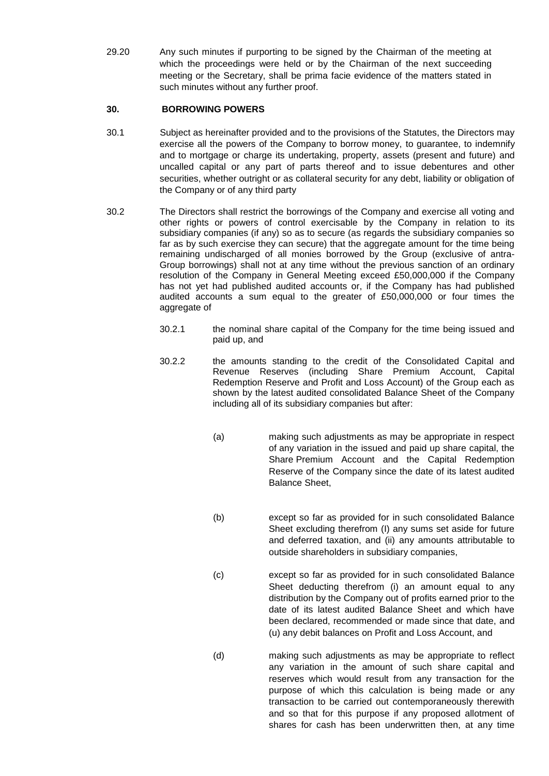29.20 Any such minutes if purporting to be signed by the Chairman of the meeting at which the proceedings were held or by the Chairman of the next succeeding meeting or the Secretary, shall be prima facie evidence of the matters stated in such minutes without any further proof.

# **30. BORROWING POWERS**

- 30.1 Subject as hereinafter provided and to the provisions of the Statutes, the Directors may exercise all the powers of the Company to borrow money, to guarantee, to indemnify and to mortgage or charge its undertaking, property, assets (present and future) and uncalled capital or any part of parts thereof and to issue debentures and other securities, whether outright or as collateral security for any debt, liability or obligation of the Company or of any third party
- 30.2 The Directors shall restrict the borrowings of the Company and exercise all voting and other rights or powers of control exercisable by the Company in relation to its subsidiary companies (if any) so as to secure (as regards the subsidiary companies so far as by such exercise they can secure) that the aggregate amount for the time being remaining undischarged of all monies borrowed by the Group (exclusive of antra-Group borrowings) shall not at any time without the previous sanction of an ordinary resolution of the Company in General Meeting exceed £50,000,000 if the Company has not yet had published audited accounts or, if the Company has had published audited accounts a sum equal to the greater of £50,000,000 or four times the aggregate of
	- 30.2.1 the nominal share capital of the Company for the time being issued and paid up, and
	- 30.2.2 the amounts standing to the credit of the Consolidated Capital and Revenue Reserves (including Share Premium Account, Capital Redemption Reserve and Profit and Loss Account) of the Group each as shown by the latest audited consolidated Balance Sheet of the Company including all of its subsidiary companies but after:
		- (a) making such adjustments as may be appropriate in respect of any variation in the issued and paid up share capital, the Share Premium Account and the Capital Redemption Reserve of the Company since the date of its latest audited Balance Sheet,
		- (b) except so far as provided for in such consolidated Balance Sheet excluding therefrom (I) any sums set aside for future and deferred taxation, and (ii) any amounts attributable to outside shareholders in subsidiary companies,
		- (c) except so far as provided for in such consolidated Balance Sheet deducting therefrom (i) an amount equal to any distribution by the Company out of profits earned prior to the date of its latest audited Balance Sheet and which have been declared, recommended or made since that date, and (u) any debit balances on Profit and Loss Account, and
		- (d) making such adjustments as may be appropriate to reflect any variation in the amount of such share capital and reserves which would result from any transaction for the purpose of which this calculation is being made or any transaction to be carried out contemporaneously therewith and so that for this purpose if any proposed allotment of shares for cash has been underwritten then, at any time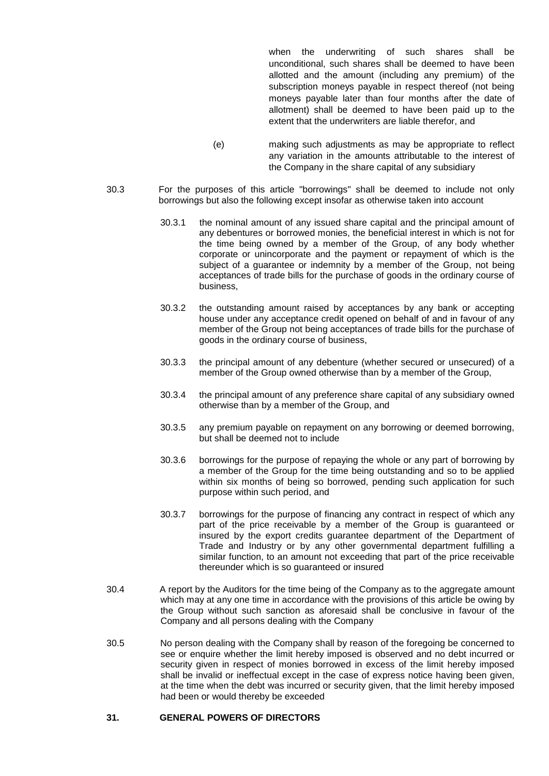when the underwriting of such shares shall be unconditional, such shares shall be deemed to have been allotted and the amount (including any premium) of the subscription moneys payable in respect thereof (not being moneys payable later than four months after the date of allotment) shall be deemed to have been paid up to the extent that the underwriters are liable therefor, and

- (e) making such adjustments as may be appropriate to reflect any variation in the amounts attributable to the interest of the Company in the share capital of any subsidiary
- 30.3 For the purposes of this article "borrowings" shall be deemed to include not only borrowings but also the following except insofar as otherwise taken into account
	- 30.3.1 the nominal amount of any issued share capital and the principal amount of any debentures or borrowed monies, the beneficial interest in which is not for the time being owned by a member of the Group, of any body whether corporate or unincorporate and the payment or repayment of which is the subject of a guarantee or indemnity by a member of the Group, not being acceptances of trade bills for the purchase of goods in the ordinary course of business,
	- 30.3.2 the outstanding amount raised by acceptances by any bank or accepting house under any acceptance credit opened on behalf of and in favour of any member of the Group not being acceptances of trade bills for the purchase of goods in the ordinary course of business,
	- 30.3.3 the principal amount of any debenture (whether secured or unsecured) of a member of the Group owned otherwise than by a member of the Group,
	- 30.3.4 the principal amount of any preference share capital of any subsidiary owned otherwise than by a member of the Group, and
	- 30.3.5 any premium payable on repayment on any borrowing or deemed borrowing, but shall be deemed not to include
	- 30.3.6 borrowings for the purpose of repaying the whole or any part of borrowing by a member of the Group for the time being outstanding and so to be applied within six months of being so borrowed, pending such application for such purpose within such period, and
	- 30.3.7 borrowings for the purpose of financing any contract in respect of which any part of the price receivable by a member of the Group is guaranteed or insured by the export credits guarantee department of the Department of Trade and Industry or by any other governmental department fulfilling a similar function, to an amount not exceeding that part of the price receivable thereunder which is so guaranteed or insured
- 30.4 A report by the Auditors for the time being of the Company as to the aggregate amount which may at any one time in accordance with the provisions of this article be owing by the Group without such sanction as aforesaid shall be conclusive in favour of the Company and all persons dealing with the Company
- 30.5 No person dealing with the Company shall by reason of the foregoing be concerned to see or enquire whether the limit hereby imposed is observed and no debt incurred or security given in respect of monies borrowed in excess of the limit hereby imposed shall be invalid or ineffectual except in the case of express notice having been given, at the time when the debt was incurred or security given, that the limit hereby imposed had been or would thereby be exceeded

### **31. GENERAL POWERS OF DIRECTORS**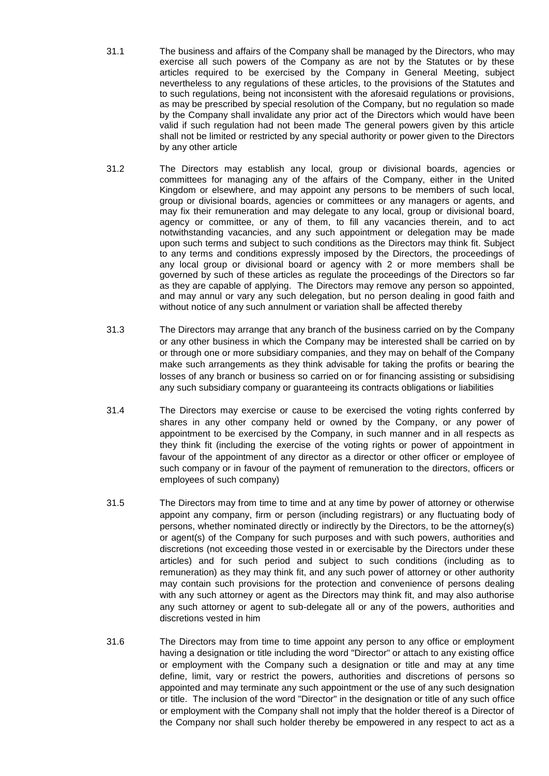- 31.1 The business and affairs of the Company shall be managed by the Directors, who may exercise all such powers of the Company as are not by the Statutes or by these articles required to be exercised by the Company in General Meeting, subject nevertheless to any regulations of these articles, to the provisions of the Statutes and to such regulations, being not inconsistent with the aforesaid regulations or provisions, as may be prescribed by special resolution of the Company, but no regulation so made by the Company shall invalidate any prior act of the Directors which would have been valid if such regulation had not been made The general powers given by this article shall not be limited or restricted by any special authority or power given to the Directors by any other article
- 31.2 The Directors may establish any local, group or divisional boards, agencies or committees for managing any of the affairs of the Company, either in the United Kingdom or elsewhere, and may appoint any persons to be members of such local, group or divisional boards, agencies or committees or any managers or agents, and may fix their remuneration and may delegate to any local, group or divisional board, agency or committee, or any of them, to fill any vacancies therein, and to act notwithstanding vacancies, and any such appointment or delegation may be made upon such terms and subject to such conditions as the Directors may think fit. Subject to any terms and conditions expressly imposed by the Directors, the proceedings of any local group or divisional board or agency with 2 or more members shall be governed by such of these articles as regulate the proceedings of the Directors so far as they are capable of applying. The Directors may remove any person so appointed, and may annul or vary any such delegation, but no person dealing in good faith and without notice of any such annulment or variation shall be affected thereby
- 31.3 The Directors may arrange that any branch of the business carried on by the Company or any other business in which the Company may be interested shall be carried on by or through one or more subsidiary companies, and they may on behalf of the Company make such arrangements as they think advisable for taking the profits or bearing the losses of any branch or business so carried on or for financing assisting or subsidising any such subsidiary company or guaranteeing its contracts obligations or liabilities
- 31.4 The Directors may exercise or cause to be exercised the voting rights conferred by shares in any other company held or owned by the Company, or any power of appointment to be exercised by the Company, in such manner and in all respects as they think fit (including the exercise of the voting rights or power of appointment in favour of the appointment of any director as a director or other officer or employee of such company or in favour of the payment of remuneration to the directors, officers or employees of such company)
- 31.5 The Directors may from time to time and at any time by power of attorney or otherwise appoint any company, firm or person (including registrars) or any fluctuating body of persons, whether nominated directly or indirectly by the Directors, to be the attorney(s) or agent(s) of the Company for such purposes and with such powers, authorities and discretions (not exceeding those vested in or exercisable by the Directors under these articles) and for such period and subject to such conditions (including as to remuneration) as they may think fit, and any such power of attorney or other authority may contain such provisions for the protection and convenience of persons dealing with any such attorney or agent as the Directors may think fit, and may also authorise any such attorney or agent to sub-delegate all or any of the powers, authorities and discretions vested in him
- 31.6 The Directors may from time to time appoint any person to any office or employment having a designation or title including the word "Director" or attach to any existing office or employment with the Company such a designation or title and may at any time define, limit, vary or restrict the powers, authorities and discretions of persons so appointed and may terminate any such appointment or the use of any such designation or title. The inclusion of the word "Director" in the designation or title of any such office or employment with the Company shall not imply that the holder thereof is a Director of the Company nor shall such holder thereby be empowered in any respect to act as a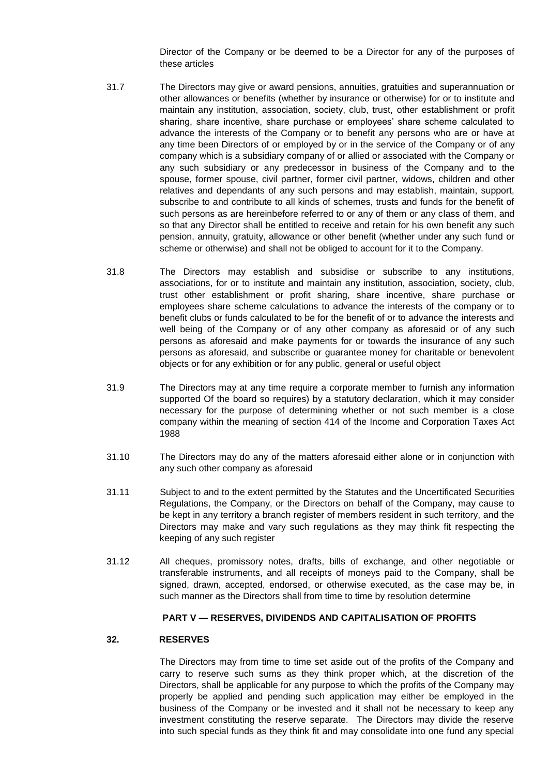Director of the Company or be deemed to be a Director for any of the purposes of these articles

- 31.7 The Directors may give or award pensions, annuities, gratuities and superannuation or other allowances or benefits (whether by insurance or otherwise) for or to institute and maintain any institution, association, society, club, trust, other establishment or profit sharing, share incentive, share purchase or employees' share scheme calculated to advance the interests of the Company or to benefit any persons who are or have at any time been Directors of or employed by or in the service of the Company or of any company which is a subsidiary company of or allied or associated with the Company or any such subsidiary or any predecessor in business of the Company and to the spouse, former spouse, civil partner, former civil partner, widows, children and other relatives and dependants of any such persons and may establish, maintain, support, subscribe to and contribute to all kinds of schemes, trusts and funds for the benefit of such persons as are hereinbefore referred to or any of them or any class of them, and so that any Director shall be entitled to receive and retain for his own benefit any such pension, annuity, gratuity, allowance or other benefit (whether under any such fund or scheme or otherwise) and shall not be obliged to account for it to the Company.
- 31.8 The Directors may establish and subsidise or subscribe to any institutions, associations, for or to institute and maintain any institution, association, society, club, trust other establishment or profit sharing, share incentive, share purchase or employees share scheme calculations to advance the interests of the company or to benefit clubs or funds calculated to be for the benefit of or to advance the interests and well being of the Company or of any other company as aforesaid or of any such persons as aforesaid and make payments for or towards the insurance of any such persons as aforesaid, and subscribe or guarantee money for charitable or benevolent objects or for any exhibition or for any public, general or useful object
- 31.9 The Directors may at any time require a corporate member to furnish any information supported Of the board so requires) by a statutory declaration, which it may consider necessary for the purpose of determining whether or not such member is a close company within the meaning of section 414 of the Income and Corporation Taxes Act 1988
- 31.10 The Directors may do any of the matters aforesaid either alone or in conjunction with any such other company as aforesaid
- 31.11 Subject to and to the extent permitted by the Statutes and the Uncertificated Securities Regulations, the Company, or the Directors on behalf of the Company, may cause to be kept in any territory a branch register of members resident in such territory, and the Directors may make and vary such regulations as they may think fit respecting the keeping of any such register
- 31.12 All cheques, promissory notes, drafts, bills of exchange, and other negotiable or transferable instruments, and all receipts of moneys paid to the Company, shall be signed, drawn, accepted, endorsed, or otherwise executed, as the case may be, in such manner as the Directors shall from time to time by resolution determine

### **PART V — RESERVES, DIVIDENDS AND CAPITALISATION OF PROFITS**

### **32. RESERVES**

The Directors may from time to time set aside out of the profits of the Company and carry to reserve such sums as they think proper which, at the discretion of the Directors, shall be applicable for any purpose to which the profits of the Company may properly be applied and pending such application may either be employed in the business of the Company or be invested and it shall not be necessary to keep any investment constituting the reserve separate. The Directors may divide the reserve into such special funds as they think fit and may consolidate into one fund any special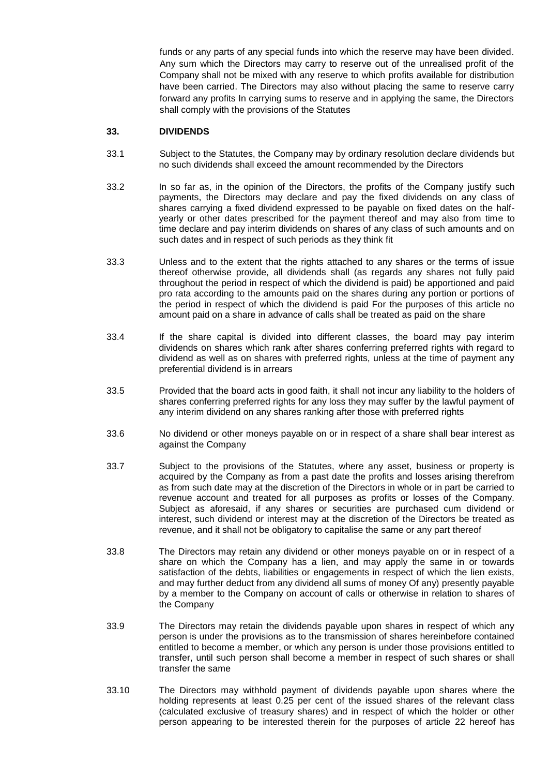funds or any parts of any special funds into which the reserve may have been divided. Any sum which the Directors may carry to reserve out of the unrealised profit of the Company shall not be mixed with any reserve to which profits available for distribution have been carried. The Directors may also without placing the same to reserve carry forward any profits In carrying sums to reserve and in applying the same, the Directors shall comply with the provisions of the Statutes

### **33. DIVIDENDS**

- 33.1 Subject to the Statutes, the Company may by ordinary resolution declare dividends but no such dividends shall exceed the amount recommended by the Directors
- 33.2 In so far as, in the opinion of the Directors, the profits of the Company justify such payments, the Directors may declare and pay the fixed dividends on any class of shares carrying a fixed dividend expressed to be payable on fixed dates on the halfyearly or other dates prescribed for the payment thereof and may also from time to time declare and pay interim dividends on shares of any class of such amounts and on such dates and in respect of such periods as they think fit
- 33.3 Unless and to the extent that the rights attached to any shares or the terms of issue thereof otherwise provide, all dividends shall (as regards any shares not fully paid throughout the period in respect of which the dividend is paid) be apportioned and paid pro rata according to the amounts paid on the shares during any portion or portions of the period in respect of which the dividend is paid For the purposes of this article no amount paid on a share in advance of calls shall be treated as paid on the share
- 33.4 If the share capital is divided into different classes, the board may pay interim dividends on shares which rank after shares conferring preferred rights with regard to dividend as well as on shares with preferred rights, unless at the time of payment any preferential dividend is in arrears
- 33.5 Provided that the board acts in good faith, it shall not incur any liability to the holders of shares conferring preferred rights for any loss they may suffer by the lawful payment of any interim dividend on any shares ranking after those with preferred rights
- 33.6 No dividend or other moneys payable on or in respect of a share shall bear interest as against the Company
- 33.7 Subject to the provisions of the Statutes, where any asset, business or property is acquired by the Company as from a past date the profits and losses arising therefrom as from such date may at the discretion of the Directors in whole or in part be carried to revenue account and treated for all purposes as profits or losses of the Company. Subject as aforesaid, if any shares or securities are purchased cum dividend or interest, such dividend or interest may at the discretion of the Directors be treated as revenue, and it shall not be obligatory to capitalise the same or any part thereof
- 33.8 The Directors may retain any dividend or other moneys payable on or in respect of a share on which the Company has a lien, and may apply the same in or towards satisfaction of the debts, liabilities or engagements in respect of which the lien exists, and may further deduct from any dividend all sums of money Of any) presently payable by a member to the Company on account of calls or otherwise in relation to shares of the Company
- 33.9 The Directors may retain the dividends payable upon shares in respect of which any person is under the provisions as to the transmission of shares hereinbefore contained entitled to become a member, or which any person is under those provisions entitled to transfer, until such person shall become a member in respect of such shares or shall transfer the same
- 33.10 The Directors may withhold payment of dividends payable upon shares where the holding represents at least 0.25 per cent of the issued shares of the relevant class (calculated exclusive of treasury shares) and in respect of which the holder or other person appearing to be interested therein for the purposes of article 22 hereof has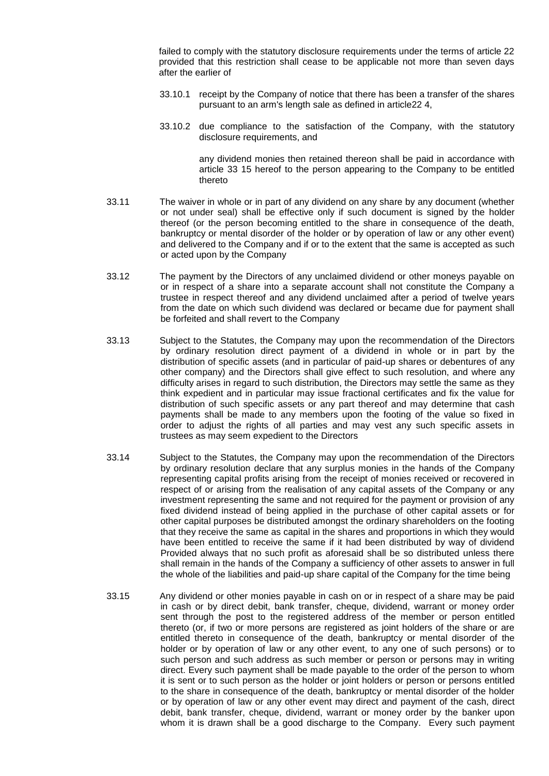failed to comply with the statutory disclosure requirements under the terms of article 22 provided that this restriction shall cease to be applicable not more than seven days after the earlier of

- 33.10.1 receipt by the Company of notice that there has been a transfer of the shares pursuant to an arm's length sale as defined in article22 4,
- 33.10.2 due compliance to the satisfaction of the Company, with the statutory disclosure requirements, and

any dividend monies then retained thereon shall be paid in accordance with article 33 15 hereof to the person appearing to the Company to be entitled thereto

- 33.11 The waiver in whole or in part of any dividend on any share by any document (whether or not under seal) shall be effective only if such document is signed by the holder thereof (or the person becoming entitled to the share in consequence of the death, bankruptcy or mental disorder of the holder or by operation of law or any other event) and delivered to the Company and if or to the extent that the same is accepted as such or acted upon by the Company
- 33.12 The payment by the Directors of any unclaimed dividend or other moneys payable on or in respect of a share into a separate account shall not constitute the Company a trustee in respect thereof and any dividend unclaimed after a period of twelve years from the date on which such dividend was declared or became due for payment shall be forfeited and shall revert to the Company
- 33.13 Subject to the Statutes, the Company may upon the recommendation of the Directors by ordinary resolution direct payment of a dividend in whole or in part by the distribution of specific assets (and in particular of paid-up shares or debentures of any other company) and the Directors shall give effect to such resolution, and where any difficulty arises in regard to such distribution, the Directors may settle the same as they think expedient and in particular may issue fractional certificates and fix the value for distribution of such specific assets or any part thereof and may determine that cash payments shall be made to any members upon the footing of the value so fixed in order to adjust the rights of all parties and may vest any such specific assets in trustees as may seem expedient to the Directors
- 33.14 Subject to the Statutes, the Company may upon the recommendation of the Directors by ordinary resolution declare that any surplus monies in the hands of the Company representing capital profits arising from the receipt of monies received or recovered in respect of or arising from the realisation of any capital assets of the Company or any investment representing the same and not required for the payment or provision of any fixed dividend instead of being applied in the purchase of other capital assets or for other capital purposes be distributed amongst the ordinary shareholders on the footing that they receive the same as capital in the shares and proportions in which they would have been entitled to receive the same if it had been distributed by way of dividend Provided always that no such profit as aforesaid shall be so distributed unless there shall remain in the hands of the Company a sufficiency of other assets to answer in full the whole of the liabilities and paid-up share capital of the Company for the time being
- 33.15 Any dividend or other monies payable in cash on or in respect of a share may be paid in cash or by direct debit, bank transfer, cheque, dividend, warrant or money order sent through the post to the registered address of the member or person entitled thereto (or, if two or more persons are registered as joint holders of the share or are entitled thereto in consequence of the death, bankruptcy or mental disorder of the holder or by operation of law or any other event, to any one of such persons) or to such person and such address as such member or person or persons may in writing direct. Every such payment shall be made payable to the order of the person to whom it is sent or to such person as the holder or joint holders or person or persons entitled to the share in consequence of the death, bankruptcy or mental disorder of the holder or by operation of law or any other event may direct and payment of the cash, direct debit, bank transfer, cheque, dividend, warrant or money order by the banker upon whom it is drawn shall be a good discharge to the Company. Every such payment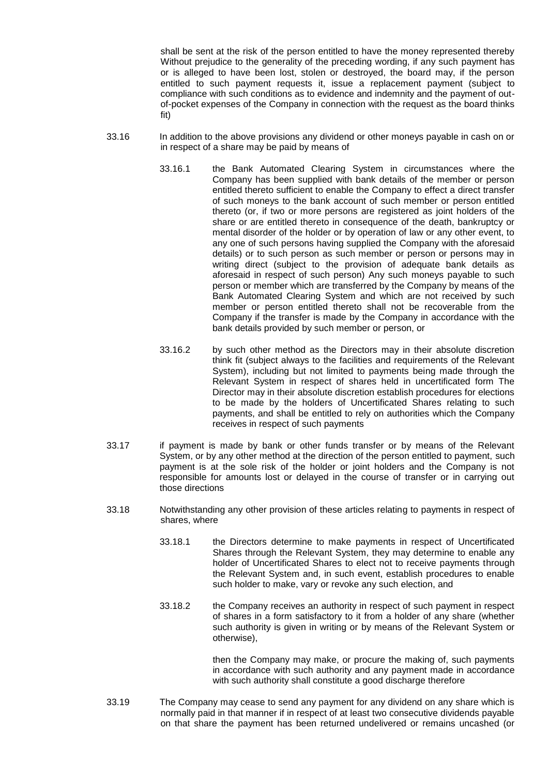shall be sent at the risk of the person entitled to have the money represented thereby Without prejudice to the generality of the preceding wording, if any such payment has or is alleged to have been lost, stolen or destroyed, the board may, if the person entitled to such payment requests it, issue a replacement payment (subject to compliance with such conditions as to evidence and indemnity and the payment of outof-pocket expenses of the Company in connection with the request as the board thinks fit)

- 33.16 In addition to the above provisions any dividend or other moneys payable in cash on or in respect of a share may be paid by means of
	- 33.16.1 the Bank Automated Clearing System in circumstances where the Company has been supplied with bank details of the member or person entitled thereto sufficient to enable the Company to effect a direct transfer of such moneys to the bank account of such member or person entitled thereto (or, if two or more persons are registered as joint holders of the share or are entitled thereto in consequence of the death, bankruptcy or mental disorder of the holder or by operation of law or any other event, to any one of such persons having supplied the Company with the aforesaid details) or to such person as such member or person or persons may in writing direct (subject to the provision of adequate bank details as aforesaid in respect of such person) Any such moneys payable to such person or member which are transferred by the Company by means of the Bank Automated Clearing System and which are not received by such member or person entitled thereto shall not be recoverable from the Company if the transfer is made by the Company in accordance with the bank details provided by such member or person, or
	- 33.16.2 by such other method as the Directors may in their absolute discretion think fit (subject always to the facilities and requirements of the Relevant System), including but not limited to payments being made through the Relevant System in respect of shares held in uncertificated form The Director may in their absolute discretion establish procedures for elections to be made by the holders of Uncertificated Shares relating to such payments, and shall be entitled to rely on authorities which the Company receives in respect of such payments
- 33.17 if payment is made by bank or other funds transfer or by means of the Relevant System, or by any other method at the direction of the person entitled to payment, such payment is at the sole risk of the holder or joint holders and the Company is not responsible for amounts lost or delayed in the course of transfer or in carrying out those directions
- 33.18 Notwithstanding any other provision of these articles relating to payments in respect of shares, where
	- 33.18.1 the Directors determine to make payments in respect of Uncertificated Shares through the Relevant System, they may determine to enable any holder of Uncertificated Shares to elect not to receive payments through the Relevant System and, in such event, establish procedures to enable such holder to make, vary or revoke any such election, and
	- 33.18.2 the Company receives an authority in respect of such payment in respect of shares in a form satisfactory to it from a holder of any share (whether such authority is given in writing or by means of the Relevant System or otherwise),

then the Company may make, or procure the making of, such payments in accordance with such authority and any payment made in accordance with such authority shall constitute a good discharge therefore

33.19 The Company may cease to send any payment for any dividend on any share which is normally paid in that manner if in respect of at least two consecutive dividends payable on that share the payment has been returned undelivered or remains uncashed (or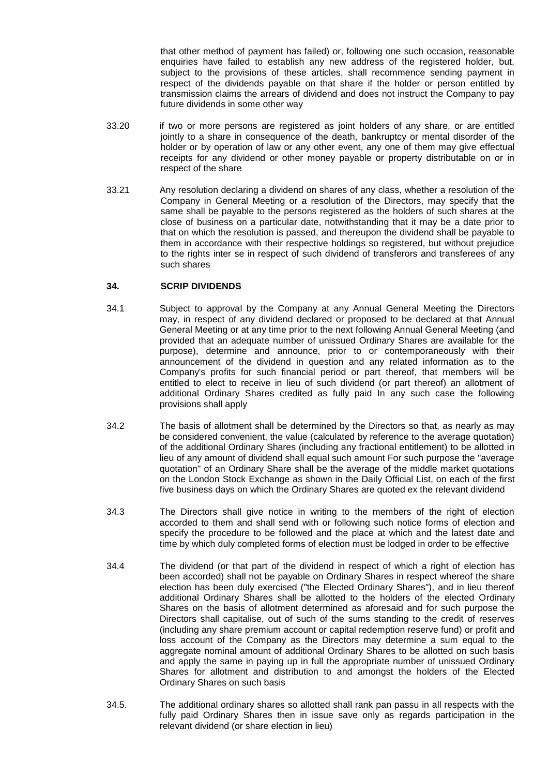that other method of payment has failed) or, following one such occasion, reasonable enquiries have failed to establish any new address of the registered holder, but, subject to the provisions of these articles, shall recommence sending payment in respect of the dividends payable on that share if the holder or person entitled by transmission claims the arrears of dividend and does not instruct the Company to pay future dividends in some other way

- 33.20 if two or more persons are registered as joint holders of any share, or are entitled jointly to a share in consequence of the death, bankruptcy or mental disorder of the holder or by operation of law or any other event, any one of them may give effectual receipts for any dividend or other money payable or property distributable on or in respect of the share
- 33.21 Any resolution declaring a dividend on shares of any class, whether a resolution of the Company in General Meeting or a resolution of the Directors, may specify that the same shall be payable to the persons registered as the holders of such shares at the close of business on a particular date, notwithstanding that it may be a date prior to that on which the resolution is passed, and thereupon the dividend shall be payable to them in accordance with their respective holdings so registered, but without prejudice to the rights inter se in respect of such dividend of transferors and transferees of any such shares

# **34. SCRIP DIVIDENDS**

- 34.1 Subject to approval by the Company at any Annual General Meeting the Directors may, in respect of any dividend declared or proposed to be declared at that Annual General Meeting or at any time prior to the next following Annual General Meeting (and provided that an adequate number of unissued Ordinary Shares are available for the purpose), determine and announce, prior to or contemporaneously with their announcement of the dividend in question and any related information as to the Company's profits for such financial period or part thereof, that members will be entitled to elect to receive in lieu of such dividend (or part thereof) an allotment of additional Ordinary Shares credited as fully paid In any such case the following provisions shall apply
- 34.2 The basis of allotment shall be determined by the Directors so that, as nearly as may be considered convenient, the value (calculated by reference to the average quotation) of the additional Ordinary Shares (including any fractional entitlement) to be allotted in lieu of any amount of dividend shall equal such amount For such purpose the "average quotation" of an Ordinary Share shall be the average of the middle market quotations on the London Stock Exchange as shown in the Daily Official List, on each of the first five business days on which the Ordinary Shares are quoted ex the relevant dividend
- 34.3 The Directors shall give notice in writing to the members of the right of election accorded to them and shall send with or following such notice forms of election and specify the procedure to be followed and the place at which and the latest date and time by which duly completed forms of election must be lodged in order to be effective
- 34.4 The dividend (or that part of the dividend in respect of which a right of election has been accorded) shall not be payable on Ordinary Shares in respect whereof the share election has been duly exercised ("the Elected Ordinary Shares"), and in lieu thereof additional Ordinary Shares shall be allotted to the holders of the elected Ordinary Shares on the basis of allotment determined as aforesaid and for such purpose the Directors shall capitalise, out of such of the sums standing to the credit of reserves (including any share premium account or capital redemption reserve fund) or profit and loss account of the Company as the Directors may determine a sum equal to the aggregate nominal amount of additional Ordinary Shares to be allotted on such basis and apply the same in paying up in full the appropriate number of unissued Ordinary Shares for allotment and distribution to and amongst the holders of the Elected Ordinary Shares on such basis
- 34.5. The additional ordinary shares so allotted shall rank pan passu in all respects with the fully paid Ordinary Shares then in issue save only as regards participation in the relevant dividend (or share election in lieu)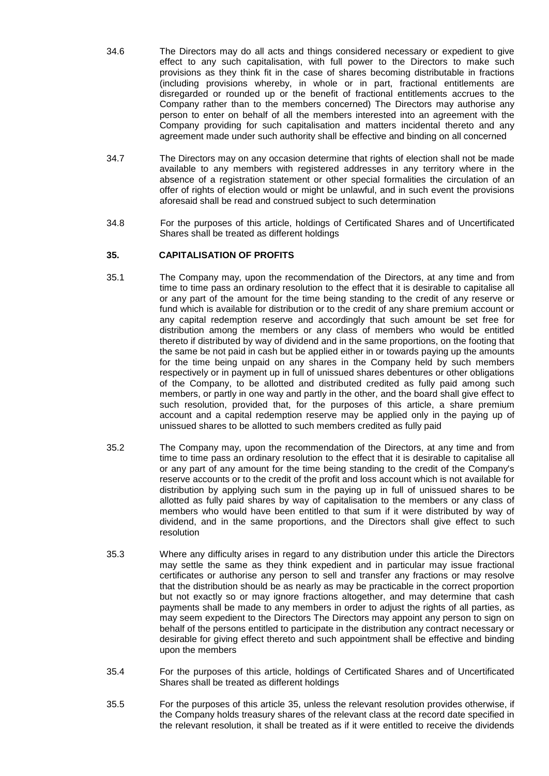- 34.6 The Directors may do all acts and things considered necessary or expedient to give effect to any such capitalisation, with full power to the Directors to make such provisions as they think fit in the case of shares becoming distributable in fractions (including provisions whereby, in whole or in part, fractional entitlements are disregarded or rounded up or the benefit of fractional entitlements accrues to the Company rather than to the members concerned) The Directors may authorise any person to enter on behalf of all the members interested into an agreement with the Company providing for such capitalisation and matters incidental thereto and any agreement made under such authority shall be effective and binding on all concerned
- 34.7 The Directors may on any occasion determine that rights of election shall not be made available to any members with registered addresses in any territory where in the absence of a registration statement or other special formalities the circulation of an offer of rights of election would or might be unlawful, and in such event the provisions aforesaid shall be read and construed subject to such determination
- 34.8 For the purposes of this article, holdings of Certificated Shares and of Uncertificated Shares shall be treated as different holdings

# **35. CAPITALISATION OF PROFITS**

- 35.1 The Company may, upon the recommendation of the Directors, at any time and from time to time pass an ordinary resolution to the effect that it is desirable to capitalise all or any part of the amount for the time being standing to the credit of any reserve or fund which is available for distribution or to the credit of any share premium account or any capital redemption reserve and accordingly that such amount be set free for distribution among the members or any class of members who would be entitled thereto if distributed by way of dividend and in the same proportions, on the footing that the same be not paid in cash but be applied either in or towards paying up the amounts for the time being unpaid on any shares in the Company held by such members respectively or in payment up in full of unissued shares debentures or other obligations of the Company, to be allotted and distributed credited as fully paid among such members, or partly in one way and partly in the other, and the board shall give effect to such resolution, provided that, for the purposes of this article, a share premium account and a capital redemption reserve may be applied only in the paying up of unissued shares to be allotted to such members credited as fully paid
- 35.2 The Company may, upon the recommendation of the Directors, at any time and from time to time pass an ordinary resolution to the effect that it is desirable to capitalise all or any part of any amount for the time being standing to the credit of the Company's reserve accounts or to the credit of the profit and loss account which is not available for distribution by applying such sum in the paying up in full of unissued shares to be allotted as fully paid shares by way of capitalisation to the members or any class of members who would have been entitled to that sum if it were distributed by way of dividend, and in the same proportions, and the Directors shall give effect to such resolution
- 35.3 Where any difficulty arises in regard to any distribution under this article the Directors may settle the same as they think expedient and in particular may issue fractional certificates or authorise any person to sell and transfer any fractions or may resolve that the distribution should be as nearly as may be practicable in the correct proportion but not exactly so or may ignore fractions altogether, and may determine that cash payments shall be made to any members in order to adjust the rights of all parties, as may seem expedient to the Directors The Directors may appoint any person to sign on behalf of the persons entitled to participate in the distribution any contract necessary or desirable for giving effect thereto and such appointment shall be effective and binding upon the members
- 35.4 For the purposes of this article, holdings of Certificated Shares and of Uncertificated Shares shall be treated as different holdings
- 35.5 For the purposes of this article 35, unless the relevant resolution provides otherwise, if the Company holds treasury shares of the relevant class at the record date specified in the relevant resolution, it shall be treated as if it were entitled to receive the dividends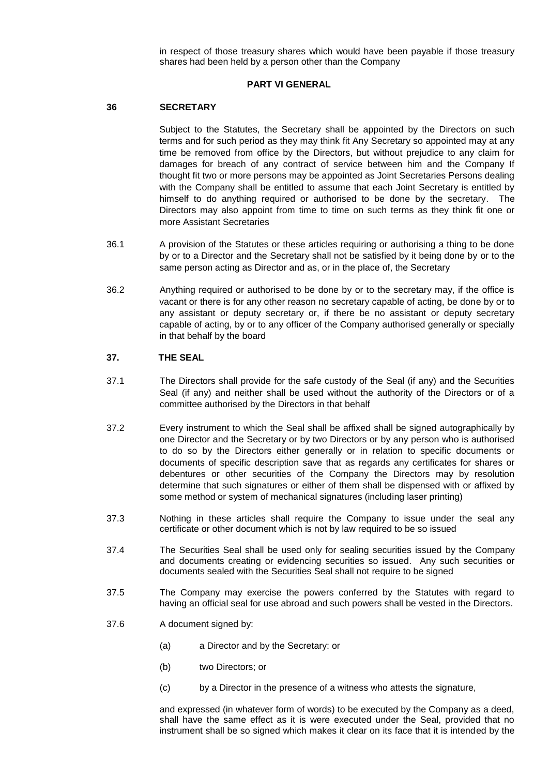in respect of those treasury shares which would have been payable if those treasury shares had been held by a person other than the Company

### **PART VI GENERAL**

### **36 SECRETARY**

Subject to the Statutes, the Secretary shall be appointed by the Directors on such terms and for such period as they may think fit Any Secretary so appointed may at any time be removed from office by the Directors, but without prejudice to any claim for damages for breach of any contract of service between him and the Company If thought fit two or more persons may be appointed as Joint Secretaries Persons dealing with the Company shall be entitled to assume that each Joint Secretary is entitled by himself to do anything required or authorised to be done by the secretary. The Directors may also appoint from time to time on such terms as they think fit one or more Assistant Secretaries

- 36.1 A provision of the Statutes or these articles requiring or authorising a thing to be done by or to a Director and the Secretary shall not be satisfied by it being done by or to the same person acting as Director and as, or in the place of, the Secretary
- 36.2 Anything required or authorised to be done by or to the secretary may, if the office is vacant or there is for any other reason no secretary capable of acting, be done by or to any assistant or deputy secretary or, if there be no assistant or deputy secretary capable of acting, by or to any officer of the Company authorised generally or specially in that behalf by the board

### **37. THE SEAL**

- 37.1 The Directors shall provide for the safe custody of the Seal (if any) and the Securities Seal (if any) and neither shall be used without the authority of the Directors or of a committee authorised by the Directors in that behalf
- 37.2 Every instrument to which the Seal shall be affixed shall be signed autographically by one Director and the Secretary or by two Directors or by any person who is authorised to do so by the Directors either generally or in relation to specific documents or documents of specific description save that as regards any certificates for shares or debentures or other securities of the Company the Directors may by resolution determine that such signatures or either of them shall be dispensed with or affixed by some method or system of mechanical signatures (including laser printing)
- 37.3 Nothing in these articles shall require the Company to issue under the seal any certificate or other document which is not by law required to be so issued
- 37.4 The Securities Seal shall be used only for sealing securities issued by the Company and documents creating or evidencing securities so issued. Any such securities or documents sealed with the Securities Seal shall not require to be signed
- 37.5 The Company may exercise the powers conferred by the Statutes with regard to having an official seal for use abroad and such powers shall be vested in the Directors.
- 37.6 A document signed by:
	- (a) a Director and by the Secretary: or
	- (b) two Directors; or
	- (c) by a Director in the presence of a witness who attests the signature,

and expressed (in whatever form of words) to be executed by the Company as a deed, shall have the same effect as it is were executed under the Seal, provided that no instrument shall be so signed which makes it clear on its face that it is intended by the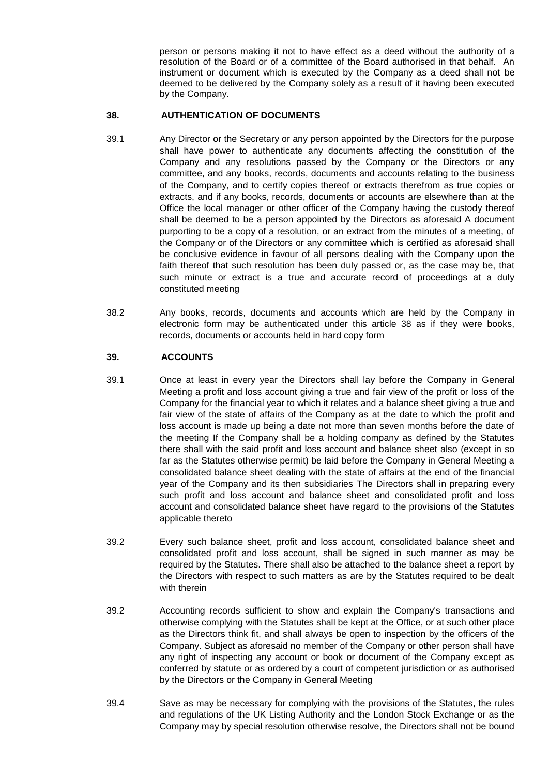person or persons making it not to have effect as a deed without the authority of a resolution of the Board or of a committee of the Board authorised in that behalf. An instrument or document which is executed by the Company as a deed shall not be deemed to be delivered by the Company solely as a result of it having been executed by the Company.

# **38. AUTHENTICATION OF DOCUMENTS**

- 39.1 Any Director or the Secretary or any person appointed by the Directors for the purpose shall have power to authenticate any documents affecting the constitution of the Company and any resolutions passed by the Company or the Directors or any committee, and any books, records, documents and accounts relating to the business of the Company, and to certify copies thereof or extracts therefrom as true copies or extracts, and if any books, records, documents or accounts are elsewhere than at the Office the local manager or other officer of the Company having the custody thereof shall be deemed to be a person appointed by the Directors as aforesaid A document purporting to be a copy of a resolution, or an extract from the minutes of a meeting, of the Company or of the Directors or any committee which is certified as aforesaid shall be conclusive evidence in favour of all persons dealing with the Company upon the faith thereof that such resolution has been duly passed or, as the case may be, that such minute or extract is a true and accurate record of proceedings at a duly constituted meeting
- 38.2 Any books, records, documents and accounts which are held by the Company in electronic form may be authenticated under this article 38 as if they were books, records, documents or accounts held in hard copy form

# **39. ACCOUNTS**

- 39.1 Once at least in every year the Directors shall lay before the Company in General Meeting a profit and loss account giving a true and fair view of the profit or loss of the Company for the financial year to which it relates and a balance sheet giving a true and fair view of the state of affairs of the Company as at the date to which the profit and loss account is made up being a date not more than seven months before the date of the meeting If the Company shall be a holding company as defined by the Statutes there shall with the said profit and loss account and balance sheet also (except in so far as the Statutes otherwise permit) be laid before the Company in General Meeting a consolidated balance sheet dealing with the state of affairs at the end of the financial year of the Company and its then subsidiaries The Directors shall in preparing every such profit and loss account and balance sheet and consolidated profit and loss account and consolidated balance sheet have regard to the provisions of the Statutes applicable thereto
- 39.2 Every such balance sheet, profit and loss account, consolidated balance sheet and consolidated profit and loss account, shall be signed in such manner as may be required by the Statutes. There shall also be attached to the balance sheet a report by the Directors with respect to such matters as are by the Statutes required to be dealt with therein
- 39.2 Accounting records sufficient to show and explain the Company's transactions and otherwise complying with the Statutes shall be kept at the Office, or at such other place as the Directors think fit, and shall always be open to inspection by the officers of the Company. Subject as aforesaid no member of the Company or other person shall have any right of inspecting any account or book or document of the Company except as conferred by statute or as ordered by a court of competent jurisdiction or as authorised by the Directors or the Company in General Meeting
- 39.4 Save as may be necessary for complying with the provisions of the Statutes, the rules and regulations of the UK Listing Authority and the London Stock Exchange or as the Company may by special resolution otherwise resolve, the Directors shall not be bound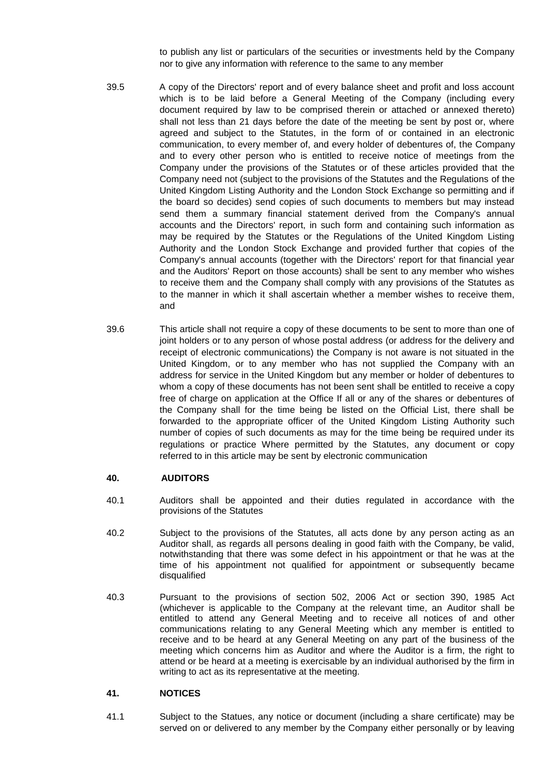to publish any list or particulars of the securities or investments held by the Company nor to give any information with reference to the same to any member

- 39.5 A copy of the Directors' report and of every balance sheet and profit and loss account which is to be laid before a General Meeting of the Company (including every document required by law to be comprised therein or attached or annexed thereto) shall not less than 21 days before the date of the meeting be sent by post or, where agreed and subject to the Statutes, in the form of or contained in an electronic communication, to every member of, and every holder of debentures of, the Company and to every other person who is entitled to receive notice of meetings from the Company under the provisions of the Statutes or of these articles provided that the Company need not (subject to the provisions of the Statutes and the Regulations of the United Kingdom Listing Authority and the London Stock Exchange so permitting and if the board so decides) send copies of such documents to members but may instead send them a summary financial statement derived from the Company's annual accounts and the Directors' report, in such form and containing such information as may be required by the Statutes or the Regulations of the United Kingdom Listing Authority and the London Stock Exchange and provided further that copies of the Company's annual accounts (together with the Directors' report for that financial year and the Auditors' Report on those accounts) shall be sent to any member who wishes to receive them and the Company shall comply with any provisions of the Statutes as to the manner in which it shall ascertain whether a member wishes to receive them, and
- 39.6 This article shall not require a copy of these documents to be sent to more than one of joint holders or to any person of whose postal address (or address for the delivery and receipt of electronic communications) the Company is not aware is not situated in the United Kingdom, or to any member who has not supplied the Company with an address for service in the United Kingdom but any member or holder of debentures to whom a copy of these documents has not been sent shall be entitled to receive a copy free of charge on application at the Office If all or any of the shares or debentures of the Company shall for the time being be listed on the Official List, there shall be forwarded to the appropriate officer of the United Kingdom Listing Authority such number of copies of such documents as may for the time being be required under its regulations or practice Where permitted by the Statutes, any document or copy referred to in this article may be sent by electronic communication

# **40. AUDITORS**

- 40.1 Auditors shall be appointed and their duties regulated in accordance with the provisions of the Statutes
- 40.2 Subject to the provisions of the Statutes, all acts done by any person acting as an Auditor shall, as regards all persons dealing in good faith with the Company, be valid, notwithstanding that there was some defect in his appointment or that he was at the time of his appointment not qualified for appointment or subsequently became disqualified
- 40.3 Pursuant to the provisions of section 502, 2006 Act or section 390, 1985 Act (whichever is applicable to the Company at the relevant time, an Auditor shall be entitled to attend any General Meeting and to receive all notices of and other communications relating to any General Meeting which any member is entitled to receive and to be heard at any General Meeting on any part of the business of the meeting which concerns him as Auditor and where the Auditor is a firm, the right to attend or be heard at a meeting is exercisable by an individual authorised by the firm in writing to act as its representative at the meeting.

### **41. NOTICES**

41.1 Subject to the Statues, any notice or document (including a share certificate) may be served on or delivered to any member by the Company either personally or by leaving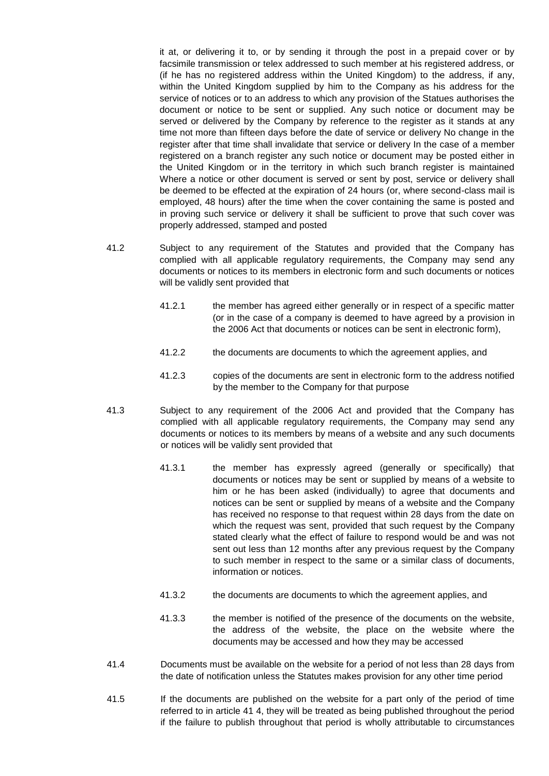it at, or delivering it to, or by sending it through the post in a prepaid cover or by facsimile transmission or telex addressed to such member at his registered address, or (if he has no registered address within the United Kingdom) to the address, if any, within the United Kingdom supplied by him to the Company as his address for the service of notices or to an address to which any provision of the Statues authorises the document or notice to be sent or supplied. Any such notice or document may be served or delivered by the Company by reference to the register as it stands at any time not more than fifteen days before the date of service or delivery No change in the register after that time shall invalidate that service or delivery In the case of a member registered on a branch register any such notice or document may be posted either in the United Kingdom or in the territory in which such branch register is maintained Where a notice or other document is served or sent by post, service or delivery shall be deemed to be effected at the expiration of 24 hours (or, where second-class mail is employed, 48 hours) after the time when the cover containing the same is posted and in proving such service or delivery it shall be sufficient to prove that such cover was properly addressed, stamped and posted

- 41.2 Subject to any requirement of the Statutes and provided that the Company has complied with all applicable regulatory requirements, the Company may send any documents or notices to its members in electronic form and such documents or notices will be validly sent provided that
	- 41.2.1 the member has agreed either generally or in respect of a specific matter (or in the case of a company is deemed to have agreed by a provision in the 2006 Act that documents or notices can be sent in electronic form),
	- 41.2.2 the documents are documents to which the agreement applies, and
	- 41.2.3 copies of the documents are sent in electronic form to the address notified by the member to the Company for that purpose
- 41.3 Subject to any requirement of the 2006 Act and provided that the Company has complied with all applicable regulatory requirements, the Company may send any documents or notices to its members by means of a website and any such documents or notices will be validly sent provided that
	- 41.3.1 the member has expressly agreed (generally or specifically) that documents or notices may be sent or supplied by means of a website to him or he has been asked (individually) to agree that documents and notices can be sent or supplied by means of a website and the Company has received no response to that request within 28 days from the date on which the request was sent, provided that such request by the Company stated clearly what the effect of failure to respond would be and was not sent out less than 12 months after any previous request by the Company to such member in respect to the same or a similar class of documents, information or notices.
	- 41.3.2 the documents are documents to which the agreement applies, and
	- 41.3.3 the member is notified of the presence of the documents on the website, the address of the website, the place on the website where the documents may be accessed and how they may be accessed
- 41.4 Documents must be available on the website for a period of not less than 28 days from the date of notification unless the Statutes makes provision for any other time period
- 41.5 If the documents are published on the website for a part only of the period of time referred to in article 41 4, they will be treated as being published throughout the period if the failure to publish throughout that period is wholly attributable to circumstances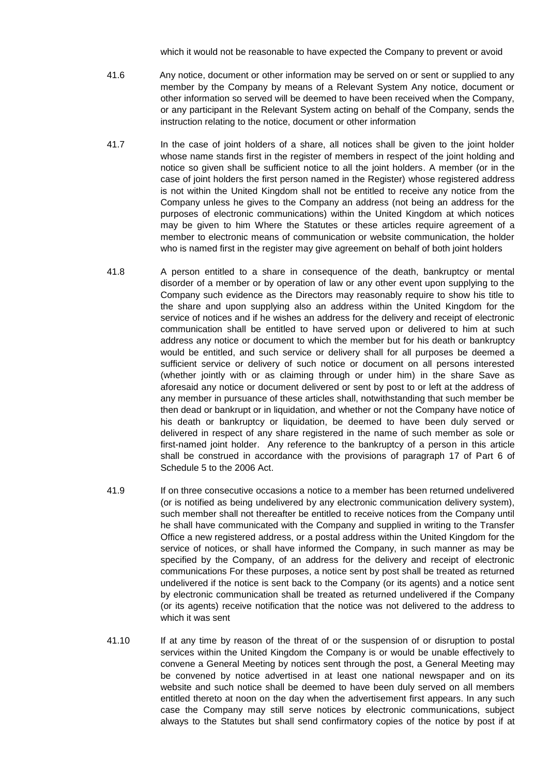which it would not be reasonable to have expected the Company to prevent or avoid

- 41.6 Any notice, document or other information may be served on or sent or supplied to any member by the Company by means of a Relevant System Any notice, document or other information so served will be deemed to have been received when the Company, or any participant in the Relevant System acting on behalf of the Company, sends the instruction relating to the notice, document or other information
- 41.7 In the case of joint holders of a share, all notices shall be given to the joint holder whose name stands first in the register of members in respect of the joint holding and notice so given shall be sufficient notice to all the joint holders. A member (or in the case of joint holders the first person named in the Register) whose registered address is not within the United Kingdom shall not be entitled to receive any notice from the Company unless he gives to the Company an address (not being an address for the purposes of electronic communications) within the United Kingdom at which notices may be given to him Where the Statutes or these articles require agreement of a member to electronic means of communication or website communication, the holder who is named first in the register may give agreement on behalf of both joint holders
- 41.8 A person entitled to a share in consequence of the death, bankruptcy or mental disorder of a member or by operation of law or any other event upon supplying to the Company such evidence as the Directors may reasonably require to show his title to the share and upon supplying also an address within the United Kingdom for the service of notices and if he wishes an address for the delivery and receipt of electronic communication shall be entitled to have served upon or delivered to him at such address any notice or document to which the member but for his death or bankruptcy would be entitled, and such service or delivery shall for all purposes be deemed a sufficient service or delivery of such notice or document on all persons interested (whether jointly with or as claiming through or under him) in the share Save as aforesaid any notice or document delivered or sent by post to or left at the address of any member in pursuance of these articles shall, notwithstanding that such member be then dead or bankrupt or in liquidation, and whether or not the Company have notice of his death or bankruptcy or liquidation, be deemed to have been duly served or delivered in respect of any share registered in the name of such member as sole or first-named joint holder. Any reference to the bankruptcy of a person in this article shall be construed in accordance with the provisions of paragraph 17 of Part 6 of Schedule 5 to the 2006 Act.
- 41.9 If on three consecutive occasions a notice to a member has been returned undelivered (or is notified as being undelivered by any electronic communication delivery system), such member shall not thereafter be entitled to receive notices from the Company until he shall have communicated with the Company and supplied in writing to the Transfer Office a new registered address, or a postal address within the United Kingdom for the service of notices, or shall have informed the Company, in such manner as may be specified by the Company, of an address for the delivery and receipt of electronic communications For these purposes, a notice sent by post shall be treated as returned undelivered if the notice is sent back to the Company (or its agents) and a notice sent by electronic communication shall be treated as returned undelivered if the Company (or its agents) receive notification that the notice was not delivered to the address to which it was sent
- 41.10 If at any time by reason of the threat of or the suspension of or disruption to postal services within the United Kingdom the Company is or would be unable effectively to convene a General Meeting by notices sent through the post, a General Meeting may be convened by notice advertised in at least one national newspaper and on its website and such notice shall be deemed to have been duly served on all members entitled thereto at noon on the day when the advertisement first appears. In any such case the Company may still serve notices by electronic communications, subject always to the Statutes but shall send confirmatory copies of the notice by post if at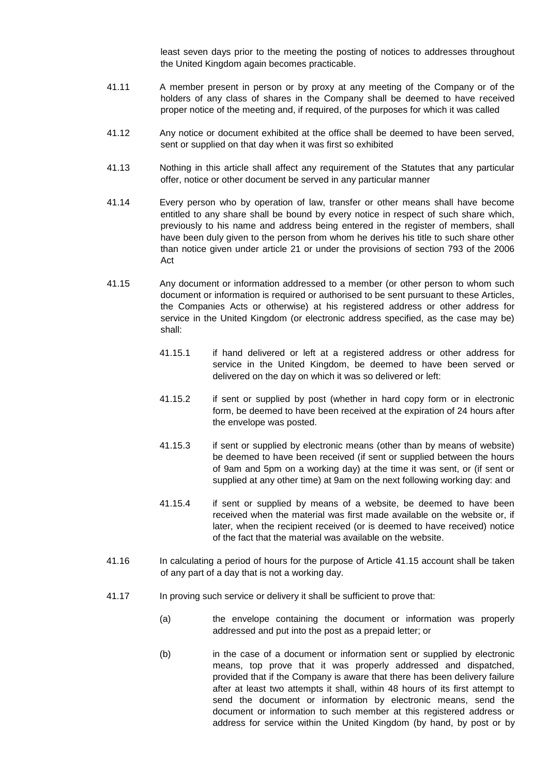least seven days prior to the meeting the posting of notices to addresses throughout the United Kingdom again becomes practicable.

- 41.11 A member present in person or by proxy at any meeting of the Company or of the holders of any class of shares in the Company shall be deemed to have received proper notice of the meeting and, if required, of the purposes for which it was called
- 41.12 Any notice or document exhibited at the office shall be deemed to have been served, sent or supplied on that day when it was first so exhibited
- 41.13 Nothing in this article shall affect any requirement of the Statutes that any particular offer, notice or other document be served in any particular manner
- 41.14 Every person who by operation of law, transfer or other means shall have become entitled to any share shall be bound by every notice in respect of such share which, previously to his name and address being entered in the register of members, shall have been duly given to the person from whom he derives his title to such share other than notice given under article 21 or under the provisions of section 793 of the 2006 Act
- 41.15 Any document or information addressed to a member (or other person to whom such document or information is required or authorised to be sent pursuant to these Articles, the Companies Acts or otherwise) at his registered address or other address for service in the United Kingdom (or electronic address specified, as the case may be) shall:
	- 41.15.1 if hand delivered or left at a registered address or other address for service in the United Kingdom, be deemed to have been served or delivered on the day on which it was so delivered or left:
	- 41.15.2 if sent or supplied by post (whether in hard copy form or in electronic form, be deemed to have been received at the expiration of 24 hours after the envelope was posted.
	- 41.15.3 if sent or supplied by electronic means (other than by means of website) be deemed to have been received (if sent or supplied between the hours of 9am and 5pm on a working day) at the time it was sent, or (if sent or supplied at any other time) at 9am on the next following working day: and
	- 41.15.4 if sent or supplied by means of a website, be deemed to have been received when the material was first made available on the website or, if later, when the recipient received (or is deemed to have received) notice of the fact that the material was available on the website.
- 41.16 In calculating a period of hours for the purpose of Article 41.15 account shall be taken of any part of a day that is not a working day.
- 41.17 In proving such service or delivery it shall be sufficient to prove that:
	- (a) the envelope containing the document or information was properly addressed and put into the post as a prepaid letter; or
	- (b) in the case of a document or information sent or supplied by electronic means, top prove that it was properly addressed and dispatched, provided that if the Company is aware that there has been delivery failure after at least two attempts it shall, within 48 hours of its first attempt to send the document or information by electronic means, send the document or information to such member at this registered address or address for service within the United Kingdom (by hand, by post or by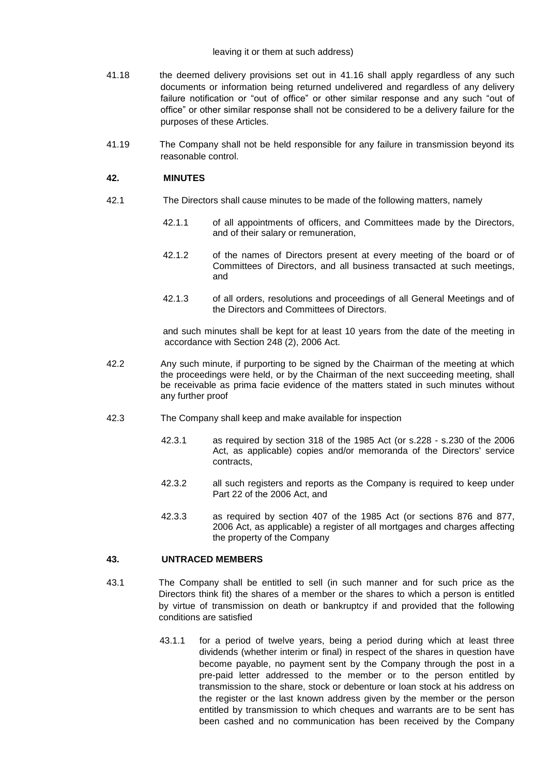#### leaving it or them at such address)

- 41.18 the deemed delivery provisions set out in 41.16 shall apply regardless of any such documents or information being returned undelivered and regardless of any delivery failure notification or "out of office" or other similar response and any such "out of office" or other similar response shall not be considered to be a delivery failure for the purposes of these Articles.
- 41.19 The Company shall not be held responsible for any failure in transmission beyond its reasonable control.

### **42. MINUTES**

- 42.1 The Directors shall cause minutes to be made of the following matters, namely
	- 42.1.1 of all appointments of officers, and Committees made by the Directors, and of their salary or remuneration,
	- 42.1.2 of the names of Directors present at every meeting of the board or of Committees of Directors, and all business transacted at such meetings, and
	- 42.1.3 of all orders, resolutions and proceedings of all General Meetings and of the Directors and Committees of Directors.

and such minutes shall be kept for at least 10 years from the date of the meeting in accordance with Section 248 (2), 2006 Act.

- 42.2 Any such minute, if purporting to be signed by the Chairman of the meeting at which the proceedings were held, or by the Chairman of the next succeeding meeting, shall be receivable as prima facie evidence of the matters stated in such minutes without any further proof
- 42.3 The Company shall keep and make available for inspection
	- 42.3.1 as required by section 318 of the 1985 Act (or s.228 s.230 of the 2006 Act, as applicable) copies and/or memoranda of the Directors' service contracts,
	- 42.3.2 all such registers and reports as the Company is required to keep under Part 22 of the 2006 Act, and
	- 42.3.3 as required by section 407 of the 1985 Act (or sections 876 and 877, 2006 Act, as applicable) a register of all mortgages and charges affecting the property of the Company

### **43. UNTRACED MEMBERS**

- 43.1 The Company shall be entitled to sell (in such manner and for such price as the Directors think fit) the shares of a member or the shares to which a person is entitled by virtue of transmission on death or bankruptcy if and provided that the following conditions are satisfied
	- 43.1.1 for a period of twelve years, being a period during which at least three dividends (whether interim or final) in respect of the shares in question have become payable, no payment sent by the Company through the post in a pre-paid letter addressed to the member or to the person entitled by transmission to the share, stock or debenture or loan stock at his address on the register or the last known address given by the member or the person entitled by transmission to which cheques and warrants are to be sent has been cashed and no communication has been received by the Company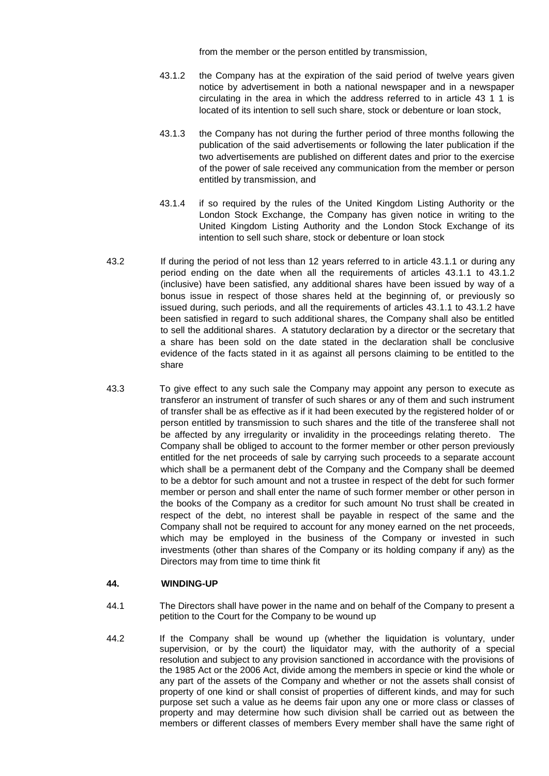from the member or the person entitled by transmission,

- 43.1.2 the Company has at the expiration of the said period of twelve years given notice by advertisement in both a national newspaper and in a newspaper circulating in the area in which the address referred to in article 43 1 1 is located of its intention to sell such share, stock or debenture or loan stock,
- 43.1.3 the Company has not during the further period of three months following the publication of the said advertisements or following the later publication if the two advertisements are published on different dates and prior to the exercise of the power of sale received any communication from the member or person entitled by transmission, and
- 43.1.4 if so required by the rules of the United Kingdom Listing Authority or the London Stock Exchange, the Company has given notice in writing to the United Kingdom Listing Authority and the London Stock Exchange of its intention to sell such share, stock or debenture or loan stock
- 43.2 If during the period of not less than 12 years referred to in article 43.1.1 or during any period ending on the date when all the requirements of articles 43.1.1 to 43.1.2 (inclusive) have been satisfied, any additional shares have been issued by way of a bonus issue in respect of those shares held at the beginning of, or previously so issued during, such periods, and all the requirements of articles 43.1.1 to 43.1.2 have been satisfied in regard to such additional shares, the Company shall also be entitled to sell the additional shares. A statutory declaration by a director or the secretary that a share has been sold on the date stated in the declaration shall be conclusive evidence of the facts stated in it as against all persons claiming to be entitled to the share
- 43.3 To give effect to any such sale the Company may appoint any person to execute as transferor an instrument of transfer of such shares or any of them and such instrument of transfer shall be as effective as if it had been executed by the registered holder of or person entitled by transmission to such shares and the title of the transferee shall not be affected by any irregularity or invalidity in the proceedings relating thereto. The Company shall be obliged to account to the former member or other person previously entitled for the net proceeds of sale by carrying such proceeds to a separate account which shall be a permanent debt of the Company and the Company shall be deemed to be a debtor for such amount and not a trustee in respect of the debt for such former member or person and shall enter the name of such former member or other person in the books of the Company as a creditor for such amount No trust shall be created in respect of the debt, no interest shall be payable in respect of the same and the Company shall not be required to account for any money earned on the net proceeds, which may be employed in the business of the Company or invested in such investments (other than shares of the Company or its holding company if any) as the Directors may from time to time think fit

### **44. WINDING-UP**

- 44.1 The Directors shall have power in the name and on behalf of the Company to present a petition to the Court for the Company to be wound up
- 44.2 If the Company shall be wound up (whether the liquidation is voluntary, under supervision, or by the court) the liquidator may, with the authority of a special resolution and subject to any provision sanctioned in accordance with the provisions of the 1985 Act or the 2006 Act, divide among the members in specie or kind the whole or any part of the assets of the Company and whether or not the assets shall consist of property of one kind or shall consist of properties of different kinds, and may for such purpose set such a value as he deems fair upon any one or more class or classes of property and may determine how such division shall be carried out as between the members or different classes of members Every member shall have the same right of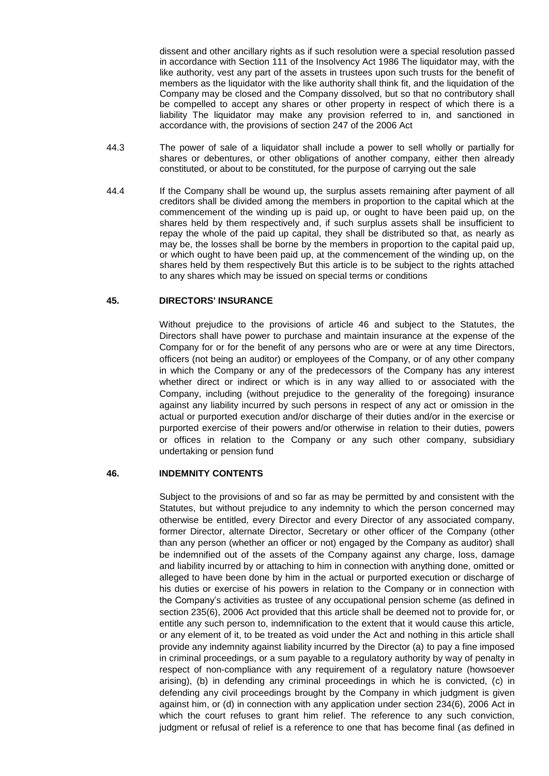dissent and other ancillary rights as if such resolution were a special resolution passed in accordance with Section 111 of the Insolvency Act 1986 The liquidator may, with the like authority, vest any part of the assets in trustees upon such trusts for the benefit of members as the liquidator with the like authority shall think fit, and the liquidation of the Company may be closed and the Company dissolved, but so that no contributory shall be compelled to accept any shares or other property in respect of which there is a liability The liquidator may make any provision referred to in, and sanctioned in accordance with, the provisions of section 247 of the 2006 Act

- 44.3 The power of sale of a liquidator shall include a power to sell wholly or partially for shares or debentures, or other obligations of another company, either then already constituted, or about to be constituted, for the purpose of carrying out the sale
- 44.4 If the Company shall be wound up, the surplus assets remaining after payment of all creditors shall be divided among the members in proportion to the capital which at the commencement of the winding up is paid up, or ought to have been paid up, on the shares held by them respectively and, if such surplus assets shall be insufficient to repay the whole of the paid up capital, they shall be distributed so that, as nearly as may be, the losses shall be borne by the members in proportion to the capital paid up, or which ought to have been paid up, at the commencement of the winding up, on the shares held by them respectively But this article is to be subject to the rights attached to any shares which may be issued on special terms or conditions

### **45. DIRECTORS' INSURANCE**

Without prejudice to the provisions of article 46 and subject to the Statutes, the Directors shall have power to purchase and maintain insurance at the expense of the Company for or for the benefit of any persons who are or were at any time Directors, officers (not being an auditor) or employees of the Company, or of any other company in which the Company or any of the predecessors of the Company has any interest whether direct or indirect or which is in any way allied to or associated with the Company, including (without prejudice to the generality of the foregoing) insurance against any liability incurred by such persons in respect of any act or omission in the actual or purported execution and/or discharge of their duties and/or in the exercise or purported exercise of their powers and/or otherwise in relation to their duties, powers or offices in relation to the Company or any such other company, subsidiary undertaking or pension fund

### **46. INDEMNITY CONTENTS**

Subject to the provisions of and so far as may be permitted by and consistent with the Statutes, but without prejudice to any indemnity to which the person concerned may otherwise be entitled, every Director and every Director of any associated company, former Director, alternate Director, Secretary or other officer of the Company (other than any person (whether an officer or not) engaged by the Company as auditor) shall be indemnified out of the assets of the Company against any charge, loss, damage and liability incurred by or attaching to him in connection with anything done, omitted or alleged to have been done by him in the actual or purported execution or discharge of his duties or exercise of his powers in relation to the Company or in connection with the Company's activities as trustee of any occupational pension scheme (as defined in section 235(6), 2006 Act provided that this article shall be deemed not to provide for, or entitle any such person to, indemnification to the extent that it would cause this article, or any element of it, to be treated as void under the Act and nothing in this article shall provide any indemnity against liability incurred by the Director (a) to pay a fine imposed in criminal proceedings, or a sum payable to a regulatory authority by way of penalty in respect of non-compliance with any requirement of a regulatory nature (howsoever arising), (b) in defending any criminal proceedings in which he is convicted, (c) in defending any civil proceedings brought by the Company in which judgment is given against him, or (d) in connection with any application under section 234(6), 2006 Act in which the court refuses to grant him relief. The reference to any such conviction, judgment or refusal of relief is a reference to one that has become final (as defined in